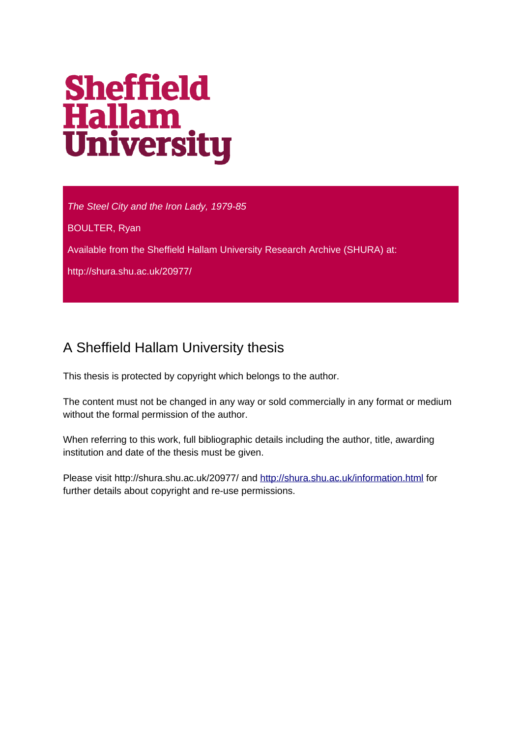# **Sheffield<br>Hallam<br>University**

*The Steel City and the Iron Lady, 1979-85*

BOULTER, Ryan

Available from the Sheffield Hallam University Research Archive (SHURA) at:

http://shura.shu.ac.uk/20977/

#### A Sheffield Hallam University thesis

This thesis is protected by copyright which belongs to the author.

The content must not be changed in any way or sold commercially in any format or medium without the formal permission of the author.

When referring to this work, full bibliographic details including the author, title, awarding institution and date of the thesis must be given.

Please visit http://shura.shu.ac.uk/20977/ and<http://shura.shu.ac.uk/information.html>for further details about copyright and re-use permissions.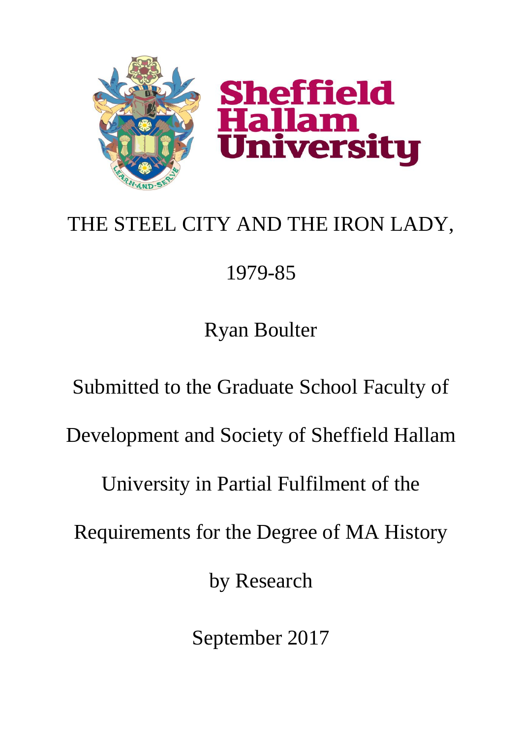

# THE STEEL CITY AND THE IRON LADY,

# 1979-85

Ryan Boulter

Submitted to the Graduate School Faculty of Development and Society of Sheffield Hallam University in Partial Fulfilment of the Requirements for the Degree of MA History by Research

September 2017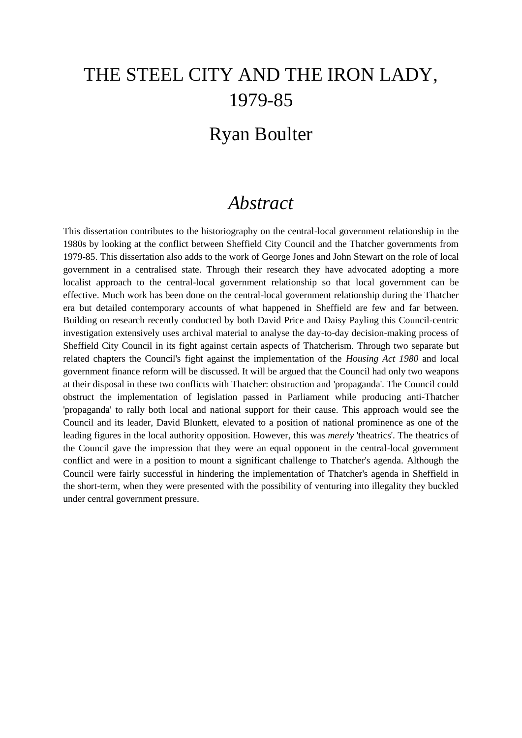## THE STEEL CITY AND THE IRON LADY, 1979-85

### Ryan Boulter

#### *Abstract*

This dissertation contributes to the historiography on the central-local government relationship in the 1980s by looking at the conflict between Sheffield City Council and the Thatcher governments from 1979-85. This dissertation also adds to the work of George Jones and John Stewart on the role of local government in a centralised state. Through their research they have advocated adopting a more localist approach to the central-local government relationship so that local government can be effective. Much work has been done on the central-local government relationship during the Thatcher era but detailed contemporary accounts of what happened in Sheffield are few and far between. Building on research recently conducted by both David Price and Daisy Payling this Council-centric investigation extensively uses archival material to analyse the day-to-day decision-making process of Sheffield City Council in its fight against certain aspects of Thatcherism. Through two separate but related chapters the Council's fight against the implementation of the *Housing Act 1980* and local government finance reform will be discussed. It will be argued that the Council had only two weapons at their disposal in these two conflicts with Thatcher: obstruction and 'propaganda'. The Council could obstruct the implementation of legislation passed in Parliament while producing anti-Thatcher 'propaganda' to rally both local and national support for their cause. This approach would see the Council and its leader, David Blunkett, elevated to a position of national prominence as one of the leading figures in the local authority opposition. However, this was *merely* 'theatrics'. The theatrics of the Council gave the impression that they were an equal opponent in the central-local government conflict and were in a position to mount a significant challenge to Thatcher's agenda. Although the Council were fairly successful in hindering the implementation of Thatcher's agenda in Sheffield in the short-term, when they were presented with the possibility of venturing into illegality they buckled under central government pressure.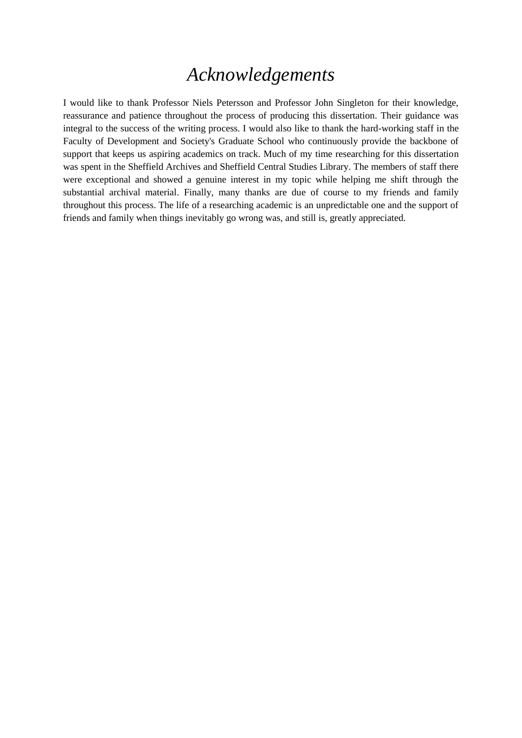#### *Acknowledgements*

I would like to thank Professor Niels Petersson and Professor John Singleton for their knowledge, reassurance and patience throughout the process of producing this dissertation. Their guidance was integral to the success of the writing process. I would also like to thank the hard-working staff in the Faculty of Development and Society's Graduate School who continuously provide the backbone of support that keeps us aspiring academics on track. Much of my time researching for this dissertation was spent in the Sheffield Archives and Sheffield Central Studies Library. The members of staff there were exceptional and showed a genuine interest in my topic while helping me shift through the substantial archival material. Finally, many thanks are due of course to my friends and family throughout this process. The life of a researching academic is an unpredictable one and the support of friends and family when things inevitably go wrong was, and still is, greatly appreciated.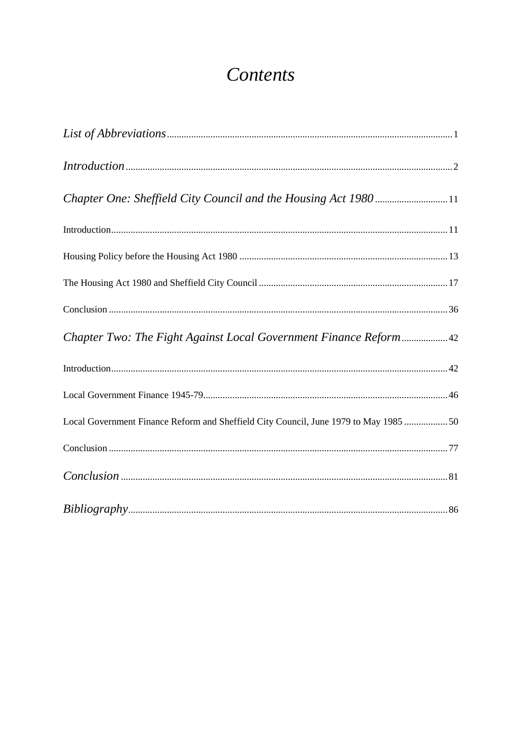## Contents

| Local Government Finance Reform and Sheffield City Council, June 1979 to May 1985  50 |  |
|---------------------------------------------------------------------------------------|--|
|                                                                                       |  |
|                                                                                       |  |
|                                                                                       |  |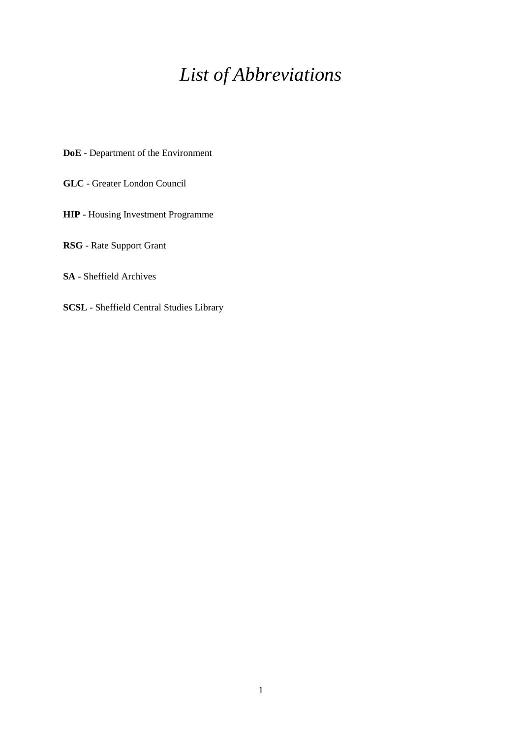## *List of Abbreviations*

**DoE** - Department of the Environment

**GLC** - Greater London Council

**HIP** - Housing Investment Programme

**RSG** - Rate Support Grant

**SA** - Sheffield Archives

**SCSL** - Sheffield Central Studies Library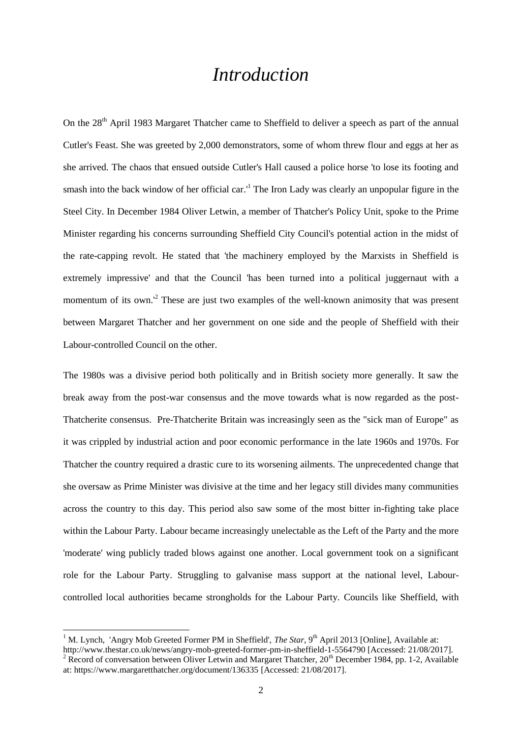#### *Introduction*

On the 28<sup>th</sup> April 1983 Margaret Thatcher came to Sheffield to deliver a speech as part of the annual Cutler's Feast. She was greeted by 2,000 demonstrators, some of whom threw flour and eggs at her as she arrived. The chaos that ensued outside Cutler's Hall caused a police horse 'to lose its footing and smash into the back window of her official car.<sup>1</sup> The Iron Lady was clearly an unpopular figure in the Steel City. In December 1984 Oliver Letwin, a member of Thatcher's Policy Unit, spoke to the Prime Minister regarding his concerns surrounding Sheffield City Council's potential action in the midst of the rate-capping revolt. He stated that 'the machinery employed by the Marxists in Sheffield is extremely impressive' and that the Council 'has been turned into a political juggernaut with a momentum of its own.<sup>12</sup> These are just two examples of the well-known animosity that was present between Margaret Thatcher and her government on one side and the people of Sheffield with their Labour-controlled Council on the other.

The 1980s was a divisive period both politically and in British society more generally. It saw the break away from the post-war consensus and the move towards what is now regarded as the post-Thatcherite consensus. Pre-Thatcherite Britain was increasingly seen as the "sick man of Europe" as it was crippled by industrial action and poor economic performance in the late 1960s and 1970s. For Thatcher the country required a drastic cure to its worsening ailments. The unprecedented change that she oversaw as Prime Minister was divisive at the time and her legacy still divides many communities across the country to this day. This period also saw some of the most bitter in-fighting take place within the Labour Party. Labour became increasingly unelectable as the Left of the Party and the more 'moderate' wing publicly traded blows against one another. Local government took on a significant role for the Labour Party. Struggling to galvanise mass support at the national level, Labourcontrolled local authorities became strongholds for the Labour Party. Councils like Sheffield, with

<sup>&</sup>lt;sup>1</sup> M. Lynch, 'Angry Mob Greeted Former PM in Sheffield', *The Star*, 9<sup>th</sup> April 2013 [Online], Available at: http://www.thestar.co.uk/news/angry-mob-greeted-former-pm-in-sheffield-1-5564790 [Accessed: 21/08/2017]. <sup>2</sup> Record of conversation between Oliver Letwin and Margaret Thatcher,  $20^{th}$  December 1984, pp. 1-2, Available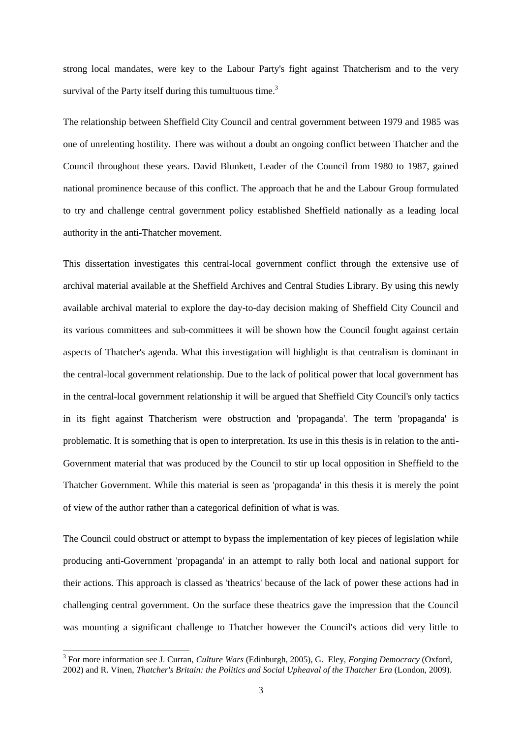strong local mandates, were key to the Labour Party's fight against Thatcherism and to the very survival of the Party itself during this tumultuous time.<sup>3</sup>

The relationship between Sheffield City Council and central government between 1979 and 1985 was one of unrelenting hostility. There was without a doubt an ongoing conflict between Thatcher and the Council throughout these years. David Blunkett, Leader of the Council from 1980 to 1987, gained national prominence because of this conflict. The approach that he and the Labour Group formulated to try and challenge central government policy established Sheffield nationally as a leading local authority in the anti-Thatcher movement.

This dissertation investigates this central-local government conflict through the extensive use of archival material available at the Sheffield Archives and Central Studies Library. By using this newly available archival material to explore the day-to-day decision making of Sheffield City Council and its various committees and sub-committees it will be shown how the Council fought against certain aspects of Thatcher's agenda. What this investigation will highlight is that centralism is dominant in the central-local government relationship. Due to the lack of political power that local government has in the central-local government relationship it will be argued that Sheffield City Council's only tactics in its fight against Thatcherism were obstruction and 'propaganda'. The term 'propaganda' is problematic. It is something that is open to interpretation. Its use in this thesis is in relation to the anti-Government material that was produced by the Council to stir up local opposition in Sheffield to the Thatcher Government. While this material is seen as 'propaganda' in this thesis it is merely the point of view of the author rather than a categorical definition of what is was.

The Council could obstruct or attempt to bypass the implementation of key pieces of legislation while producing anti-Government 'propaganda' in an attempt to rally both local and national support for their actions. This approach is classed as 'theatrics' because of the lack of power these actions had in challenging central government. On the surface these theatrics gave the impression that the Council was mounting a significant challenge to Thatcher however the Council's actions did very little to

 3 For more information see J. Curran, *Culture Wars* (Edinburgh, 2005), G. Eley, *Forging Democracy* (Oxford, 2002) and R. Vinen, *Thatcher's Britain: the Politics and Social Upheaval of the Thatcher Era* (London, 2009).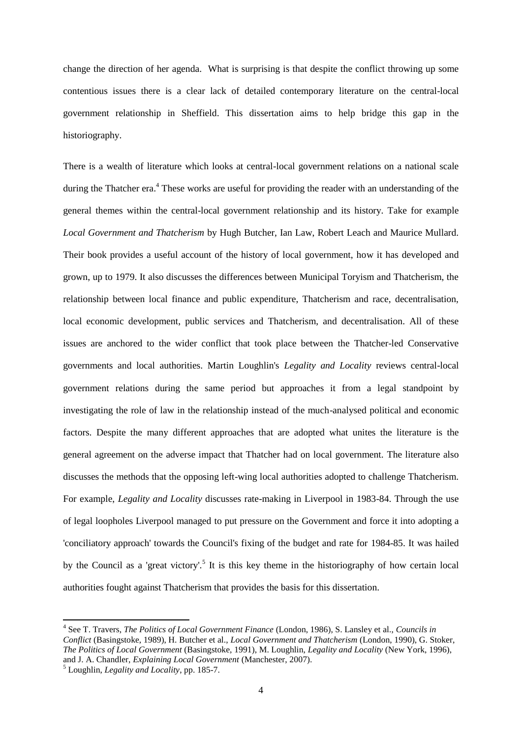change the direction of her agenda. What is surprising is that despite the conflict throwing up some contentious issues there is a clear lack of detailed contemporary literature on the central-local government relationship in Sheffield. This dissertation aims to help bridge this gap in the historiography.

There is a wealth of literature which looks at central-local government relations on a national scale during the Thatcher era.<sup>4</sup> These works are useful for providing the reader with an understanding of the general themes within the central-local government relationship and its history. Take for example *Local Government and Thatcherism* by Hugh Butcher, Ian Law, Robert Leach and Maurice Mullard. Their book provides a useful account of the history of local government, how it has developed and grown, up to 1979. It also discusses the differences between Municipal Toryism and Thatcherism, the relationship between local finance and public expenditure, Thatcherism and race, decentralisation, local economic development, public services and Thatcherism, and decentralisation. All of these issues are anchored to the wider conflict that took place between the Thatcher-led Conservative governments and local authorities. Martin Loughlin's *Legality and Locality* reviews central-local government relations during the same period but approaches it from a legal standpoint by investigating the role of law in the relationship instead of the much-analysed political and economic factors. Despite the many different approaches that are adopted what unites the literature is the general agreement on the adverse impact that Thatcher had on local government. The literature also discusses the methods that the opposing left-wing local authorities adopted to challenge Thatcherism. For example, *Legality and Locality* discusses rate-making in Liverpool in 1983-84. Through the use of legal loopholes Liverpool managed to put pressure on the Government and force it into adopting a 'conciliatory approach' towards the Council's fixing of the budget and rate for 1984-85. It was hailed by the Council as a 'great victory'.<sup>5</sup> It is this key theme in the historiography of how certain local authorities fought against Thatcherism that provides the basis for this dissertation.

<sup>4</sup> See T. Travers, *The Politics of Local Government Finance* (London, 1986), S. Lansley et al., *Councils in Conflict* (Basingstoke, 1989), H. Butcher et al., *Local Government and Thatcherism* (London, 1990), G. Stoker, *The Politics of Local Government* (Basingstoke, 1991), M. Loughlin, *Legality and Locality* (New York, 1996), and J. A. Chandler, *Explaining Local Government* (Manchester, 2007).

<sup>5</sup> Loughlin, *Legality and Locality*, pp. 185-7.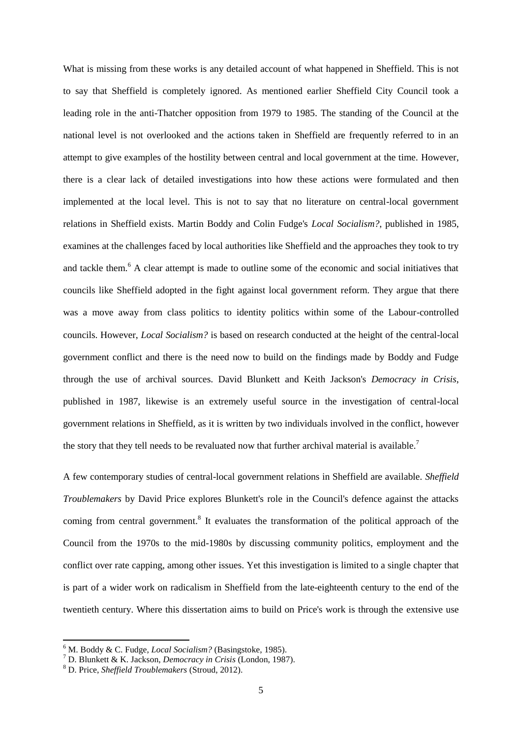What is missing from these works is any detailed account of what happened in Sheffield. This is not to say that Sheffield is completely ignored. As mentioned earlier Sheffield City Council took a leading role in the anti-Thatcher opposition from 1979 to 1985. The standing of the Council at the national level is not overlooked and the actions taken in Sheffield are frequently referred to in an attempt to give examples of the hostility between central and local government at the time. However, there is a clear lack of detailed investigations into how these actions were formulated and then implemented at the local level. This is not to say that no literature on central-local government relations in Sheffield exists. Martin Boddy and Colin Fudge's *Local Socialism?*, published in 1985, examines at the challenges faced by local authorities like Sheffield and the approaches they took to try and tackle them.<sup>6</sup> A clear attempt is made to outline some of the economic and social initiatives that councils like Sheffield adopted in the fight against local government reform. They argue that there was a move away from class politics to identity politics within some of the Labour-controlled councils. However, *Local Socialism?* is based on research conducted at the height of the central-local government conflict and there is the need now to build on the findings made by Boddy and Fudge through the use of archival sources. David Blunkett and Keith Jackson's *Democracy in Crisis*, published in 1987, likewise is an extremely useful source in the investigation of central-local government relations in Sheffield, as it is written by two individuals involved in the conflict, however the story that they tell needs to be revaluated now that further archival material is available.<sup>7</sup>

A few contemporary studies of central-local government relations in Sheffield are available. *Sheffield Troublemakers* by David Price explores Blunkett's role in the Council's defence against the attacks coming from central government.<sup>8</sup> It evaluates the transformation of the political approach of the Council from the 1970s to the mid-1980s by discussing community politics, employment and the conflict over rate capping, among other issues. Yet this investigation is limited to a single chapter that is part of a wider work on radicalism in Sheffield from the late-eighteenth century to the end of the twentieth century. Where this dissertation aims to build on Price's work is through the extensive use

<sup>6</sup> M. Boddy & C. Fudge, *Local Socialism?* (Basingstoke, 1985).

<sup>7</sup> D. Blunkett & K. Jackson, *Democracy in Crisis* (London, 1987).

<sup>8</sup> D. Price, *Sheffield Troublemakers* (Stroud, 2012).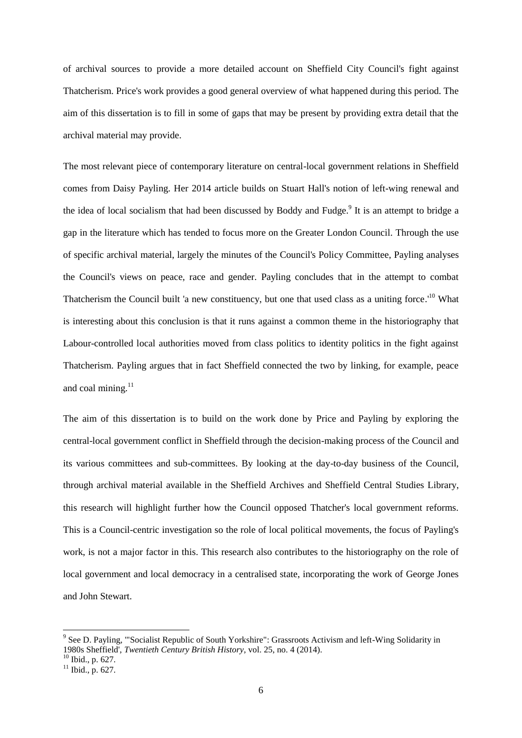of archival sources to provide a more detailed account on Sheffield City Council's fight against Thatcherism. Price's work provides a good general overview of what happened during this period. The aim of this dissertation is to fill in some of gaps that may be present by providing extra detail that the archival material may provide.

The most relevant piece of contemporary literature on central-local government relations in Sheffield comes from Daisy Payling. Her 2014 article builds on Stuart Hall's notion of left-wing renewal and the idea of local socialism that had been discussed by Boddy and Fudge.<sup>9</sup> It is an attempt to bridge a gap in the literature which has tended to focus more on the Greater London Council. Through the use of specific archival material, largely the minutes of the Council's Policy Committee, Payling analyses the Council's views on peace, race and gender. Payling concludes that in the attempt to combat Thatcherism the Council built 'a new constituency, but one that used class as a uniting force.<sup>10</sup> What is interesting about this conclusion is that it runs against a common theme in the historiography that Labour-controlled local authorities moved from class politics to identity politics in the fight against Thatcherism. Payling argues that in fact Sheffield connected the two by linking, for example, peace and coal mining. $11$ 

The aim of this dissertation is to build on the work done by Price and Payling by exploring the central-local government conflict in Sheffield through the decision-making process of the Council and its various committees and sub-committees. By looking at the day-to-day business of the Council, through archival material available in the Sheffield Archives and Sheffield Central Studies Library, this research will highlight further how the Council opposed Thatcher's local government reforms. This is a Council-centric investigation so the role of local political movements, the focus of Payling's work, is not a major factor in this. This research also contributes to the historiography on the role of local government and local democracy in a centralised state, incorporating the work of George Jones and John Stewart.

<sup>&</sup>lt;sup>9</sup> See D. Payling, "'Socialist Republic of South Yorkshire": Grassroots Activism and left-Wing Solidarity in 1980s Sheffield', *Twentieth Century British History*, vol. 25, no. 4 (2014).

<sup>&</sup>lt;sup>10</sup> Ibid., p. 627.

 $11$  Ibid., p. 627.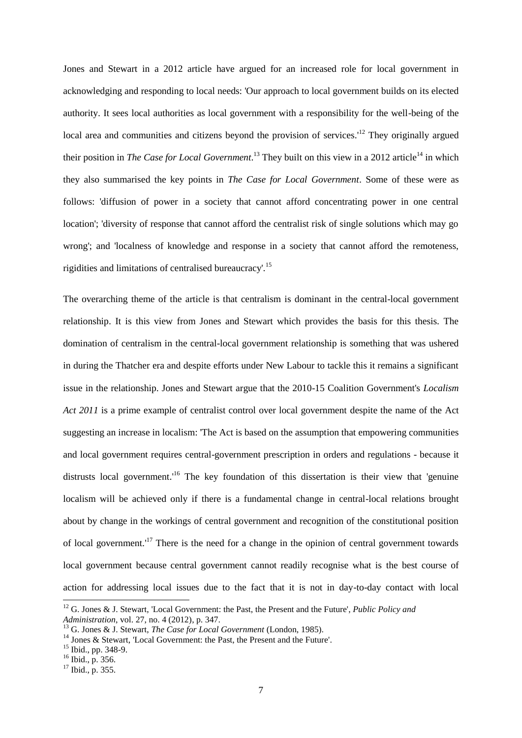Jones and Stewart in a 2012 article have argued for an increased role for local government in acknowledging and responding to local needs: 'Our approach to local government builds on its elected authority. It sees local authorities as local government with a responsibility for the well-being of the local area and communities and citizens beyond the provision of services.<sup>12</sup> They originally argued their position in *The Case for Local Government*.<sup>13</sup> They built on this view in a 2012 article<sup>14</sup> in which they also summarised the key points in *The Case for Local Government*. Some of these were as follows: 'diffusion of power in a society that cannot afford concentrating power in one central location'; 'diversity of response that cannot afford the centralist risk of single solutions which may go wrong'; and 'localness of knowledge and response in a society that cannot afford the remoteness, rigidities and limitations of centralised bureaucracy'.<sup>15</sup>

The overarching theme of the article is that centralism is dominant in the central-local government relationship. It is this view from Jones and Stewart which provides the basis for this thesis. The domination of centralism in the central-local government relationship is something that was ushered in during the Thatcher era and despite efforts under New Labour to tackle this it remains a significant issue in the relationship. Jones and Stewart argue that the 2010-15 Coalition Government's *Localism Act 2011* is a prime example of centralist control over local government despite the name of the Act suggesting an increase in localism: 'The Act is based on the assumption that empowering communities and local government requires central-government prescription in orders and regulations - because it distrusts local government.<sup>16</sup> The key foundation of this dissertation is their view that 'genuine localism will be achieved only if there is a fundamental change in central-local relations brought about by change in the workings of central government and recognition of the constitutional position of local government.<sup>17</sup> There is the need for a change in the opinion of central government towards local government because central government cannot readily recognise what is the best course of action for addressing local issues due to the fact that it is not in day-to-day contact with local

<sup>12</sup> G. Jones & J. Stewart, 'Local Government: the Past, the Present and the Future', *Public Policy and Administration*, vol. 27, no. 4 (2012), p. 347.

<sup>13</sup> G. Jones & J. Stewart, *The Case for Local Government* (London, 1985).

<sup>&</sup>lt;sup>14</sup> Jones & Stewart, 'Local Government: the Past, the Present and the Future'.

<sup>&</sup>lt;sup>15</sup> Ibid., pp. 348-9.

<sup>16</sup> Ibid., p. 356.

 $17$  Ibid., p. 355.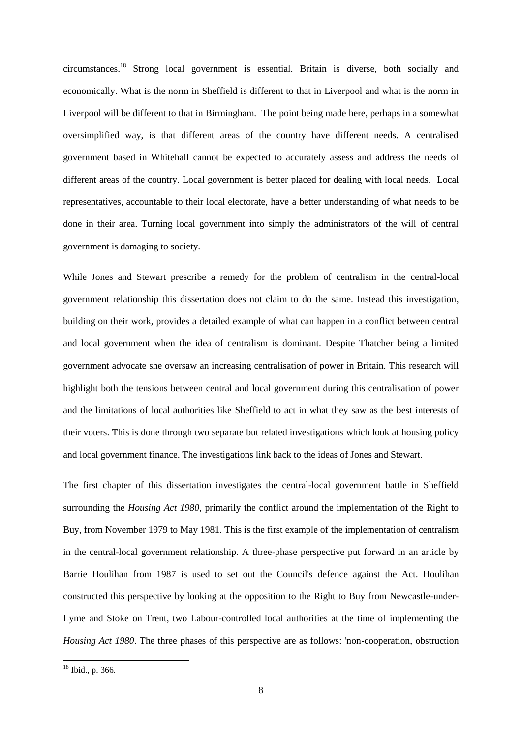circumstances.<sup>18</sup> Strong local government is essential. Britain is diverse, both socially and economically. What is the norm in Sheffield is different to that in Liverpool and what is the norm in Liverpool will be different to that in Birmingham. The point being made here, perhaps in a somewhat oversimplified way, is that different areas of the country have different needs. A centralised government based in Whitehall cannot be expected to accurately assess and address the needs of different areas of the country. Local government is better placed for dealing with local needs. Local representatives, accountable to their local electorate, have a better understanding of what needs to be done in their area. Turning local government into simply the administrators of the will of central government is damaging to society.

While Jones and Stewart prescribe a remedy for the problem of centralism in the central-local government relationship this dissertation does not claim to do the same. Instead this investigation, building on their work, provides a detailed example of what can happen in a conflict between central and local government when the idea of centralism is dominant. Despite Thatcher being a limited government advocate she oversaw an increasing centralisation of power in Britain. This research will highlight both the tensions between central and local government during this centralisation of power and the limitations of local authorities like Sheffield to act in what they saw as the best interests of their voters. This is done through two separate but related investigations which look at housing policy and local government finance. The investigations link back to the ideas of Jones and Stewart.

The first chapter of this dissertation investigates the central-local government battle in Sheffield surrounding the *Housing Act 1980*, primarily the conflict around the implementation of the Right to Buy, from November 1979 to May 1981. This is the first example of the implementation of centralism in the central-local government relationship. A three-phase perspective put forward in an article by Barrie Houlihan from 1987 is used to set out the Council's defence against the Act. Houlihan constructed this perspective by looking at the opposition to the Right to Buy from Newcastle-under-Lyme and Stoke on Trent, two Labour-controlled local authorities at the time of implementing the *Housing Act 1980*. The three phases of this perspective are as follows: 'non-cooperation, obstruction

 $18$  Ibid., p. 366.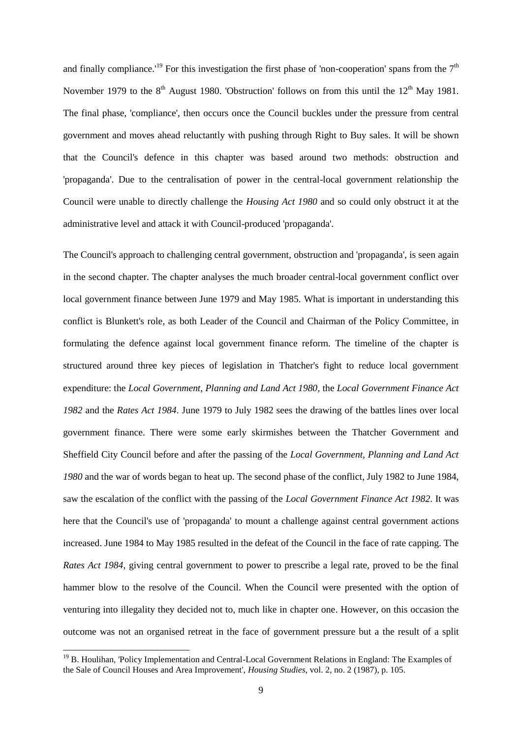and finally compliance.<sup>19</sup> For this investigation the first phase of 'non-cooperation' spans from the  $7<sup>th</sup>$ November 1979 to the  $8<sup>th</sup>$  August 1980. 'Obstruction' follows on from this until the  $12<sup>th</sup>$  May 1981. The final phase, 'compliance', then occurs once the Council buckles under the pressure from central government and moves ahead reluctantly with pushing through Right to Buy sales. It will be shown that the Council's defence in this chapter was based around two methods: obstruction and 'propaganda'. Due to the centralisation of power in the central-local government relationship the Council were unable to directly challenge the *Housing Act 1980* and so could only obstruct it at the administrative level and attack it with Council-produced 'propaganda'.

The Council's approach to challenging central government, obstruction and 'propaganda', is seen again in the second chapter. The chapter analyses the much broader central-local government conflict over local government finance between June 1979 and May 1985. What is important in understanding this conflict is Blunkett's role, as both Leader of the Council and Chairman of the Policy Committee, in formulating the defence against local government finance reform. The timeline of the chapter is structured around three key pieces of legislation in Thatcher's fight to reduce local government expenditure: the *Local Government, Planning and Land Act 1980*, the *Local Government Finance Act 1982* and the *Rates Act 1984*. June 1979 to July 1982 sees the drawing of the battles lines over local government finance. There were some early skirmishes between the Thatcher Government and Sheffield City Council before and after the passing of the *Local Government, Planning and Land Act 1980* and the war of words began to heat up. The second phase of the conflict, July 1982 to June 1984, saw the escalation of the conflict with the passing of the *Local Government Finance Act 1982*. It was here that the Council's use of 'propaganda' to mount a challenge against central government actions increased. June 1984 to May 1985 resulted in the defeat of the Council in the face of rate capping. The *Rates Act 1984*, giving central government to power to prescribe a legal rate, proved to be the final hammer blow to the resolve of the Council. When the Council were presented with the option of venturing into illegality they decided not to, much like in chapter one. However, on this occasion the outcome was not an organised retreat in the face of government pressure but a the result of a split

<sup>&</sup>lt;sup>19</sup> B. Houlihan, 'Policy Implementation and Central-Local Government Relations in England: The Examples of the Sale of Council Houses and Area Improvement', *Housing Studies*, vol. 2, no. 2 (1987), p. 105.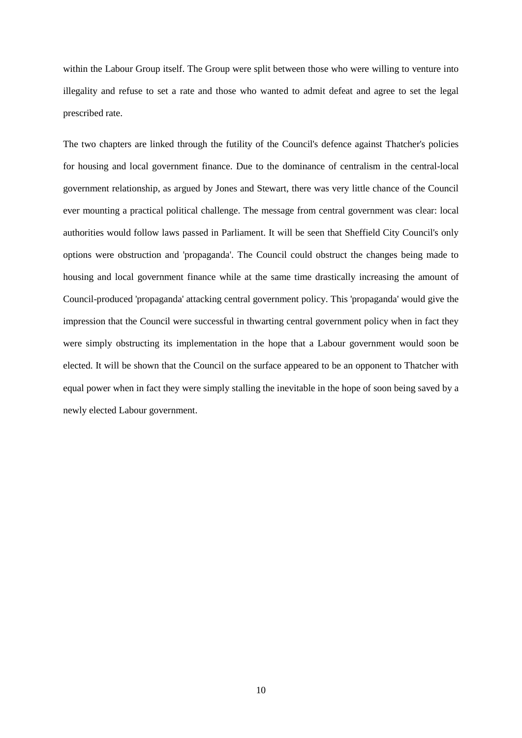within the Labour Group itself. The Group were split between those who were willing to venture into illegality and refuse to set a rate and those who wanted to admit defeat and agree to set the legal prescribed rate.

The two chapters are linked through the futility of the Council's defence against Thatcher's policies for housing and local government finance. Due to the dominance of centralism in the central-local government relationship, as argued by Jones and Stewart, there was very little chance of the Council ever mounting a practical political challenge. The message from central government was clear: local authorities would follow laws passed in Parliament. It will be seen that Sheffield City Council's only options were obstruction and 'propaganda'. The Council could obstruct the changes being made to housing and local government finance while at the same time drastically increasing the amount of Council-produced 'propaganda' attacking central government policy. This 'propaganda' would give the impression that the Council were successful in thwarting central government policy when in fact they were simply obstructing its implementation in the hope that a Labour government would soon be elected. It will be shown that the Council on the surface appeared to be an opponent to Thatcher with equal power when in fact they were simply stalling the inevitable in the hope of soon being saved by a newly elected Labour government.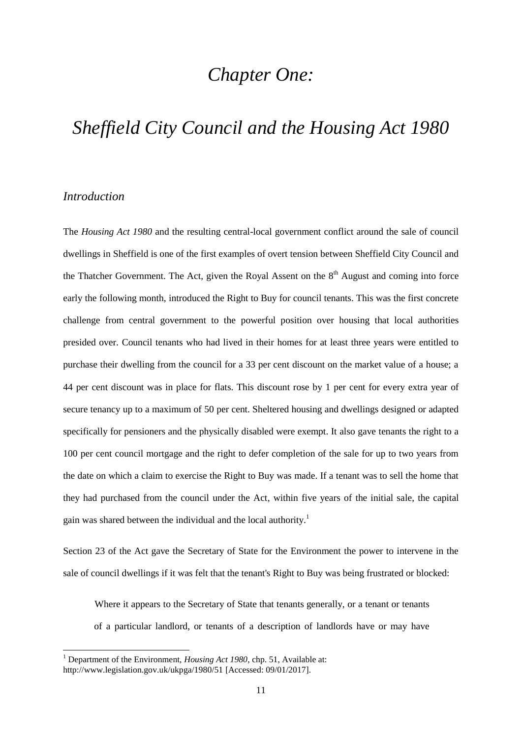#### *Chapter One:*

#### *Sheffield City Council and the Housing Act 1980*

#### *Introduction*

1

The *Housing Act 1980* and the resulting central-local government conflict around the sale of council dwellings in Sheffield is one of the first examples of overt tension between Sheffield City Council and the Thatcher Government. The Act, given the Royal Assent on the  $8<sup>th</sup>$  August and coming into force early the following month, introduced the Right to Buy for council tenants. This was the first concrete challenge from central government to the powerful position over housing that local authorities presided over. Council tenants who had lived in their homes for at least three years were entitled to purchase their dwelling from the council for a 33 per cent discount on the market value of a house; a 44 per cent discount was in place for flats. This discount rose by 1 per cent for every extra year of secure tenancy up to a maximum of 50 per cent. Sheltered housing and dwellings designed or adapted specifically for pensioners and the physically disabled were exempt. It also gave tenants the right to a 100 per cent council mortgage and the right to defer completion of the sale for up to two years from the date on which a claim to exercise the Right to Buy was made. If a tenant was to sell the home that they had purchased from the council under the Act, within five years of the initial sale, the capital gain was shared between the individual and the local authority.<sup>1</sup>

Section 23 of the Act gave the Secretary of State for the Environment the power to intervene in the sale of council dwellings if it was felt that the tenant's Right to Buy was being frustrated or blocked:

Where it appears to the Secretary of State that tenants generally, or a tenant or tenants of a particular landlord, or tenants of a description of landlords have or may have

<sup>&</sup>lt;sup>1</sup> Department of the Environment, *Housing Act 1980*, chp. 51, Available at: http://www.legislation.gov.uk/ukpga/1980/51 [Accessed: 09/01/2017].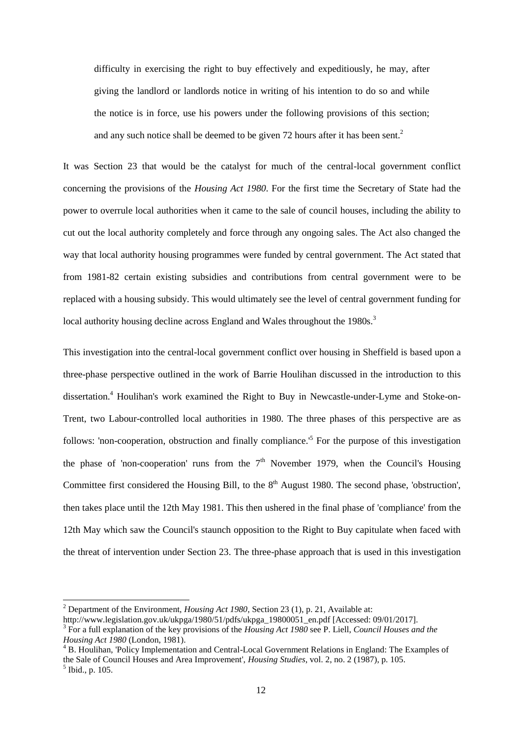difficulty in exercising the right to buy effectively and expeditiously, he may, after giving the landlord or landlords notice in writing of his intention to do so and while the notice is in force, use his powers under the following provisions of this section; and any such notice shall be deemed to be given 72 hours after it has been sent.<sup>2</sup>

It was Section 23 that would be the catalyst for much of the central-local government conflict concerning the provisions of the *Housing Act 1980*. For the first time the Secretary of State had the power to overrule local authorities when it came to the sale of council houses, including the ability to cut out the local authority completely and force through any ongoing sales. The Act also changed the way that local authority housing programmes were funded by central government. The Act stated that from 1981-82 certain existing subsidies and contributions from central government were to be replaced with a housing subsidy. This would ultimately see the level of central government funding for local authority housing decline across England and Wales throughout the 1980s.<sup>3</sup>

This investigation into the central-local government conflict over housing in Sheffield is based upon a three-phase perspective outlined in the work of Barrie Houlihan discussed in the introduction to this dissertation. <sup>4</sup> Houlihan's work examined the Right to Buy in Newcastle-under-Lyme and Stoke-on-Trent, two Labour-controlled local authorities in 1980. The three phases of this perspective are as follows: 'non-cooperation, obstruction and finally compliance.<sup>5</sup> For the purpose of this investigation the phase of 'non-cooperation' runs from the  $7<sup>th</sup>$  November 1979, when the Council's Housing Committee first considered the Housing Bill, to the  $8<sup>th</sup>$  August 1980. The second phase, 'obstruction', then takes place until the 12th May 1981. This then ushered in the final phase of 'compliance' from the 12th May which saw the Council's staunch opposition to the Right to Buy capitulate when faced with the threat of intervention under Section 23. The three-phase approach that is used in this investigation

<sup>2</sup> Department of the Environment, *Housing Act 1980*, Section 23 (1), p. 21, Available at:

http://www.legislation.gov.uk/ukpga/1980/51/pdfs/ukpga\_19800051\_en.pdf [Accessed: 09/01/2017].

<sup>3</sup> For a full explanation of the key provisions of the *Housing Act 1980* see P. Liell, *Council Houses and the Housing Act 1980* (London, 1981).

<sup>4</sup> B. Houlihan, 'Policy Implementation and Central-Local Government Relations in England: The Examples of the Sale of Council Houses and Area Improvement', *Housing Studies*, vol. 2, no. 2 (1987), p. 105.  $<sup>5</sup>$  Ibid., p. 105.</sup>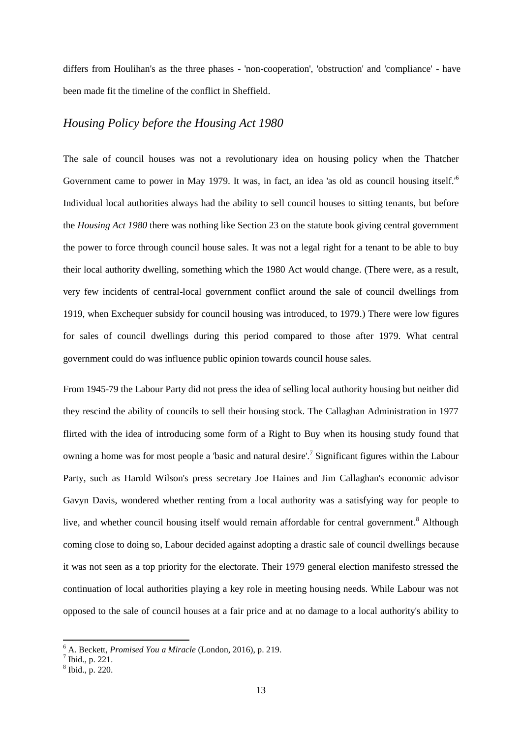differs from Houlihan's as the three phases - 'non-cooperation', 'obstruction' and 'compliance' - have been made fit the timeline of the conflict in Sheffield.

#### *Housing Policy before the Housing Act 1980*

The sale of council houses was not a revolutionary idea on housing policy when the Thatcher Government came to power in May 1979. It was, in fact, an idea 'as old as council housing itself.'<sup>6</sup> Individual local authorities always had the ability to sell council houses to sitting tenants, but before the *Housing Act 1980* there was nothing like Section 23 on the statute book giving central government the power to force through council house sales. It was not a legal right for a tenant to be able to buy their local authority dwelling, something which the 1980 Act would change. (There were, as a result, very few incidents of central-local government conflict around the sale of council dwellings from 1919, when Exchequer subsidy for council housing was introduced, to 1979.) There were low figures for sales of council dwellings during this period compared to those after 1979. What central government could do was influence public opinion towards council house sales.

From 1945-79 the Labour Party did not press the idea of selling local authority housing but neither did they rescind the ability of councils to sell their housing stock. The Callaghan Administration in 1977 flirted with the idea of introducing some form of a Right to Buy when its housing study found that owning a home was for most people a 'basic and natural desire'.<sup>7</sup> Significant figures within the Labour Party, such as Harold Wilson's press secretary Joe Haines and Jim Callaghan's economic advisor Gavyn Davis, wondered whether renting from a local authority was a satisfying way for people to live, and whether council housing itself would remain affordable for central government.<sup>8</sup> Although coming close to doing so, Labour decided against adopting a drastic sale of council dwellings because it was not seen as a top priority for the electorate. Their 1979 general election manifesto stressed the continuation of local authorities playing a key role in meeting housing needs. While Labour was not opposed to the sale of council houses at a fair price and at no damage to a local authority's ability to

<sup>6</sup> A. Beckett, *Promised You a Miracle* (London, 2016), p. 219.

 $<sup>7</sup>$  Ibid., p. 221.</sup>

<sup>8</sup> Ibid., p. 220.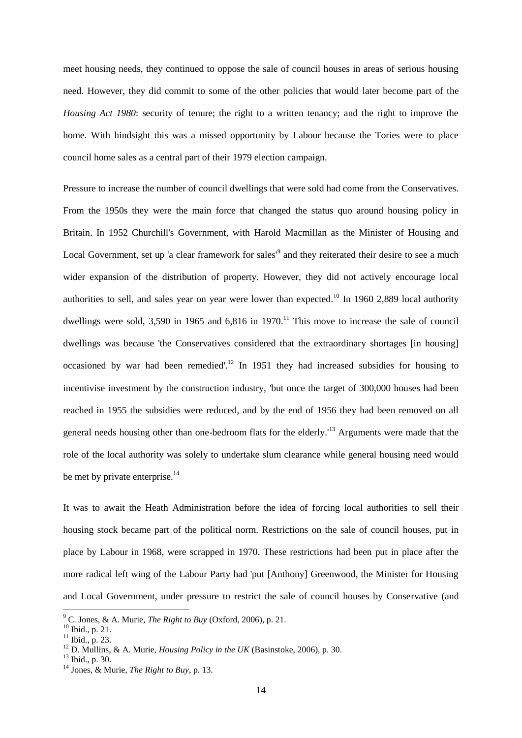meet housing needs, they continued to oppose the sale of council houses in areas of serious housing need. However, they did commit to some of the other policies that would later become part of the *Housing Act 1980*: security of tenure; the right to a written tenancy; and the right to improve the home. With hindsight this was a missed opportunity by Labour because the Tories were to place council home sales as a central part of their 1979 election campaign.

Pressure to increase the number of council dwellings that were sold had come from the Conservatives. From the 1950s they were the main force that changed the status quo around housing policy in Britain. In 1952 Churchill's Government, with Harold Macmillan as the Minister of Housing and Local Government, set up 'a clear framework for sales<sup>'9</sup> and they reiterated their desire to see a much wider expansion of the distribution of property. However, they did not actively encourage local authorities to sell, and sales year on year were lower than expected.<sup>10</sup> In 1960 2,889 local authority dwellings were sold, 3,590 in 1965 and 6,816 in 1970.<sup>11</sup> This move to increase the sale of council dwellings was because 'the Conservatives considered that the extraordinary shortages [in housing] occasioned by war had been remedied'.<sup>12</sup> In 1951 they had increased subsidies for housing to incentivise investment by the construction industry, 'but once the target of 300,000 houses had been reached in 1955 the subsidies were reduced, and by the end of 1956 they had been removed on all general needs housing other than one-bedroom flats for the elderly.'<sup>13</sup> Arguments were made that the role of the local authority was solely to undertake slum clearance while general housing need would be met by private enterprise.<sup>14</sup>

It was to await the Heath Administration before the idea of forcing local authorities to sell their housing stock became part of the political norm. Restrictions on the sale of council houses, put in place by Labour in 1968, were scrapped in 1970. These restrictions had been put in place after the more radical left wing of the Labour Party had 'put [Anthony] Greenwood, the Minister for Housing and Local Government, under pressure to restrict the sale of council houses by Conservative (and

<sup>9</sup> C. Jones, & A. Murie, *The Right to Buy* (Oxford, 2006), p. 21.

<sup>10</sup> Ibid., p. 21.

 $11$  Ibid., p. 23.

<sup>12</sup> D. Mullins, & A. Murie, *Housing Policy in the UK* (Basinstoke, 2006), p. 30.

 $13$  Ibid., p. 30.

<sup>14</sup> Jones, & Murie, *The Right to Buy*, p. 13.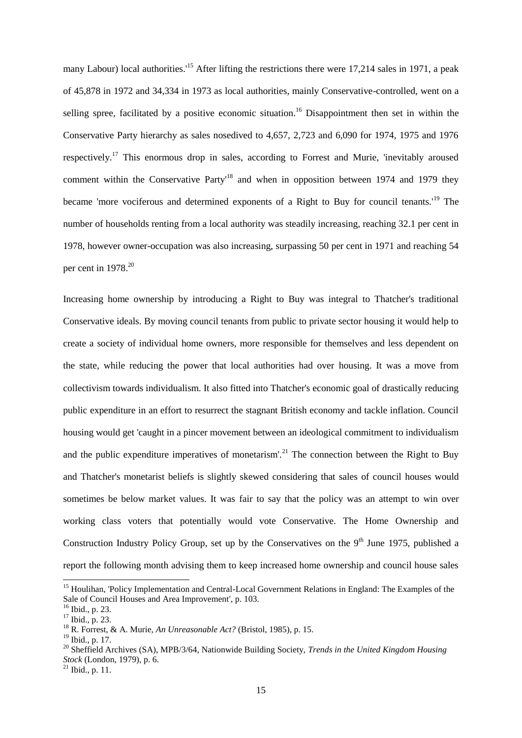many Labour) local authorities.<sup>15</sup> After lifting the restrictions there were 17,214 sales in 1971, a peak of 45,878 in 1972 and 34,334 in 1973 as local authorities, mainly Conservative-controlled, went on a selling spree, facilitated by a positive economic situation.<sup>16</sup> Disappointment then set in within the Conservative Party hierarchy as sales nosedived to 4,657, 2,723 and 6,090 for 1974, 1975 and 1976 respectively.<sup>17</sup> This enormous drop in sales, according to Forrest and Murie, 'inevitably aroused comment within the Conservative Party<sup>18</sup> and when in opposition between 1974 and 1979 they became 'more vociferous and determined exponents of a Right to Buy for council tenants.'<sup>19</sup> The number of households renting from a local authority was steadily increasing, reaching 32.1 per cent in 1978, however owner-occupation was also increasing, surpassing 50 per cent in 1971 and reaching 54 per cent in 1978.<sup>20</sup>

Increasing home ownership by introducing a Right to Buy was integral to Thatcher's traditional Conservative ideals. By moving council tenants from public to private sector housing it would help to create a society of individual home owners, more responsible for themselves and less dependent on the state, while reducing the power that local authorities had over housing. It was a move from collectivism towards individualism. It also fitted into Thatcher's economic goal of drastically reducing public expenditure in an effort to resurrect the stagnant British economy and tackle inflation. Council housing would get 'caught in a pincer movement between an ideological commitment to individualism and the public expenditure imperatives of monetarism'.<sup>21</sup> The connection between the Right to Buy and Thatcher's monetarist beliefs is slightly skewed considering that sales of council houses would sometimes be below market values. It was fair to say that the policy was an attempt to win over working class voters that potentially would vote Conservative. The Home Ownership and Construction Industry Policy Group, set up by the Conservatives on the  $9<sup>th</sup>$  June 1975, published a report the following month advising them to keep increased home ownership and council house sales

<sup>&</sup>lt;sup>15</sup> Houlihan, 'Policy Implementation and Central-Local Government Relations in England: The Examples of the Sale of Council Houses and Area Improvement', p. 103.

<sup>16</sup> Ibid., p. 23.

<sup>17</sup> Ibid., p. 23.

<sup>18</sup> R. Forrest, & A. Murie, *An Unreasonable Act?* (Bristol, 1985), p. 15.

<sup>19</sup> Ibid., p. 17.

<sup>20</sup> Sheffield Archives (SA), MPB/3/64, Nationwide Building Society, *Trends in the United Kingdom Housing Stock* (London, 1979), p. 6.

 $^{21}$  Ibid., p. 11.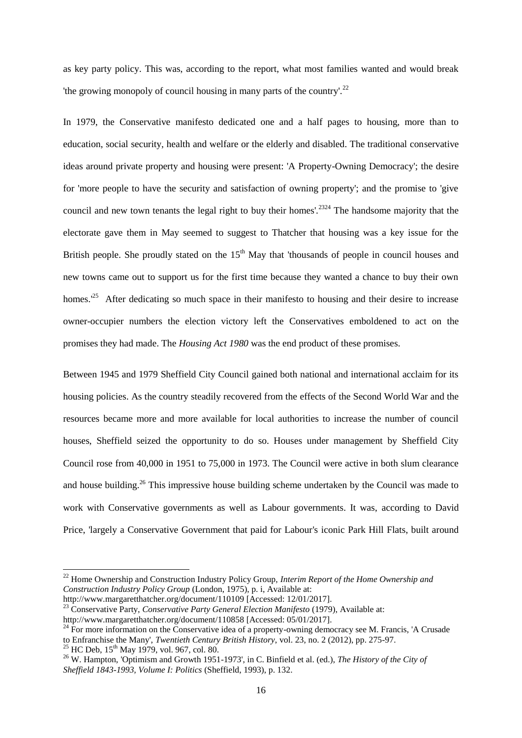as key party policy. This was, according to the report, what most families wanted and would break 'the growing monopoly of council housing in many parts of the country'.<sup>22</sup>

In 1979, the Conservative manifesto dedicated one and a half pages to housing, more than to education, social security, health and welfare or the elderly and disabled. The traditional conservative ideas around private property and housing were present: 'A Property-Owning Democracy'; the desire for 'more people to have the security and satisfaction of owning property'; and the promise to 'give council and new town tenants the legal right to buy their homes'.<sup>2324</sup> The handsome majority that the electorate gave them in May seemed to suggest to Thatcher that housing was a key issue for the British people. She proudly stated on the  $15<sup>th</sup>$  May that 'thousands of people in council houses and new towns came out to support us for the first time because they wanted a chance to buy their own homes.<sup>'25</sup> After dedicating so much space in their manifesto to housing and their desire to increase owner-occupier numbers the election victory left the Conservatives emboldened to act on the promises they had made. The *Housing Act 1980* was the end product of these promises.

Between 1945 and 1979 Sheffield City Council gained both national and international acclaim for its housing policies. As the country steadily recovered from the effects of the Second World War and the resources became more and more available for local authorities to increase the number of council houses, Sheffield seized the opportunity to do so. Houses under management by Sheffield City Council rose from 40,000 in 1951 to 75,000 in 1973. The Council were active in both slum clearance and house building.<sup>26</sup> This impressive house building scheme undertaken by the Council was made to work with Conservative governments as well as Labour governments. It was, according to David Price, 'largely a Conservative Government that paid for Labour's iconic Park Hill Flats, built around

 $^{25}$  HC Deb,  $15^{th}$  May 1979, vol. 967, col. 80.

<sup>22</sup> Home Ownership and Construction Industry Policy Group, *Interim Report of the Home Ownership and Construction Industry Policy Group* (London, 1975), p. i, Available at: http://www.margaretthatcher.org/document/110109 [Accessed: 12/01/2017].

<sup>23</sup> Conservative Party, *Conservative Party General Election Manifesto* (1979), Available at:

http://www.margaretthatcher.org/document/110858 [Accessed: 05/01/2017].

 $24$  For more information on the Conservative idea of a property-owning democracy see M. Francis, 'A Crusade to Enfranchise the Many', *Twentieth Century British History*, vol. 23, no. 2 (2012), pp. 275-97.

<sup>26</sup> W. Hampton, 'Optimism and Growth 1951-1973', in C. Binfield et al. (ed.), *The History of the City of Sheffield 1843-1993, Volume I: Politics* (Sheffield, 1993), p. 132.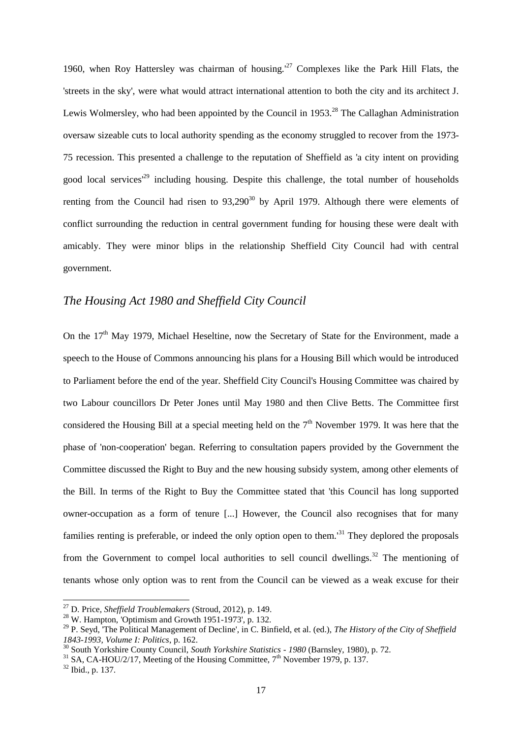1960, when Roy Hattersley was chairman of housing.<sup> $27$ </sup> Complexes like the Park Hill Flats, the 'streets in the sky', were what would attract international attention to both the city and its architect J. Lewis Wolmersley, who had been appointed by the Council in 1953.<sup>28</sup> The Callaghan Administration oversaw sizeable cuts to local authority spending as the economy struggled to recover from the 1973- 75 recession. This presented a challenge to the reputation of Sheffield as 'a city intent on providing good local services<sup>'29</sup> including housing. Despite this challenge, the total number of households renting from the Council had risen to  $93,290^{30}$  by April 1979. Although there were elements of conflict surrounding the reduction in central government funding for housing these were dealt with amicably. They were minor blips in the relationship Sheffield City Council had with central government.

#### *The Housing Act 1980 and Sheffield City Council*

On the  $17<sup>th</sup>$  May 1979, Michael Heseltine, now the Secretary of State for the Environment, made a speech to the House of Commons announcing his plans for a Housing Bill which would be introduced to Parliament before the end of the year. Sheffield City Council's Housing Committee was chaired by two Labour councillors Dr Peter Jones until May 1980 and then Clive Betts. The Committee first considered the Housing Bill at a special meeting held on the  $7<sup>th</sup>$  November 1979. It was here that the phase of 'non-cooperation' began. Referring to consultation papers provided by the Government the Committee discussed the Right to Buy and the new housing subsidy system, among other elements of the Bill. In terms of the Right to Buy the Committee stated that 'this Council has long supported owner-occupation as a form of tenure [...] However, the Council also recognises that for many families renting is preferable, or indeed the only option open to them.<sup>'31</sup> They deplored the proposals from the Government to compel local authorities to sell council dwellings.<sup>32</sup> The mentioning of tenants whose only option was to rent from the Council can be viewed as a weak excuse for their

<sup>27</sup> D. Price, *Sheffield Troublemakers* (Stroud, 2012), p. 149.

 $28$  W. Hampton, 'Optimism and Growth 1951-1973', p. 132.

<sup>29</sup> P. Seyd, 'The Political Management of Decline', in C. Binfield, et al. (ed.), *The History of the City of Sheffield 1843-1993, Volume I: Politics*, p. 162.

<sup>30</sup> South Yorkshire County Council, *South Yorkshire Statistics - 1980* (Barnsley, 1980), p. 72.

 $31$  SA, CA-HOU/2/17, Meeting of the Housing Committee,  $7<sup>th</sup>$  November 1979, p. 137.

 $32$  Ibid., p. 137.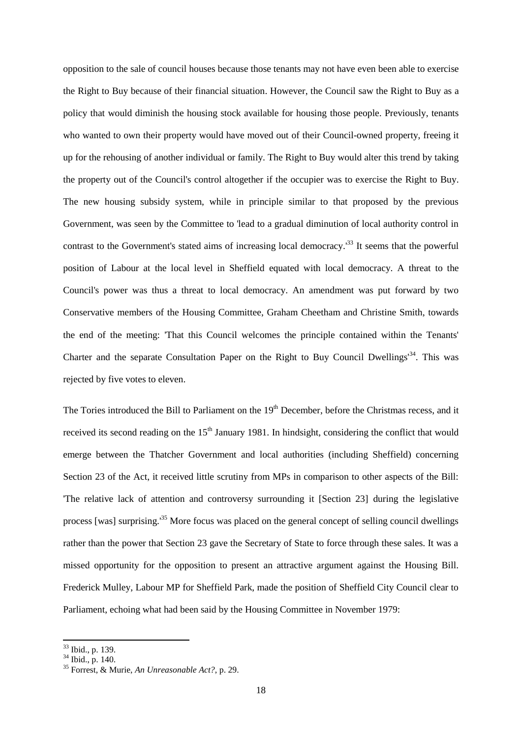opposition to the sale of council houses because those tenants may not have even been able to exercise the Right to Buy because of their financial situation. However, the Council saw the Right to Buy as a policy that would diminish the housing stock available for housing those people. Previously, tenants who wanted to own their property would have moved out of their Council-owned property, freeing it up for the rehousing of another individual or family. The Right to Buy would alter this trend by taking the property out of the Council's control altogether if the occupier was to exercise the Right to Buy. The new housing subsidy system, while in principle similar to that proposed by the previous Government, was seen by the Committee to 'lead to a gradual diminution of local authority control in contrast to the Government's stated aims of increasing local democracy.<sup>33</sup> It seems that the powerful position of Labour at the local level in Sheffield equated with local democracy. A threat to the Council's power was thus a threat to local democracy. An amendment was put forward by two Conservative members of the Housing Committee, Graham Cheetham and Christine Smith, towards the end of the meeting: 'That this Council welcomes the principle contained within the Tenants' Charter and the separate Consultation Paper on the Right to Buy Council Dwellings'<sup>34</sup>. This was rejected by five votes to eleven.

The Tories introduced the Bill to Parliament on the 19<sup>th</sup> December, before the Christmas recess, and it received its second reading on the 15<sup>th</sup> January 1981. In hindsight, considering the conflict that would emerge between the Thatcher Government and local authorities (including Sheffield) concerning Section 23 of the Act, it received little scrutiny from MPs in comparison to other aspects of the Bill: 'The relative lack of attention and controversy surrounding it [Section 23] during the legislative process [was] surprising.'<sup>35</sup> More focus was placed on the general concept of selling council dwellings rather than the power that Section 23 gave the Secretary of State to force through these sales. It was a missed opportunity for the opposition to present an attractive argument against the Housing Bill. Frederick Mulley, Labour MP for Sheffield Park, made the position of Sheffield City Council clear to Parliament, echoing what had been said by the Housing Committee in November 1979:

<sup>&</sup>lt;sup>33</sup> Ibid., p. 139.

 $34$  Ibid., p. 140.

<sup>35</sup> Forrest, & Murie, *An Unreasonable Act?*, p. 29.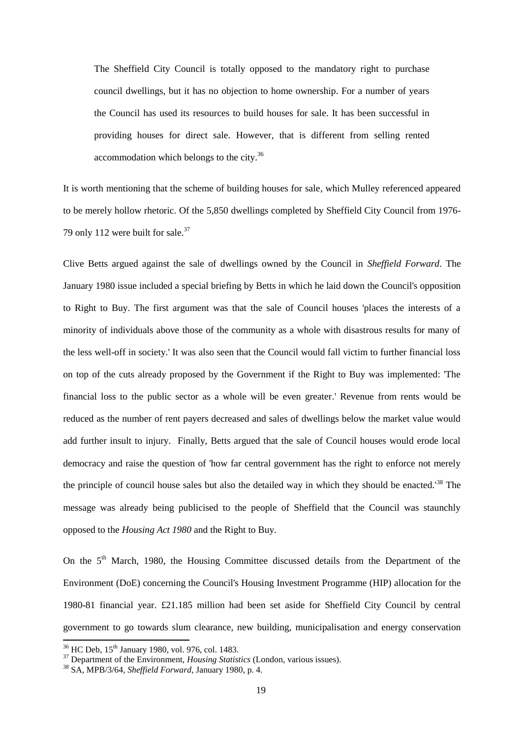The Sheffield City Council is totally opposed to the mandatory right to purchase council dwellings, but it has no objection to home ownership. For a number of years the Council has used its resources to build houses for sale. It has been successful in providing houses for direct sale. However, that is different from selling rented accommodation which belongs to the city.<sup>36</sup>

It is worth mentioning that the scheme of building houses for sale, which Mulley referenced appeared to be merely hollow rhetoric. Of the 5,850 dwellings completed by Sheffield City Council from 1976- 79 only 112 were built for sale.<sup>37</sup>

Clive Betts argued against the sale of dwellings owned by the Council in *Sheffield Forward*. The January 1980 issue included a special briefing by Betts in which he laid down the Council's opposition to Right to Buy. The first argument was that the sale of Council houses 'places the interests of a minority of individuals above those of the community as a whole with disastrous results for many of the less well-off in society.' It was also seen that the Council would fall victim to further financial loss on top of the cuts already proposed by the Government if the Right to Buy was implemented: 'The financial loss to the public sector as a whole will be even greater.' Revenue from rents would be reduced as the number of rent payers decreased and sales of dwellings below the market value would add further insult to injury. Finally, Betts argued that the sale of Council houses would erode local democracy and raise the question of 'how far central government has the right to enforce not merely the principle of council house sales but also the detailed way in which they should be enacted.'<sup>38</sup> The message was already being publicised to the people of Sheffield that the Council was staunchly opposed to the *Housing Act 1980* and the Right to Buy.

On the 5<sup>th</sup> March, 1980, the Housing Committee discussed details from the Department of the Environment (DoE) concerning the Council's Housing Investment Programme (HIP) allocation for the 1980-81 financial year. £21.185 million had been set aside for Sheffield City Council by central government to go towards slum clearance, new building, municipalisation and energy conservation

 $36$  HC Deb,  $15<sup>th</sup>$  January 1980, vol. 976, col. 1483.

<sup>&</sup>lt;sup>37</sup> Department of the Environment, *Housing Statistics* (London, various issues).

<sup>38</sup> SA, MPB/3/64, *Sheffield Forward*, January 1980, p. 4.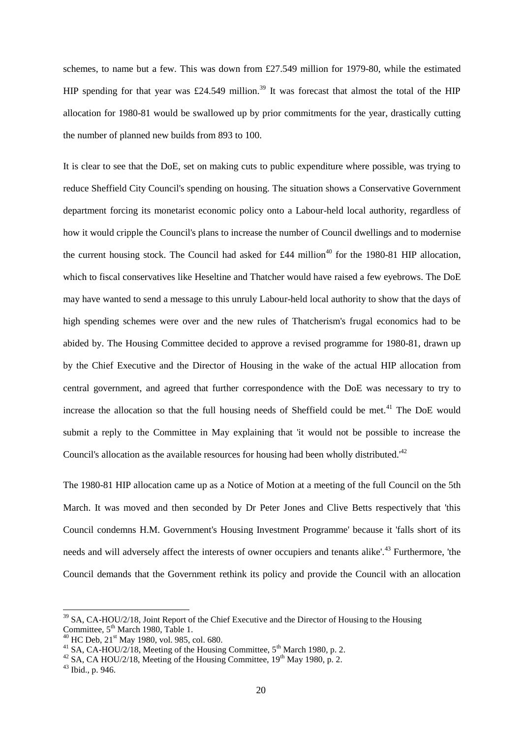schemes, to name but a few. This was down from £27.549 million for 1979-80, while the estimated HIP spending for that year was £24.549 million.<sup>39</sup> It was forecast that almost the total of the HIP allocation for 1980-81 would be swallowed up by prior commitments for the year, drastically cutting the number of planned new builds from 893 to 100.

It is clear to see that the DoE, set on making cuts to public expenditure where possible, was trying to reduce Sheffield City Council's spending on housing. The situation shows a Conservative Government department forcing its monetarist economic policy onto a Labour-held local authority, regardless of how it would cripple the Council's plans to increase the number of Council dwellings and to modernise the current housing stock. The Council had asked for £44 million<sup>40</sup> for the 1980-81 HIP allocation, which to fiscal conservatives like Heseltine and Thatcher would have raised a few eyebrows. The DoE may have wanted to send a message to this unruly Labour-held local authority to show that the days of high spending schemes were over and the new rules of Thatcherism's frugal economics had to be abided by. The Housing Committee decided to approve a revised programme for 1980-81, drawn up by the Chief Executive and the Director of Housing in the wake of the actual HIP allocation from central government, and agreed that further correspondence with the DoE was necessary to try to increase the allocation so that the full housing needs of Sheffield could be met.<sup>41</sup> The DoE would submit a reply to the Committee in May explaining that 'it would not be possible to increase the Council's allocation as the available resources for housing had been wholly distributed.<sup>42</sup>

The 1980-81 HIP allocation came up as a Notice of Motion at a meeting of the full Council on the 5th March. It was moved and then seconded by Dr Peter Jones and Clive Betts respectively that 'this Council condemns H.M. Government's Housing Investment Programme' because it 'falls short of its needs and will adversely affect the interests of owner occupiers and tenants alike'.<sup>43</sup> Furthermore, 'the Council demands that the Government rethink its policy and provide the Council with an allocation

<sup>&</sup>lt;sup>39</sup> SA, CA-HOU/2/18, Joint Report of the Chief Executive and the Director of Housing to the Housing Committee, 5<sup>th</sup> March 1980, Table 1.

 $^{40}$  HC Deb, 21<sup>st</sup> May 1980, vol. 985, col. 680.

 $^{41}$  SA, CA-HOU/2/18, Meeting of the Housing Committee,  $5^{\text{th}}$  March 1980, p. 2.

<sup>&</sup>lt;sup>42</sup> SA, CA HOU/2/18, Meeting of the Housing Committee,  $19<sup>th</sup>$  May 1980, p. 2.

<sup>43</sup> Ibid., p. 946.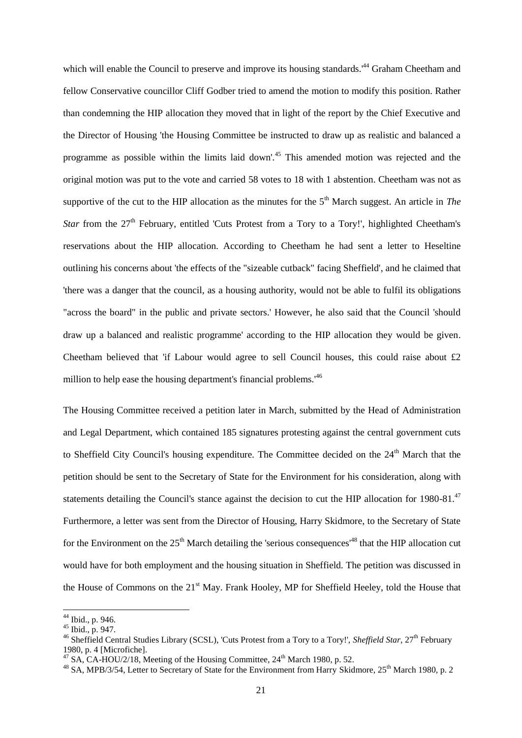which will enable the Council to preserve and improve its housing standards.<sup>44</sup> Graham Cheetham and fellow Conservative councillor Cliff Godber tried to amend the motion to modify this position. Rather than condemning the HIP allocation they moved that in light of the report by the Chief Executive and the Director of Housing 'the Housing Committee be instructed to draw up as realistic and balanced a programme as possible within the limits laid down'.<sup>45</sup> This amended motion was rejected and the original motion was put to the vote and carried 58 votes to 18 with 1 abstention. Cheetham was not as supportive of the cut to the HIP allocation as the minutes for the  $5<sup>th</sup>$  March suggest. An article in *The Star* from the 27<sup>th</sup> February, entitled 'Cuts Protest from a Tory to a Tory!', highlighted Cheetham's reservations about the HIP allocation. According to Cheetham he had sent a letter to Heseltine outlining his concerns about 'the effects of the "sizeable cutback" facing Sheffield', and he claimed that 'there was a danger that the council, as a housing authority, would not be able to fulfil its obligations "across the board" in the public and private sectors.' However, he also said that the Council 'should draw up a balanced and realistic programme' according to the HIP allocation they would be given. Cheetham believed that 'if Labour would agree to sell Council houses, this could raise about  $\mathcal{L}2$ million to help ease the housing department's financial problems.<sup>46</sup>

The Housing Committee received a petition later in March, submitted by the Head of Administration and Legal Department, which contained 185 signatures protesting against the central government cuts to Sheffield City Council's housing expenditure. The Committee decided on the  $24<sup>th</sup>$  March that the petition should be sent to the Secretary of State for the Environment for his consideration, along with statements detailing the Council's stance against the decision to cut the HIP allocation for 1980-81.<sup>47</sup> Furthermore, a letter was sent from the Director of Housing, Harry Skidmore, to the Secretary of State for the Environment on the  $25<sup>th</sup>$  March detailing the 'serious consequences<sup> $48$ </sup> that the HIP allocation cut would have for both employment and the housing situation in Sheffield. The petition was discussed in the House of Commons on the 21<sup>st</sup> May. Frank Hooley, MP for Sheffield Heeley, told the House that

<sup>&</sup>lt;sup>44</sup> Ibid., p. 946.

<sup>45</sup> Ibid., p. 947.

<sup>46</sup> Sheffield Central Studies Library (SCSL), 'Cuts Protest from a Tory to a Tory!', *Sheffield Star*, 27th February 1980, p. 4 [Microfiche].

 $^{47}$  SA, CA-HOU/2/18, Meeting of the Housing Committee,  $24^{\text{th}}$  March 1980, p. 52.

<sup>&</sup>lt;sup>48</sup> SA, MPB/3/54, Letter to Secretary of State for the Environment from Harry Skidmore, 25<sup>th</sup> March 1980, p. 2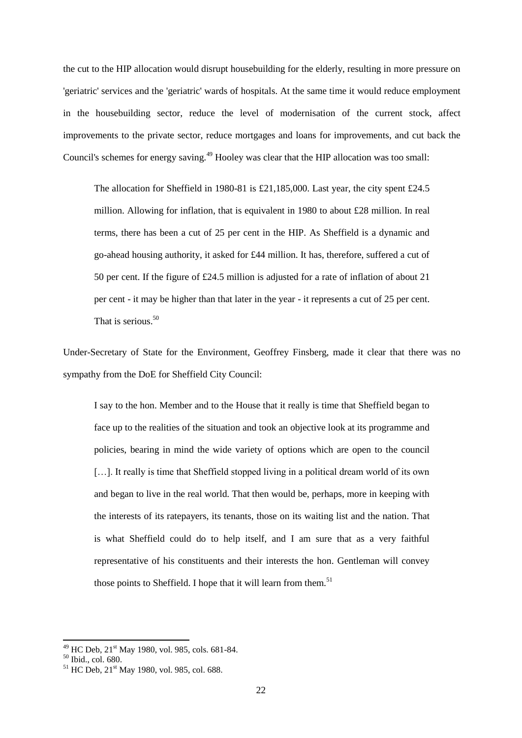the cut to the HIP allocation would disrupt housebuilding for the elderly, resulting in more pressure on 'geriatric' services and the 'geriatric' wards of hospitals. At the same time it would reduce employment in the housebuilding sector, reduce the level of modernisation of the current stock, affect improvements to the private sector, reduce mortgages and loans for improvements, and cut back the Council's schemes for energy saving.<sup>49</sup> Hooley was clear that the HIP allocation was too small:

The allocation for Sheffield in 1980-81 is £21,185,000. Last year, the city spent £24.5 million. Allowing for inflation, that is equivalent in 1980 to about £28 million. In real terms, there has been a cut of 25 per cent in the HIP. As Sheffield is a dynamic and go-ahead housing authority, it asked for £44 million. It has, therefore, suffered a cut of 50 per cent. If the figure of £24.5 million is adjusted for a rate of inflation of about 21 per cent - it may be higher than that later in the year - it represents a cut of 25 per cent. That is serious. $50$ 

Under-Secretary of State for the Environment, Geoffrey Finsberg, made it clear that there was no sympathy from the DoE for Sheffield City Council:

I say to the hon. Member and to the House that it really is time that Sheffield began to face up to the realities of the situation and took an objective look at its programme and policies, bearing in mind the wide variety of options which are open to the council [...]. It really is time that Sheffield stopped living in a political dream world of its own and began to live in the real world. That then would be, perhaps, more in keeping with the interests of its ratepayers, its tenants, those on its waiting list and the nation. That is what Sheffield could do to help itself, and I am sure that as a very faithful representative of his constituents and their interests the hon. Gentleman will convey those points to Sheffield. I hope that it will learn from them.<sup>51</sup>

 $^{49}$  HC Deb,  $21^{\text{st}}$  May 1980, vol. 985, cols. 681-84.

 $50$  Ibid., col. 680.

 $51$  HC Deb,  $21$ <sup>st</sup> May 1980, vol. 985, col. 688.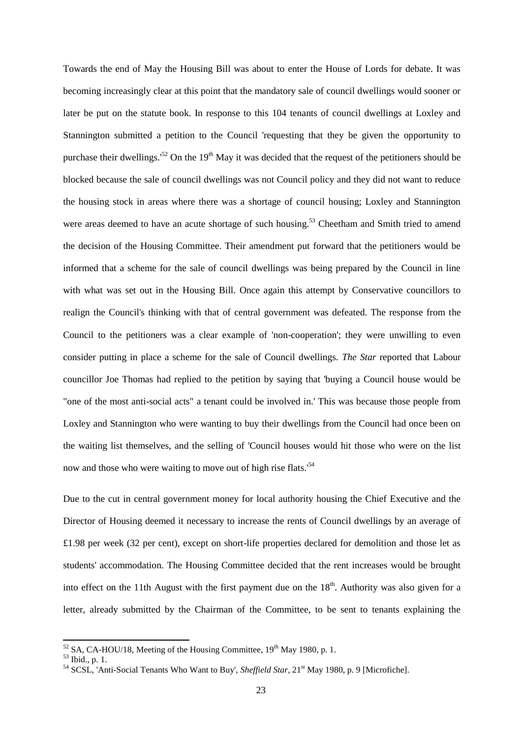Towards the end of May the Housing Bill was about to enter the House of Lords for debate. It was becoming increasingly clear at this point that the mandatory sale of council dwellings would sooner or later be put on the statute book. In response to this 104 tenants of council dwellings at Loxley and Stannington submitted a petition to the Council 'requesting that they be given the opportunity to purchase their dwellings.<sup>52</sup> On the 19<sup>th</sup> May it was decided that the request of the petitioners should be blocked because the sale of council dwellings was not Council policy and they did not want to reduce the housing stock in areas where there was a shortage of council housing; Loxley and Stannington were areas deemed to have an acute shortage of such housing.<sup>53</sup> Cheetham and Smith tried to amend the decision of the Housing Committee. Their amendment put forward that the petitioners would be informed that a scheme for the sale of council dwellings was being prepared by the Council in line with what was set out in the Housing Bill. Once again this attempt by Conservative councillors to realign the Council's thinking with that of central government was defeated. The response from the Council to the petitioners was a clear example of 'non-cooperation'; they were unwilling to even consider putting in place a scheme for the sale of Council dwellings. *The Star* reported that Labour councillor Joe Thomas had replied to the petition by saying that 'buying a Council house would be "one of the most anti-social acts" a tenant could be involved in.' This was because those people from Loxley and Stannington who were wanting to buy their dwellings from the Council had once been on the waiting list themselves, and the selling of 'Council houses would hit those who were on the list now and those who were waiting to move out of high rise flats.'<sup>54</sup>

Due to the cut in central government money for local authority housing the Chief Executive and the Director of Housing deemed it necessary to increase the rents of Council dwellings by an average of £1.98 per week (32 per cent), except on short-life properties declared for demolition and those let as students' accommodation. The Housing Committee decided that the rent increases would be brought into effect on the 11th August with the first payment due on the  $18<sup>th</sup>$ . Authority was also given for a letter, already submitted by the Chairman of the Committee, to be sent to tenants explaining the

 $52$  SA, CA-HOU/18, Meeting of the Housing Committee,  $19<sup>th</sup>$  May 1980, p. 1.

 $53$  Ibid., p. 1.

<sup>&</sup>lt;sup>54</sup> SCSL, 'Anti-Social Tenants Who Want to Buy', *Sheffield Star*, 21<sup>st</sup> May 1980, p. 9 [Microfiche].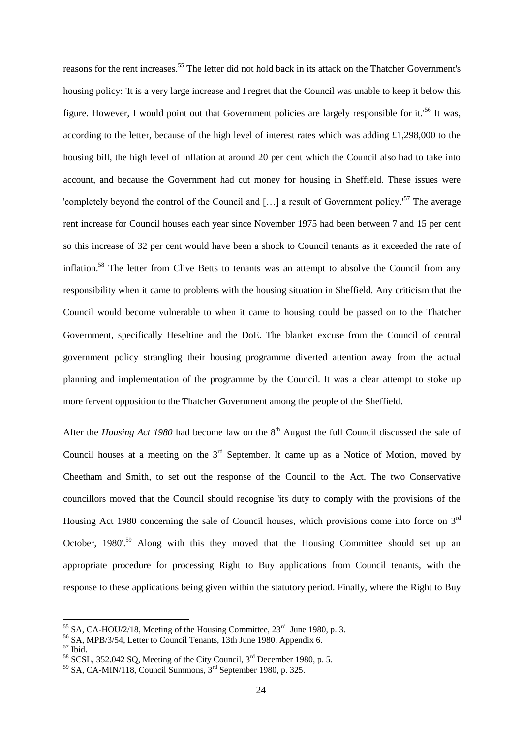reasons for the rent increases.<sup>55</sup> The letter did not hold back in its attack on the Thatcher Government's housing policy: 'It is a very large increase and I regret that the Council was unable to keep it below this figure. However, I would point out that Government policies are largely responsible for it.'<sup>56</sup> It was, according to the letter, because of the high level of interest rates which was adding  $\pounds$ 1,298,000 to the housing bill, the high level of inflation at around 20 per cent which the Council also had to take into account, and because the Government had cut money for housing in Sheffield. These issues were 'completely beyond the control of the Council and [...] a result of Government policy.<sup>'57</sup> The average rent increase for Council houses each year since November 1975 had been between 7 and 15 per cent so this increase of 32 per cent would have been a shock to Council tenants as it exceeded the rate of inflation.<sup>58</sup> The letter from Clive Betts to tenants was an attempt to absolve the Council from any responsibility when it came to problems with the housing situation in Sheffield. Any criticism that the Council would become vulnerable to when it came to housing could be passed on to the Thatcher Government, specifically Heseltine and the DoE. The blanket excuse from the Council of central government policy strangling their housing programme diverted attention away from the actual planning and implementation of the programme by the Council. It was a clear attempt to stoke up more fervent opposition to the Thatcher Government among the people of the Sheffield.

After the *Housing Act 1980* had become law on the 8<sup>th</sup> August the full Council discussed the sale of Council houses at a meeting on the  $3<sup>rd</sup>$  September. It came up as a Notice of Motion, moved by Cheetham and Smith, to set out the response of the Council to the Act. The two Conservative councillors moved that the Council should recognise 'its duty to comply with the provisions of the Housing Act 1980 concerning the sale of Council houses, which provisions come into force on 3<sup>rd</sup> October, 1980'.<sup>59</sup> Along with this they moved that the Housing Committee should set up an appropriate procedure for processing Right to Buy applications from Council tenants, with the response to these applications being given within the statutory period. Finally, where the Right to Buy

<sup>&</sup>lt;sup>55</sup> SA, CA-HOU/2/18, Meeting of the Housing Committee,  $23<sup>rd</sup>$  June 1980, p. 3.

 $56$  SA, MPB/3/54, Letter to Council Tenants, 13th June 1980, Appendix 6.

<sup>57</sup> Ibid.

 $58$  SCSL, 352.042 SO, Meeting of the City Council,  $3<sup>rd</sup>$  December 1980, p. 5.

 $59$  SA, CA-MIN/118, Council Summons,  $3<sup>rd</sup>$  September 1980, p. 325.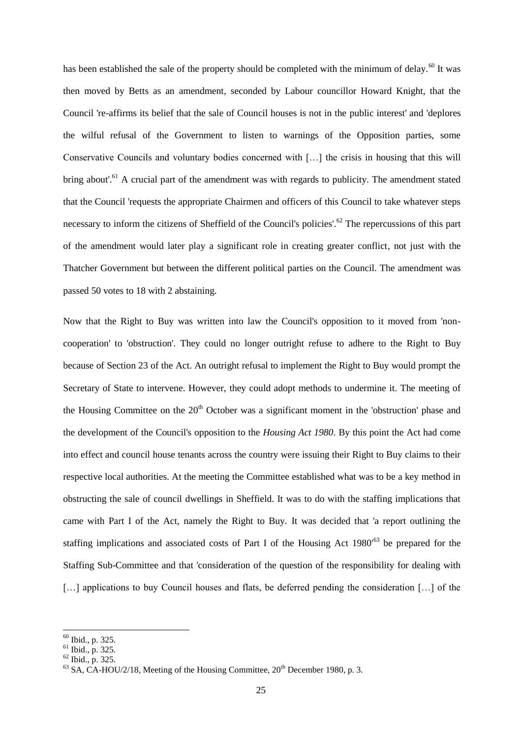has been established the sale of the property should be completed with the minimum of delay.<sup>60</sup> It was then moved by Betts as an amendment, seconded by Labour councillor Howard Knight, that the Council 're-affirms its belief that the sale of Council houses is not in the public interest' and 'deplores the wilful refusal of the Government to listen to warnings of the Opposition parties, some Conservative Councils and voluntary bodies concerned with […] the crisis in housing that this will bring about'.<sup>61</sup> A crucial part of the amendment was with regards to publicity. The amendment stated that the Council 'requests the appropriate Chairmen and officers of this Council to take whatever steps necessary to inform the citizens of Sheffield of the Council's policies'.<sup>62</sup> The repercussions of this part of the amendment would later play a significant role in creating greater conflict, not just with the Thatcher Government but between the different political parties on the Council. The amendment was passed 50 votes to 18 with 2 abstaining.

Now that the Right to Buy was written into law the Council's opposition to it moved from 'noncooperation' to 'obstruction'. They could no longer outright refuse to adhere to the Right to Buy because of Section 23 of the Act. An outright refusal to implement the Right to Buy would prompt the Secretary of State to intervene. However, they could adopt methods to undermine it. The meeting of the Housing Committee on the  $20<sup>th</sup>$  October was a significant moment in the 'obstruction' phase and the development of the Council's opposition to the *Housing Act 1980*. By this point the Act had come into effect and council house tenants across the country were issuing their Right to Buy claims to their respective local authorities. At the meeting the Committee established what was to be a key method in obstructing the sale of council dwellings in Sheffield. It was to do with the staffing implications that came with Part I of the Act, namely the Right to Buy. It was decided that 'a report outlining the staffing implications and associated costs of Part I of the Housing Act 1980<sup>63</sup> be prepared for the Staffing Sub-Committee and that 'consideration of the question of the responsibility for dealing with [...] applications to buy Council houses and flats, be deferred pending the consideration [...] of the

 $60$  Ibid., p. 325.

 $^{61}$  Ibid., p. 325.

 $62$  Ibid., p. 325.

 $^{63}$  SA, CA-HOU/2/18, Meeting of the Housing Committee,  $20^{th}$  December 1980, p. 3.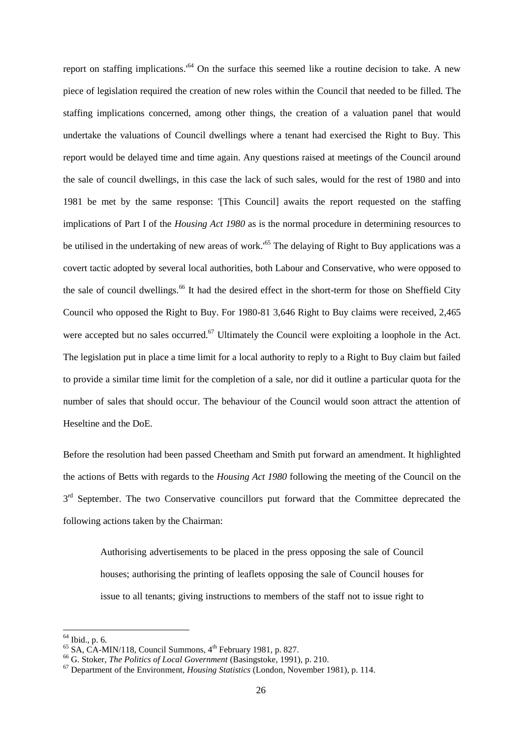report on staffing implications.<sup>64</sup> On the surface this seemed like a routine decision to take. A new piece of legislation required the creation of new roles within the Council that needed to be filled. The staffing implications concerned, among other things, the creation of a valuation panel that would undertake the valuations of Council dwellings where a tenant had exercised the Right to Buy. This report would be delayed time and time again. Any questions raised at meetings of the Council around the sale of council dwellings, in this case the lack of such sales, would for the rest of 1980 and into 1981 be met by the same response: '[This Council] awaits the report requested on the staffing implications of Part I of the *Housing Act 1980* as is the normal procedure in determining resources to be utilised in the undertaking of new areas of work.<sup>165</sup> The delaying of Right to Buy applications was a covert tactic adopted by several local authorities, both Labour and Conservative, who were opposed to the sale of council dwellings.<sup>66</sup> It had the desired effect in the short-term for those on Sheffield City Council who opposed the Right to Buy. For 1980-81 3,646 Right to Buy claims were received, 2,465 were accepted but no sales occurred.<sup>67</sup> Ultimately the Council were exploiting a loophole in the Act. The legislation put in place a time limit for a local authority to reply to a Right to Buy claim but failed to provide a similar time limit for the completion of a sale, nor did it outline a particular quota for the number of sales that should occur. The behaviour of the Council would soon attract the attention of Heseltine and the DoE.

Before the resolution had been passed Cheetham and Smith put forward an amendment. It highlighted the actions of Betts with regards to the *Housing Act 1980* following the meeting of the Council on the 3<sup>rd</sup> September. The two Conservative councillors put forward that the Committee deprecated the following actions taken by the Chairman:

Authorising advertisements to be placed in the press opposing the sale of Council houses; authorising the printing of leaflets opposing the sale of Council houses for issue to all tenants; giving instructions to members of the staff not to issue right to

 $64$  Ibid., p. 6.

 $^{65}$  SA, CA-MIN/118, Council Summons,  $4^{\text{th}}$  February 1981, p. 827.

<sup>66</sup> G. Stoker, *The Politics of Local Government* (Basingstoke, 1991), p. 210.

<sup>67</sup> Department of the Environment, *Housing Statistics* (London, November 1981), p. 114.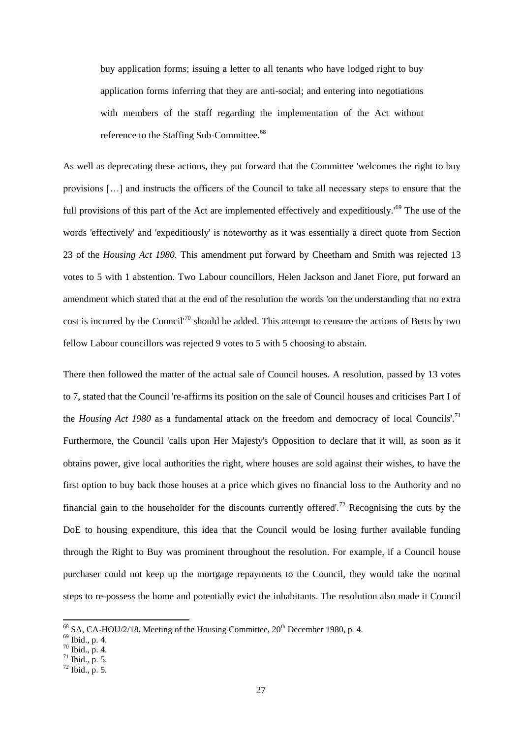buy application forms; issuing a letter to all tenants who have lodged right to buy application forms inferring that they are anti-social; and entering into negotiations with members of the staff regarding the implementation of the Act without reference to the Staffing Sub-Committee.<sup>68</sup>

As well as deprecating these actions, they put forward that the Committee 'welcomes the right to buy provisions […] and instructs the officers of the Council to take all necessary steps to ensure that the full provisions of this part of the Act are implemented effectively and expeditiously.<sup>169</sup> The use of the words 'effectively' and 'expeditiously' is noteworthy as it was essentially a direct quote from Section 23 of the *Housing Act 1980*. This amendment put forward by Cheetham and Smith was rejected 13 votes to 5 with 1 abstention. Two Labour councillors, Helen Jackson and Janet Fiore, put forward an amendment which stated that at the end of the resolution the words 'on the understanding that no extra cost is incurred by the Council<sup>'70</sup> should be added. This attempt to censure the actions of Betts by two fellow Labour councillors was rejected 9 votes to 5 with 5 choosing to abstain.

There then followed the matter of the actual sale of Council houses. A resolution, passed by 13 votes to 7, stated that the Council 're-affirms its position on the sale of Council houses and criticises Part I of the *Housing Act 1980* as a fundamental attack on the freedom and democracy of local Councils'.<sup>71</sup> Furthermore, the Council 'calls upon Her Majesty's Opposition to declare that it will, as soon as it obtains power, give local authorities the right, where houses are sold against their wishes, to have the first option to buy back those houses at a price which gives no financial loss to the Authority and no financial gain to the householder for the discounts currently offered'.<sup>72</sup> Recognising the cuts by the DoE to housing expenditure, this idea that the Council would be losing further available funding through the Right to Buy was prominent throughout the resolution. For example, if a Council house purchaser could not keep up the mortgage repayments to the Council, they would take the normal steps to re-possess the home and potentially evict the inhabitants. The resolution also made it Council

 $^{68}$  SA, CA-HOU/2/18, Meeting of the Housing Committee,  $20^{th}$  December 1980, p. 4.

<sup>69</sup> Ibid., p. 4.

 $70$  Ibid., p. 4.

 $71$  Ibid., p. 5.

 $72$  Ibid., p. 5.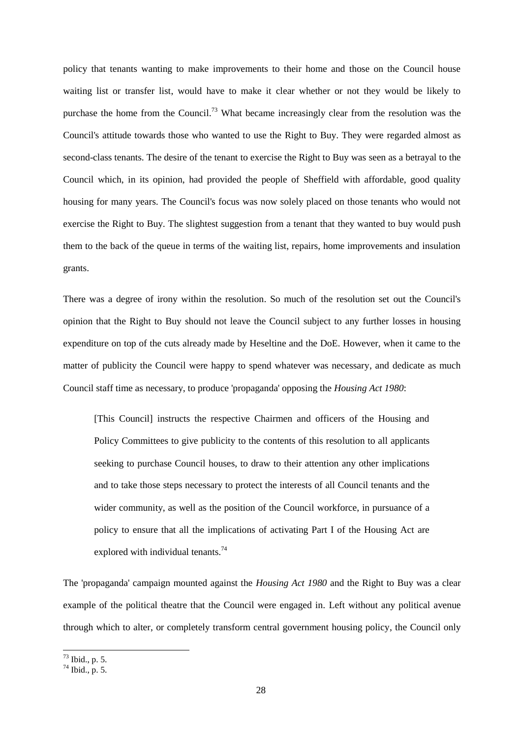policy that tenants wanting to make improvements to their home and those on the Council house waiting list or transfer list, would have to make it clear whether or not they would be likely to purchase the home from the Council.<sup>73</sup> What became increasingly clear from the resolution was the Council's attitude towards those who wanted to use the Right to Buy. They were regarded almost as second-class tenants. The desire of the tenant to exercise the Right to Buy was seen as a betrayal to the Council which, in its opinion, had provided the people of Sheffield with affordable, good quality housing for many years. The Council's focus was now solely placed on those tenants who would not exercise the Right to Buy. The slightest suggestion from a tenant that they wanted to buy would push them to the back of the queue in terms of the waiting list, repairs, home improvements and insulation grants.

There was a degree of irony within the resolution. So much of the resolution set out the Council's opinion that the Right to Buy should not leave the Council subject to any further losses in housing expenditure on top of the cuts already made by Heseltine and the DoE. However, when it came to the matter of publicity the Council were happy to spend whatever was necessary, and dedicate as much Council staff time as necessary, to produce 'propaganda' opposing the *Housing Act 1980*:

[This Council] instructs the respective Chairmen and officers of the Housing and Policy Committees to give publicity to the contents of this resolution to all applicants seeking to purchase Council houses, to draw to their attention any other implications and to take those steps necessary to protect the interests of all Council tenants and the wider community, as well as the position of the Council workforce, in pursuance of a policy to ensure that all the implications of activating Part I of the Housing Act are explored with individual tenants.<sup>74</sup>

The 'propaganda' campaign mounted against the *Housing Act 1980* and the Right to Buy was a clear example of the political theatre that the Council were engaged in. Left without any political avenue through which to alter, or completely transform central government housing policy, the Council only

 $73$  Ibid., p. 5.

 $^{74}$  Ibid., p. 5.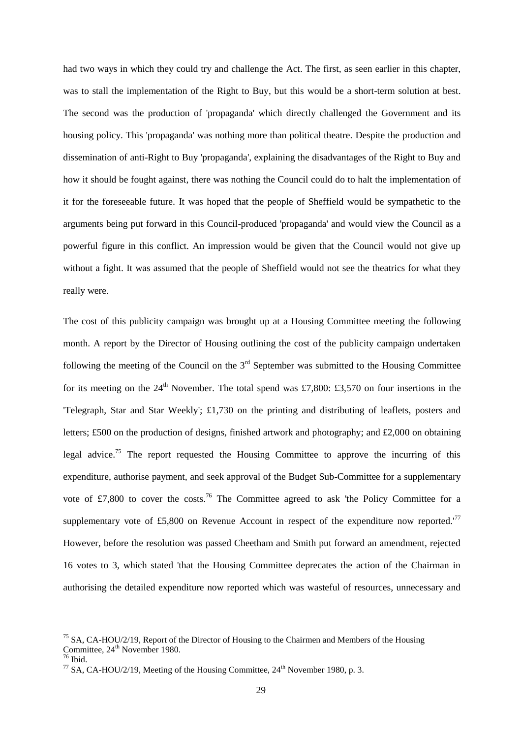had two ways in which they could try and challenge the Act. The first, as seen earlier in this chapter, was to stall the implementation of the Right to Buy, but this would be a short-term solution at best. The second was the production of 'propaganda' which directly challenged the Government and its housing policy. This 'propaganda' was nothing more than political theatre. Despite the production and dissemination of anti-Right to Buy 'propaganda', explaining the disadvantages of the Right to Buy and how it should be fought against, there was nothing the Council could do to halt the implementation of it for the foreseeable future. It was hoped that the people of Sheffield would be sympathetic to the arguments being put forward in this Council-produced 'propaganda' and would view the Council as a powerful figure in this conflict. An impression would be given that the Council would not give up without a fight. It was assumed that the people of Sheffield would not see the theatrics for what they really were.

The cost of this publicity campaign was brought up at a Housing Committee meeting the following month. A report by the Director of Housing outlining the cost of the publicity campaign undertaken following the meeting of the Council on the  $3<sup>rd</sup>$  September was submitted to the Housing Committee for its meeting on the  $24<sup>th</sup>$  November. The total spend was £7,800: £3,570 on four insertions in the 'Telegraph, Star and Star Weekly'; £1,730 on the printing and distributing of leaflets, posters and letters; £500 on the production of designs, finished artwork and photography; and £2,000 on obtaining legal advice.<sup>75</sup> The report requested the Housing Committee to approve the incurring of this expenditure, authorise payment, and seek approval of the Budget Sub-Committee for a supplementary vote of £7,800 to cover the costs.<sup>76</sup> The Committee agreed to ask 'the Policy Committee for a supplementary vote of £5,800 on Revenue Account in respect of the expenditure now reported.<sup>'77</sup> However, before the resolution was passed Cheetham and Smith put forward an amendment, rejected 16 votes to 3, which stated 'that the Housing Committee deprecates the action of the Chairman in authorising the detailed expenditure now reported which was wasteful of resources, unnecessary and

 $<sup>75</sup>$  SA, CA-HOU/2/19, Report of the Director of Housing to the Chairmen and Members of the Housing</sup> Committee,  $24<sup>th</sup>$  November 1980.

 $76$  Ibid.

<sup>&</sup>lt;sup>77</sup> SA, CA-HOU/2/19, Meeting of the Housing Committee,  $24<sup>th</sup>$  November 1980, p. 3.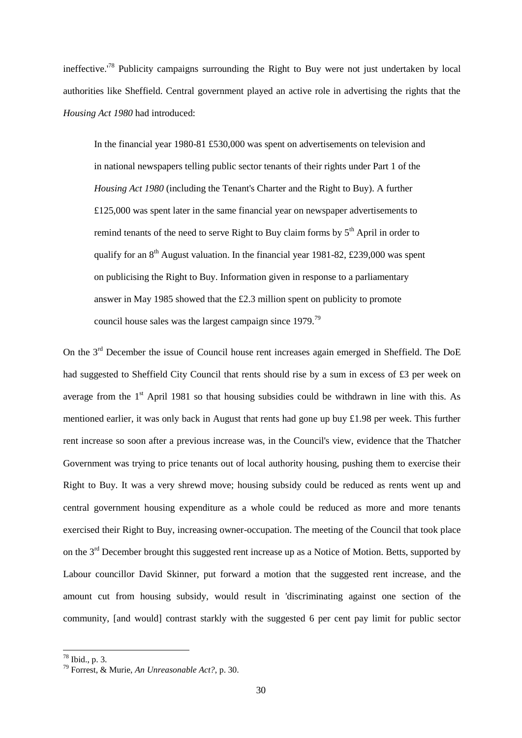ineffective.<sup>78</sup> Publicity campaigns surrounding the Right to Buy were not just undertaken by local authorities like Sheffield. Central government played an active role in advertising the rights that the *Housing Act 1980* had introduced:

In the financial year 1980-81 £530,000 was spent on advertisements on television and in national newspapers telling public sector tenants of their rights under Part 1 of the *Housing Act 1980* (including the Tenant's Charter and the Right to Buy). A further £125,000 was spent later in the same financial year on newspaper advertisements to remind tenants of the need to serve Right to Buy claim forms by  $5<sup>th</sup>$  April in order to qualify for an  $8<sup>th</sup>$  August valuation. In the financial year 1981-82, £239,000 was spent on publicising the Right to Buy. Information given in response to a parliamentary answer in May 1985 showed that the £2.3 million spent on publicity to promote council house sales was the largest campaign since 1979.<sup>79</sup>

On the 3<sup>rd</sup> December the issue of Council house rent increases again emerged in Sheffield. The DoE had suggested to Sheffield City Council that rents should rise by a sum in excess of £3 per week on average from the 1<sup>st</sup> April 1981 so that housing subsidies could be withdrawn in line with this. As mentioned earlier, it was only back in August that rents had gone up buy £1.98 per week. This further rent increase so soon after a previous increase was, in the Council's view, evidence that the Thatcher Government was trying to price tenants out of local authority housing, pushing them to exercise their Right to Buy. It was a very shrewd move; housing subsidy could be reduced as rents went up and central government housing expenditure as a whole could be reduced as more and more tenants exercised their Right to Buy, increasing owner-occupation. The meeting of the Council that took place on the 3<sup>rd</sup> December brought this suggested rent increase up as a Notice of Motion. Betts, supported by Labour councillor David Skinner, put forward a motion that the suggested rent increase, and the amount cut from housing subsidy, would result in 'discriminating against one section of the community, [and would] contrast starkly with the suggested 6 per cent pay limit for public sector

 $78$  Ibid., p. 3.

<sup>79</sup> Forrest, & Murie, *An Unreasonable Act?*, p. 30.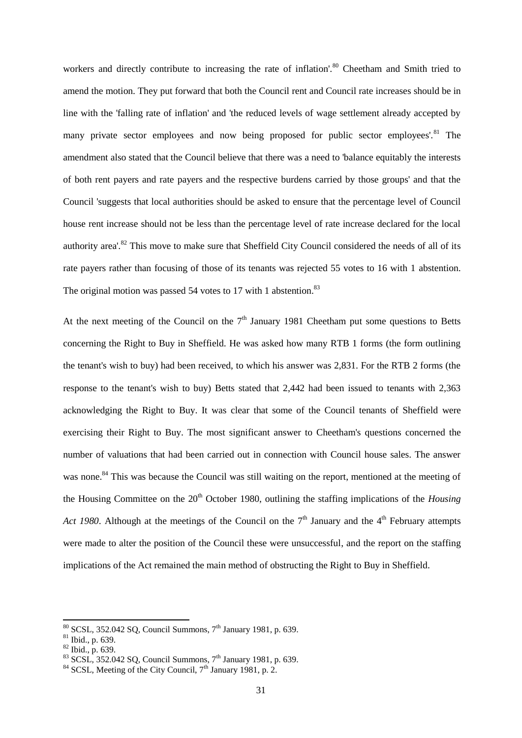workers and directly contribute to increasing the rate of inflation'.<sup>80</sup> Cheetham and Smith tried to amend the motion. They put forward that both the Council rent and Council rate increases should be in line with the 'falling rate of inflation' and 'the reduced levels of wage settlement already accepted by many private sector employees and now being proposed for public sector employees'.<sup>81</sup> The amendment also stated that the Council believe that there was a need to 'balance equitably the interests of both rent payers and rate payers and the respective burdens carried by those groups' and that the Council 'suggests that local authorities should be asked to ensure that the percentage level of Council house rent increase should not be less than the percentage level of rate increase declared for the local authority area'.<sup>82</sup> This move to make sure that Sheffield City Council considered the needs of all of its rate payers rather than focusing of those of its tenants was rejected 55 votes to 16 with 1 abstention. The original motion was passed 54 votes to 17 with 1 abstention.<sup>83</sup>

At the next meeting of the Council on the  $7<sup>th</sup>$  January 1981 Cheetham put some questions to Betts concerning the Right to Buy in Sheffield. He was asked how many RTB 1 forms (the form outlining the tenant's wish to buy) had been received, to which his answer was 2,831. For the RTB 2 forms (the response to the tenant's wish to buy) Betts stated that 2,442 had been issued to tenants with 2,363 acknowledging the Right to Buy. It was clear that some of the Council tenants of Sheffield were exercising their Right to Buy. The most significant answer to Cheetham's questions concerned the number of valuations that had been carried out in connection with Council house sales. The answer was none.<sup>84</sup> This was because the Council was still waiting on the report, mentioned at the meeting of the Housing Committee on the 20<sup>th</sup> October 1980, outlining the staffing implications of the *Housing Act 1980*. Although at the meetings of the Council on the  $7<sup>th</sup>$  January and the  $4<sup>th</sup>$  February attempts were made to alter the position of the Council these were unsuccessful, and the report on the staffing implications of the Act remained the main method of obstructing the Right to Buy in Sheffield.

 $80$  SCSL, 352.042 SQ, Council Summons,  $7<sup>th</sup>$  January 1981, p. 639.

<sup>81</sup> Ibid., p. 639.

 $82$  Ibid., p. 639.

<sup>83</sup> SCSL, 352.042 SQ, Council Summons,  $7^{th}$  January 1981, p. 639.

<sup>&</sup>lt;sup>84</sup> SCSL, Meeting of the City Council, 7<sup>th</sup> January 1981, p. 2.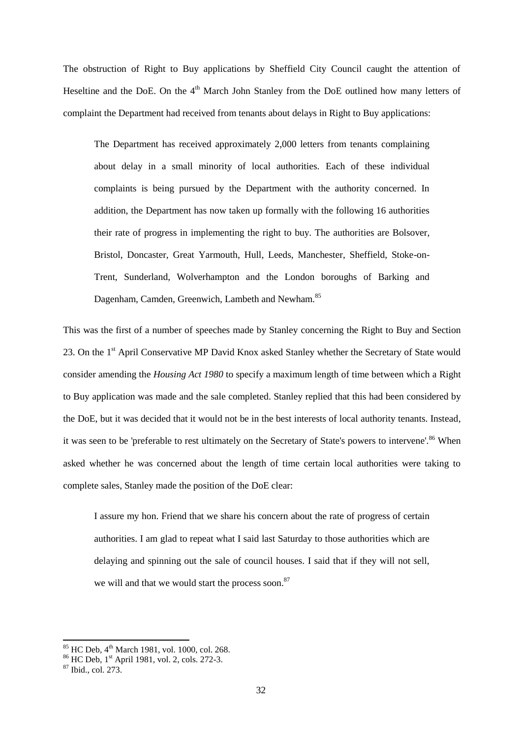The obstruction of Right to Buy applications by Sheffield City Council caught the attention of Heseltine and the DoE. On the 4<sup>th</sup> March John Stanley from the DoE outlined how many letters of complaint the Department had received from tenants about delays in Right to Buy applications:

The Department has received approximately 2,000 letters from tenants complaining about delay in a small minority of local authorities. Each of these individual complaints is being pursued by the Department with the authority concerned. In addition, the Department has now taken up formally with the following 16 authorities their rate of progress in implementing the right to buy. The authorities are Bolsover, Bristol, Doncaster, Great Yarmouth, Hull, Leeds, Manchester, Sheffield, Stoke-on-Trent, Sunderland, Wolverhampton and the London boroughs of Barking and Dagenham, Camden, Greenwich, Lambeth and Newham.<sup>85</sup>

This was the first of a number of speeches made by Stanley concerning the Right to Buy and Section 23. On the 1<sup>st</sup> April Conservative MP David Knox asked Stanley whether the Secretary of State would consider amending the *Housing Act 1980* to specify a maximum length of time between which a Right to Buy application was made and the sale completed. Stanley replied that this had been considered by the DoE, but it was decided that it would not be in the best interests of local authority tenants. Instead, it was seen to be 'preferable to rest ultimately on the Secretary of State's powers to intervene'.<sup>86</sup> When asked whether he was concerned about the length of time certain local authorities were taking to complete sales, Stanley made the position of the DoE clear:

I assure my hon. Friend that we share his concern about the rate of progress of certain authorities. I am glad to repeat what I said last Saturday to those authorities which are delaying and spinning out the sale of council houses. I said that if they will not sell, we will and that we would start the process soon.<sup>87</sup>

<sup>85</sup> HC Deb, 4 th March 1981, vol. 1000, col. 268.

<sup>&</sup>lt;sup>86</sup> HC Deb, 1<sup>st</sup> April 1981, vol. 2, cols. 272-3.

 $87$  Ibid., col. 273.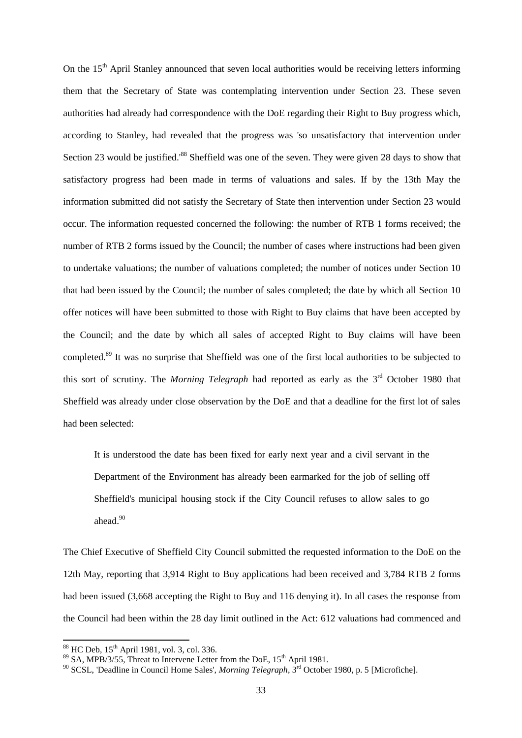On the 15<sup>th</sup> April Stanley announced that seven local authorities would be receiving letters informing them that the Secretary of State was contemplating intervention under Section 23. These seven authorities had already had correspondence with the DoE regarding their Right to Buy progress which, according to Stanley, had revealed that the progress was 'so unsatisfactory that intervention under Section 23 would be justified.<sup>88</sup> Sheffield was one of the seven. They were given 28 days to show that satisfactory progress had been made in terms of valuations and sales. If by the 13th May the information submitted did not satisfy the Secretary of State then intervention under Section 23 would occur. The information requested concerned the following: the number of RTB 1 forms received; the number of RTB 2 forms issued by the Council; the number of cases where instructions had been given to undertake valuations; the number of valuations completed; the number of notices under Section 10 that had been issued by the Council; the number of sales completed; the date by which all Section 10 offer notices will have been submitted to those with Right to Buy claims that have been accepted by the Council; and the date by which all sales of accepted Right to Buy claims will have been completed.<sup>89</sup> It was no surprise that Sheffield was one of the first local authorities to be subjected to this sort of scrutiny. The *Morning Telegraph* had reported as early as the 3<sup>rd</sup> October 1980 that Sheffield was already under close observation by the DoE and that a deadline for the first lot of sales had been selected:

It is understood the date has been fixed for early next year and a civil servant in the Department of the Environment has already been earmarked for the job of selling off Sheffield's municipal housing stock if the City Council refuses to allow sales to go ahead.<sup>90</sup>

The Chief Executive of Sheffield City Council submitted the requested information to the DoE on the 12th May, reporting that 3,914 Right to Buy applications had been received and 3,784 RTB 2 forms had been issued (3,668 accepting the Right to Buy and 116 denying it). In all cases the response from the Council had been within the 28 day limit outlined in the Act: 612 valuations had commenced and

<sup>&</sup>lt;sup>88</sup> HC Deb, 15<sup>th</sup> April 1981, vol. 3, col. 336.

 $89$  SA, MPB/3/55, Threat to Intervene Letter from the DoE,  $15<sup>th</sup>$  April 1981.

<sup>&</sup>lt;sup>90</sup> SCSL, 'Deadline in Council Home Sales', *Morning Telegraph*, 3<sup>rd</sup> October 1980, p. 5 [Microfiche].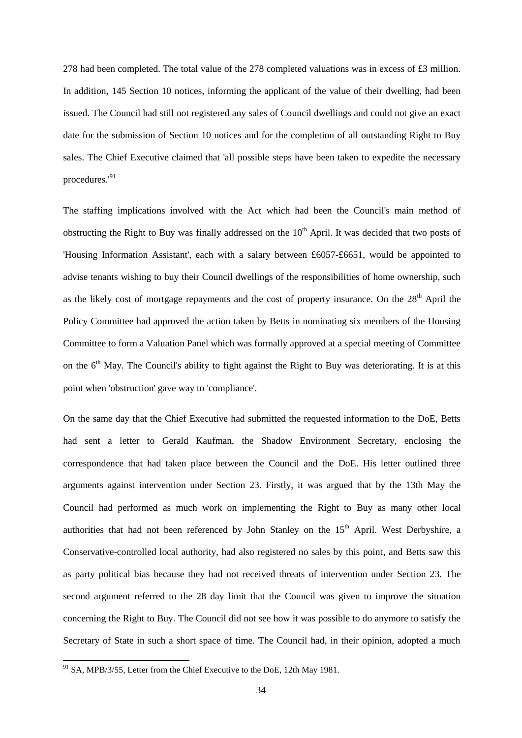278 had been completed. The total value of the 278 completed valuations was in excess of £3 million. In addition, 145 Section 10 notices, informing the applicant of the value of their dwelling, had been issued. The Council had still not registered any sales of Council dwellings and could not give an exact date for the submission of Section 10 notices and for the completion of all outstanding Right to Buy sales. The Chief Executive claimed that 'all possible steps have been taken to expedite the necessary procedures.'<sup>91</sup>

The staffing implications involved with the Act which had been the Council's main method of obstructing the Right to Buy was finally addressed on the 10<sup>th</sup> April. It was decided that two posts of 'Housing Information Assistant', each with a salary between £6057-£6651, would be appointed to advise tenants wishing to buy their Council dwellings of the responsibilities of home ownership, such as the likely cost of mortgage repayments and the cost of property insurance. On the 28<sup>th</sup> April the Policy Committee had approved the action taken by Betts in nominating six members of the Housing Committee to form a Valuation Panel which was formally approved at a special meeting of Committee on the  $6<sup>th</sup>$  May. The Council's ability to fight against the Right to Buy was deteriorating. It is at this point when 'obstruction' gave way to 'compliance'.

On the same day that the Chief Executive had submitted the requested information to the DoE, Betts had sent a letter to Gerald Kaufman, the Shadow Environment Secretary, enclosing the correspondence that had taken place between the Council and the DoE. His letter outlined three arguments against intervention under Section 23. Firstly, it was argued that by the 13th May the Council had performed as much work on implementing the Right to Buy as many other local authorities that had not been referenced by John Stanley on the 15<sup>th</sup> April. West Derbyshire, a Conservative-controlled local authority, had also registered no sales by this point, and Betts saw this as party political bias because they had not received threats of intervention under Section 23. The second argument referred to the 28 day limit that the Council was given to improve the situation concerning the Right to Buy. The Council did not see how it was possible to do anymore to satisfy the Secretary of State in such a short space of time. The Council had, in their opinion, adopted a much

 $91$  SA, MPB/3/55, Letter from the Chief Executive to the DoE, 12th May 1981.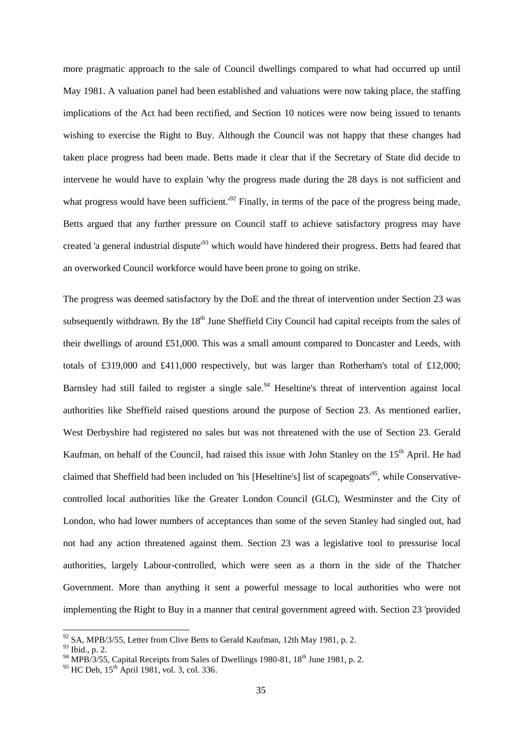more pragmatic approach to the sale of Council dwellings compared to what had occurred up until May 1981. A valuation panel had been established and valuations were now taking place, the staffing implications of the Act had been rectified, and Section 10 notices were now being issued to tenants wishing to exercise the Right to Buy. Although the Council was not happy that these changes had taken place progress had been made. Betts made it clear that if the Secretary of State did decide to intervene he would have to explain 'why the progress made during the 28 days is not sufficient and what progress would have been sufficient.<sup>'92</sup> Finally, in terms of the pace of the progress being made, Betts argued that any further pressure on Council staff to achieve satisfactory progress may have created 'a general industrial dispute'<sup>93</sup> which would have hindered their progress. Betts had feared that an overworked Council workforce would have been prone to going on strike.

The progress was deemed satisfactory by the DoE and the threat of intervention under Section 23 was subsequently withdrawn. By the 18<sup>th</sup> June Sheffield City Council had capital receipts from the sales of their dwellings of around £51,000. This was a small amount compared to Doncaster and Leeds, with totals of £319,000 and £411,000 respectively, but was larger than Rotherham's total of £12,000; Barnsley had still failed to register a single sale.<sup>94</sup> Heseltine's threat of intervention against local authorities like Sheffield raised questions around the purpose of Section 23. As mentioned earlier, West Derbyshire had registered no sales but was not threatened with the use of Section 23. Gerald Kaufman, on behalf of the Council, had raised this issue with John Stanley on the 15<sup>th</sup> April. He had claimed that Sheffield had been included on 'his [Heseltine's] list of scapegoats<sup>195</sup>, while Conservativecontrolled local authorities like the Greater London Council (GLC), Westminster and the City of London, who had lower numbers of acceptances than some of the seven Stanley had singled out, had not had any action threatened against them. Section 23 was a legislative tool to pressurise local authorities, largely Labour-controlled, which were seen as a thorn in the side of the Thatcher Government. More than anything it sent a powerful message to local authorities who were not implementing the Right to Buy in a manner that central government agreed with. Section 23 'provided

 $92$  SA, MPB/3/55, Letter from Clive Betts to Gerald Kaufman, 12th May 1981, p. 2.

<sup>93</sup> Ibid., p. 2.

<sup>&</sup>lt;sup>94</sup> MPB/3/55, Capital Receipts from Sales of Dwellings 1980-81, 18<sup>th</sup> June 1981, p. 2.

 $95 \text{ HC}$  Deb,  $15^{\text{th}}$  April 1981, vol. 3, col. 336.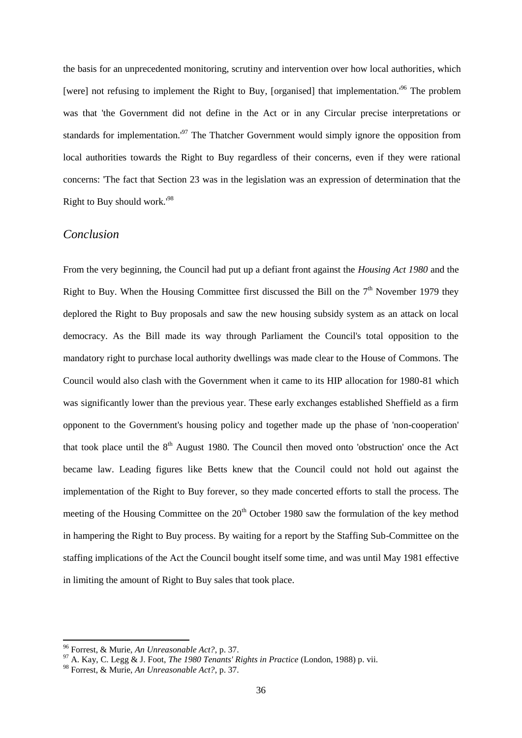the basis for an unprecedented monitoring, scrutiny and intervention over how local authorities, which [were] not refusing to implement the Right to Buy, [organised] that implementation.<sup>196</sup> The problem was that 'the Government did not define in the Act or in any Circular precise interpretations or standards for implementation.<sup>197</sup> The Thatcher Government would simply ignore the opposition from local authorities towards the Right to Buy regardless of their concerns, even if they were rational concerns: 'The fact that Section 23 was in the legislation was an expression of determination that the Right to Buy should work.'<sup>98</sup>

#### *Conclusion*

From the very beginning, the Council had put up a defiant front against the *Housing Act 1980* and the Right to Buy. When the Housing Committee first discussed the Bill on the  $7<sup>th</sup>$  November 1979 they deplored the Right to Buy proposals and saw the new housing subsidy system as an attack on local democracy. As the Bill made its way through Parliament the Council's total opposition to the mandatory right to purchase local authority dwellings was made clear to the House of Commons. The Council would also clash with the Government when it came to its HIP allocation for 1980-81 which was significantly lower than the previous year. These early exchanges established Sheffield as a firm opponent to the Government's housing policy and together made up the phase of 'non-cooperation' that took place until the  $8<sup>th</sup>$  August 1980. The Council then moved onto 'obstruction' once the Act became law. Leading figures like Betts knew that the Council could not hold out against the implementation of the Right to Buy forever, so they made concerted efforts to stall the process. The meeting of the Housing Committee on the  $20<sup>th</sup>$  October 1980 saw the formulation of the key method in hampering the Right to Buy process. By waiting for a report by the Staffing Sub-Committee on the staffing implications of the Act the Council bought itself some time, and was until May 1981 effective in limiting the amount of Right to Buy sales that took place.

<sup>96</sup> Forrest, & Murie, *An Unreasonable Act?*, p. 37.

<sup>97</sup> A. Kay, C. Legg & J. Foot, *The 1980 Tenants' Rights in Practice* (London, 1988) p. vii.

<sup>98</sup> Forrest, & Murie, *An Unreasonable Act?*, p. 37.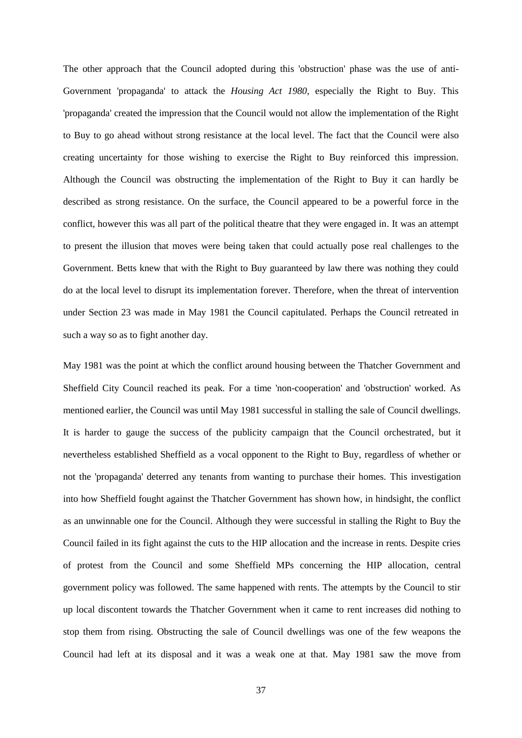The other approach that the Council adopted during this 'obstruction' phase was the use of anti-Government 'propaganda' to attack the *Housing Act 1980*, especially the Right to Buy. This 'propaganda' created the impression that the Council would not allow the implementation of the Right to Buy to go ahead without strong resistance at the local level. The fact that the Council were also creating uncertainty for those wishing to exercise the Right to Buy reinforced this impression. Although the Council was obstructing the implementation of the Right to Buy it can hardly be described as strong resistance. On the surface, the Council appeared to be a powerful force in the conflict, however this was all part of the political theatre that they were engaged in. It was an attempt to present the illusion that moves were being taken that could actually pose real challenges to the Government. Betts knew that with the Right to Buy guaranteed by law there was nothing they could do at the local level to disrupt its implementation forever. Therefore, when the threat of intervention under Section 23 was made in May 1981 the Council capitulated. Perhaps the Council retreated in such a way so as to fight another day.

May 1981 was the point at which the conflict around housing between the Thatcher Government and Sheffield City Council reached its peak. For a time 'non-cooperation' and 'obstruction' worked. As mentioned earlier, the Council was until May 1981 successful in stalling the sale of Council dwellings. It is harder to gauge the success of the publicity campaign that the Council orchestrated, but it nevertheless established Sheffield as a vocal opponent to the Right to Buy, regardless of whether or not the 'propaganda' deterred any tenants from wanting to purchase their homes. This investigation into how Sheffield fought against the Thatcher Government has shown how, in hindsight, the conflict as an unwinnable one for the Council. Although they were successful in stalling the Right to Buy the Council failed in its fight against the cuts to the HIP allocation and the increase in rents. Despite cries of protest from the Council and some Sheffield MPs concerning the HIP allocation, central government policy was followed. The same happened with rents. The attempts by the Council to stir up local discontent towards the Thatcher Government when it came to rent increases did nothing to stop them from rising. Obstructing the sale of Council dwellings was one of the few weapons the Council had left at its disposal and it was a weak one at that. May 1981 saw the move from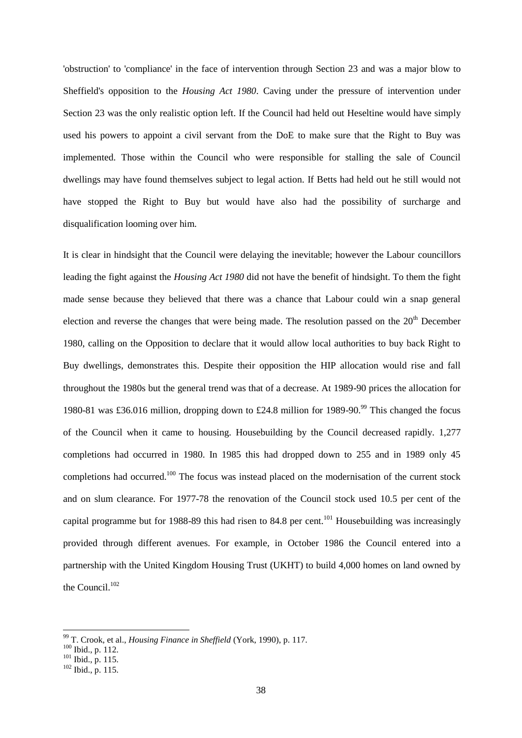'obstruction' to 'compliance' in the face of intervention through Section 23 and was a major blow to Sheffield's opposition to the *Housing Act 1980*. Caving under the pressure of intervention under Section 23 was the only realistic option left. If the Council had held out Heseltine would have simply used his powers to appoint a civil servant from the DoE to make sure that the Right to Buy was implemented. Those within the Council who were responsible for stalling the sale of Council dwellings may have found themselves subject to legal action. If Betts had held out he still would not have stopped the Right to Buy but would have also had the possibility of surcharge and disqualification looming over him.

It is clear in hindsight that the Council were delaying the inevitable; however the Labour councillors leading the fight against the *Housing Act 1980* did not have the benefit of hindsight. To them the fight made sense because they believed that there was a chance that Labour could win a snap general election and reverse the changes that were being made. The resolution passed on the  $20<sup>th</sup>$  December 1980, calling on the Opposition to declare that it would allow local authorities to buy back Right to Buy dwellings, demonstrates this. Despite their opposition the HIP allocation would rise and fall throughout the 1980s but the general trend was that of a decrease. At 1989-90 prices the allocation for 1980-81 was £36.016 million, dropping down to £24.8 million for 1989-90.<sup>99</sup> This changed the focus of the Council when it came to housing. Housebuilding by the Council decreased rapidly. 1,277 completions had occurred in 1980. In 1985 this had dropped down to 255 and in 1989 only 45 completions had occurred.<sup>100</sup> The focus was instead placed on the modernisation of the current stock and on slum clearance. For 1977-78 the renovation of the Council stock used 10.5 per cent of the capital programme but for 1988-89 this had risen to 84.8 per cent.<sup>101</sup> Housebuilding was increasingly provided through different avenues. For example, in October 1986 the Council entered into a partnership with the United Kingdom Housing Trust (UKHT) to build 4,000 homes on land owned by the Council.<sup>102</sup>

<sup>99</sup> T. Crook, et al., *Housing Finance in Sheffield* (York, 1990), p. 117.

 $100$  Ibid., p. 112.

 $101$  Ibid., p. 115.

<sup>102</sup> Ibid., p. 115.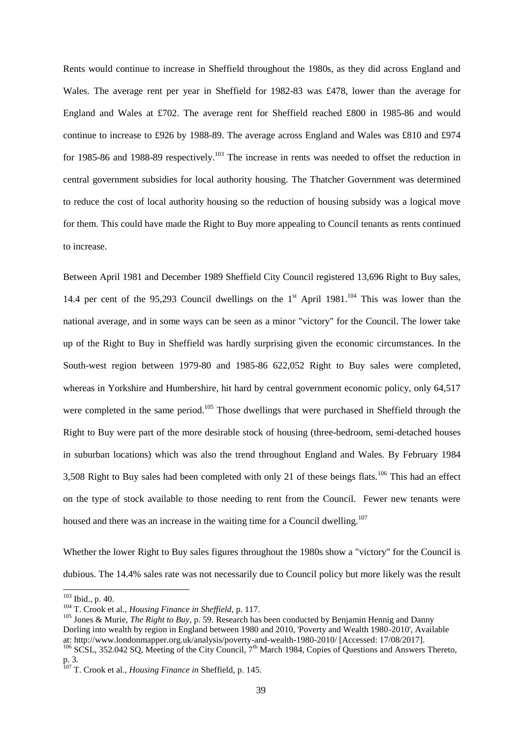Rents would continue to increase in Sheffield throughout the 1980s, as they did across England and Wales. The average rent per year in Sheffield for 1982-83 was £478, lower than the average for England and Wales at £702. The average rent for Sheffield reached £800 in 1985-86 and would continue to increase to £926 by 1988-89. The average across England and Wales was £810 and £974 for 1985-86 and 1988-89 respectively.<sup>103</sup> The increase in rents was needed to offset the reduction in central government subsidies for local authority housing. The Thatcher Government was determined to reduce the cost of local authority housing so the reduction of housing subsidy was a logical move for them. This could have made the Right to Buy more appealing to Council tenants as rents continued to increase.

Between April 1981 and December 1989 Sheffield City Council registered 13,696 Right to Buy sales, 14.4 per cent of the 95,293 Council dwellings on the  $1<sup>st</sup>$  April 1981.<sup>104</sup> This was lower than the national average, and in some ways can be seen as a minor "victory" for the Council. The lower take up of the Right to Buy in Sheffield was hardly surprising given the economic circumstances. In the South-west region between 1979-80 and 1985-86 622,052 Right to Buy sales were completed, whereas in Yorkshire and Humbershire, hit hard by central government economic policy, only 64,517 were completed in the same period.<sup>105</sup> Those dwellings that were purchased in Sheffield through the Right to Buy were part of the more desirable stock of housing (three-bedroom, semi-detached houses in suburban locations) which was also the trend throughout England and Wales. By February 1984 3,508 Right to Buy sales had been completed with only 21 of these beings flats.<sup>106</sup> This had an effect on the type of stock available to those needing to rent from the Council. Fewer new tenants were housed and there was an increase in the waiting time for a Council dwelling.<sup>107</sup>

Whether the lower Right to Buy sales figures throughout the 1980s show a "victory" for the Council is dubious. The 14.4% sales rate was not necessarily due to Council policy but more likely was the result

 $103$  Ibid., p. 40.

<sup>104</sup> T. Crook et al., *Housing Finance in Sheffield*, p. 117.

<sup>&</sup>lt;sup>105</sup> Jones & Murie, *The Right to Buy*, p. 59. Research has been conducted by Benjamin Hennig and Danny Dorling into wealth by region in England between 1980 and 2010, 'Poverty and Wealth 1980-2010', Available at: http://www.londonmapper.org.uk/analysis/poverty-and-wealth-1980-2010/ [Accessed: 17/08/2017].

<sup>&</sup>lt;sup>106</sup> SCSL, 352.042 SQ, Meeting of the City Council, 7<sup>th</sup> March 1984, Copies of Questions and Answers Thereto, p. 3.

<sup>107</sup> T. Crook et al., *Housing Finance in* Sheffield, p. 145.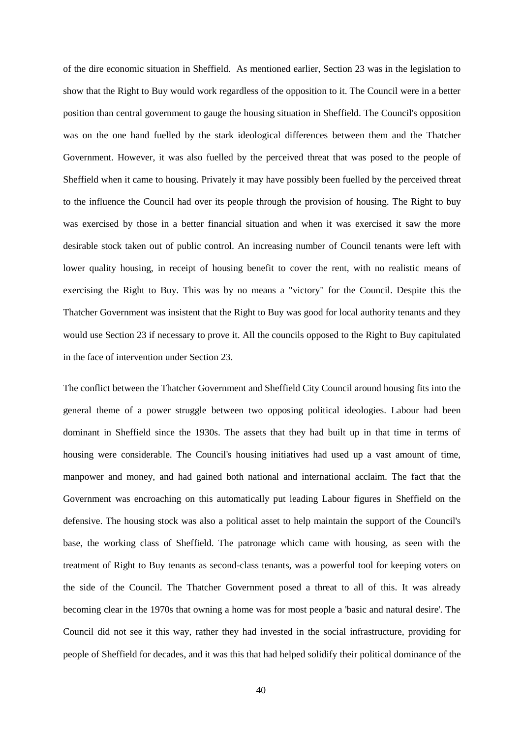of the dire economic situation in Sheffield. As mentioned earlier, Section 23 was in the legislation to show that the Right to Buy would work regardless of the opposition to it. The Council were in a better position than central government to gauge the housing situation in Sheffield. The Council's opposition was on the one hand fuelled by the stark ideological differences between them and the Thatcher Government. However, it was also fuelled by the perceived threat that was posed to the people of Sheffield when it came to housing. Privately it may have possibly been fuelled by the perceived threat to the influence the Council had over its people through the provision of housing. The Right to buy was exercised by those in a better financial situation and when it was exercised it saw the more desirable stock taken out of public control. An increasing number of Council tenants were left with lower quality housing, in receipt of housing benefit to cover the rent, with no realistic means of exercising the Right to Buy. This was by no means a "victory" for the Council. Despite this the Thatcher Government was insistent that the Right to Buy was good for local authority tenants and they would use Section 23 if necessary to prove it. All the councils opposed to the Right to Buy capitulated in the face of intervention under Section 23.

The conflict between the Thatcher Government and Sheffield City Council around housing fits into the general theme of a power struggle between two opposing political ideologies. Labour had been dominant in Sheffield since the 1930s. The assets that they had built up in that time in terms of housing were considerable. The Council's housing initiatives had used up a vast amount of time, manpower and money, and had gained both national and international acclaim. The fact that the Government was encroaching on this automatically put leading Labour figures in Sheffield on the defensive. The housing stock was also a political asset to help maintain the support of the Council's base, the working class of Sheffield. The patronage which came with housing, as seen with the treatment of Right to Buy tenants as second-class tenants, was a powerful tool for keeping voters on the side of the Council. The Thatcher Government posed a threat to all of this. It was already becoming clear in the 1970s that owning a home was for most people a 'basic and natural desire'. The Council did not see it this way, rather they had invested in the social infrastructure, providing for people of Sheffield for decades, and it was this that had helped solidify their political dominance of the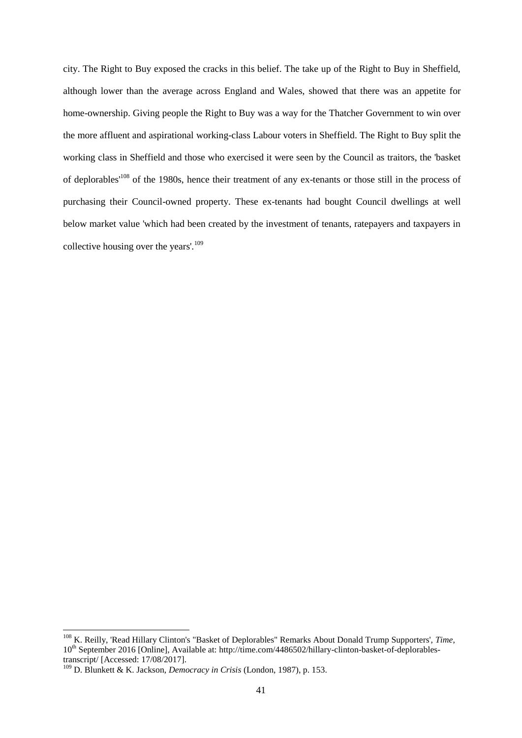city. The Right to Buy exposed the cracks in this belief. The take up of the Right to Buy in Sheffield, although lower than the average across England and Wales, showed that there was an appetite for home-ownership. Giving people the Right to Buy was a way for the Thatcher Government to win over the more affluent and aspirational working-class Labour voters in Sheffield. The Right to Buy split the working class in Sheffield and those who exercised it were seen by the Council as traitors, the 'basket of deplorables'<sup>108</sup> of the 1980s, hence their treatment of any ex-tenants or those still in the process of purchasing their Council-owned property. These ex-tenants had bought Council dwellings at well below market value 'which had been created by the investment of tenants, ratepayers and taxpayers in collective housing over the years'.<sup>109</sup>

<sup>108</sup> K. Reilly, 'Read Hillary Clinton's "Basket of Deplorables" Remarks About Donald Trump Supporters', *Time*, 10<sup>th</sup> September 2016 [Online], Available at: http://time.com/4486502/hillary-clinton-basket-of-deplorablestranscript/ [Accessed: 17/08/2017].

<sup>109</sup> D. Blunkett & K. Jackson, *Democracy in Crisis* (London, 1987), p. 153.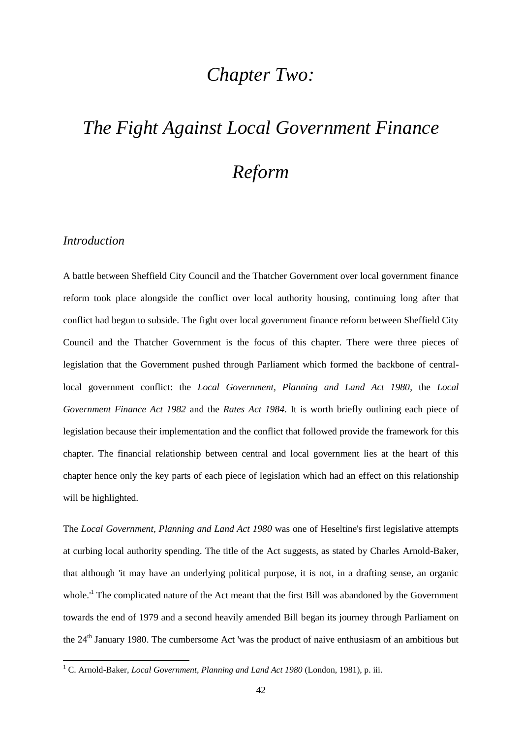### *Chapter Two:*

# *The Fight Against Local Government Finance*

### *Reform*

#### *Introduction*

-

A battle between Sheffield City Council and the Thatcher Government over local government finance reform took place alongside the conflict over local authority housing, continuing long after that conflict had begun to subside. The fight over local government finance reform between Sheffield City Council and the Thatcher Government is the focus of this chapter. There were three pieces of legislation that the Government pushed through Parliament which formed the backbone of centrallocal government conflict: the *Local Government, Planning and Land Act 1980*, the *Local Government Finance Act 1982* and the *Rates Act 1984*. It is worth briefly outlining each piece of legislation because their implementation and the conflict that followed provide the framework for this chapter. The financial relationship between central and local government lies at the heart of this chapter hence only the key parts of each piece of legislation which had an effect on this relationship will be highlighted.

The *Local Government, Planning and Land Act 1980* was one of Heseltine's first legislative attempts at curbing local authority spending. The title of the Act suggests, as stated by Charles Arnold-Baker, that although 'it may have an underlying political purpose, it is not, in a drafting sense, an organic whole.<sup> $1$ </sup> The complicated nature of the Act meant that the first Bill was abandoned by the Government towards the end of 1979 and a second heavily amended Bill began its journey through Parliament on the 24<sup>th</sup> January 1980. The cumbersome Act 'was the product of naive enthusiasm of an ambitious but

<sup>&</sup>lt;sup>1</sup> C. Arnold-Baker, *Local Government, Planning and Land Act 1980* (London, 1981), p. iii.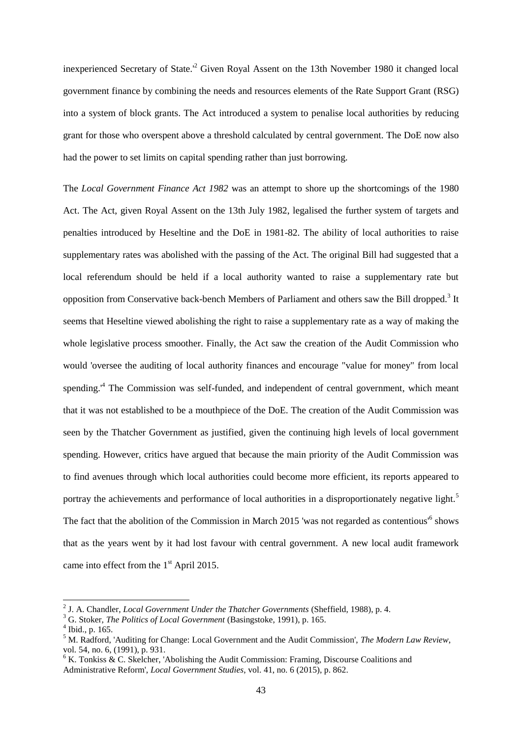inexperienced Secretary of State.'<sup>2</sup> Given Royal Assent on the 13th November 1980 it changed local government finance by combining the needs and resources elements of the Rate Support Grant (RSG) into a system of block grants. The Act introduced a system to penalise local authorities by reducing grant for those who overspent above a threshold calculated by central government. The DoE now also had the power to set limits on capital spending rather than just borrowing.

The *Local Government Finance Act 1982* was an attempt to shore up the shortcomings of the 1980 Act. The Act, given Royal Assent on the 13th July 1982, legalised the further system of targets and penalties introduced by Heseltine and the DoE in 1981-82. The ability of local authorities to raise supplementary rates was abolished with the passing of the Act. The original Bill had suggested that a local referendum should be held if a local authority wanted to raise a supplementary rate but opposition from Conservative back-bench Members of Parliament and others saw the Bill dropped.<sup>3</sup> It seems that Heseltine viewed abolishing the right to raise a supplementary rate as a way of making the whole legislative process smoother. Finally, the Act saw the creation of the Audit Commission who would 'oversee the auditing of local authority finances and encourage "value for money" from local spending.<sup>4</sup> The Commission was self-funded, and independent of central government, which meant that it was not established to be a mouthpiece of the DoE. The creation of the Audit Commission was seen by the Thatcher Government as justified, given the continuing high levels of local government spending. However, critics have argued that because the main priority of the Audit Commission was to find avenues through which local authorities could become more efficient, its reports appeared to portray the achievements and performance of local authorities in a disproportionately negative light.<sup>5</sup> The fact that the abolition of the Commission in March 2015 'was not regarded as contentious<sup>16</sup> shows that as the years went by it had lost favour with central government. A new local audit framework came into effect from the  $1<sup>st</sup>$  April 2015.

<sup>2</sup> J. A. Chandler, *Local Government Under the Thatcher Governments* (Sheffield, 1988), p. 4.

<sup>3</sup> G. Stoker, *The Politics of Local Government* (Basingstoke, 1991), p. 165.

<sup>4</sup> Ibid., p. 165.

<sup>5</sup> M. Radford, 'Auditing for Change: Local Government and the Audit Commission', *The Modern Law Review*, vol. 54, no. 6, (1991), p. 931.

 $6$  K. Tonkiss & C. Skelcher, 'Abolishing the Audit Commission: Framing, Discourse Coalitions and Administrative Reform', *Local Government Studies*, vol. 41, no. 6 (2015), p. 862.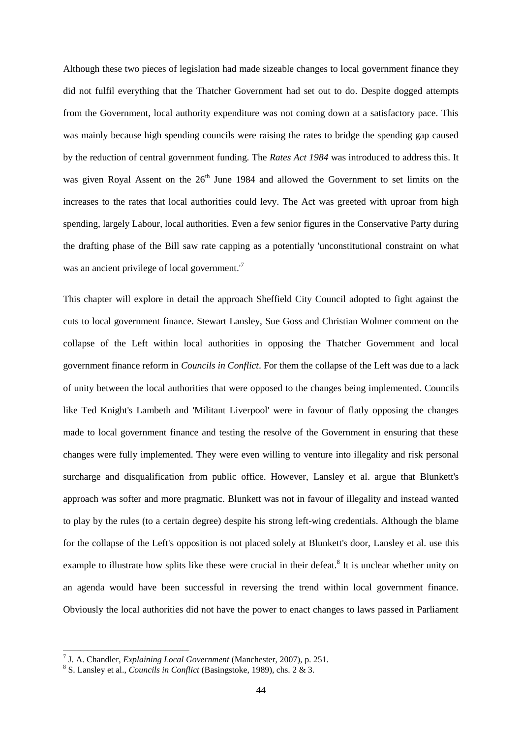Although these two pieces of legislation had made sizeable changes to local government finance they did not fulfil everything that the Thatcher Government had set out to do. Despite dogged attempts from the Government, local authority expenditure was not coming down at a satisfactory pace. This was mainly because high spending councils were raising the rates to bridge the spending gap caused by the reduction of central government funding. The *Rates Act 1984* was introduced to address this. It was given Royal Assent on the  $26<sup>th</sup>$  June 1984 and allowed the Government to set limits on the increases to the rates that local authorities could levy. The Act was greeted with uproar from high spending, largely Labour, local authorities. Even a few senior figures in the Conservative Party during the drafting phase of the Bill saw rate capping as a potentially 'unconstitutional constraint on what was an ancient privilege of local government.<sup>'7</sup>

This chapter will explore in detail the approach Sheffield City Council adopted to fight against the cuts to local government finance. Stewart Lansley, Sue Goss and Christian Wolmer comment on the collapse of the Left within local authorities in opposing the Thatcher Government and local government finance reform in *Councils in Conflict*. For them the collapse of the Left was due to a lack of unity between the local authorities that were opposed to the changes being implemented. Councils like Ted Knight's Lambeth and 'Militant Liverpool' were in favour of flatly opposing the changes made to local government finance and testing the resolve of the Government in ensuring that these changes were fully implemented. They were even willing to venture into illegality and risk personal surcharge and disqualification from public office. However, Lansley et al. argue that Blunkett's approach was softer and more pragmatic. Blunkett was not in favour of illegality and instead wanted to play by the rules (to a certain degree) despite his strong left-wing credentials. Although the blame for the collapse of the Left's opposition is not placed solely at Blunkett's door, Lansley et al. use this example to illustrate how splits like these were crucial in their defeat.<sup>8</sup> It is unclear whether unity on an agenda would have been successful in reversing the trend within local government finance. Obviously the local authorities did not have the power to enact changes to laws passed in Parliament

 7 J. A. Chandler, *Explaining Local Government* (Manchester, 2007), p. 251.

<sup>8</sup> S. Lansley et al., *Councils in Conflict* (Basingstoke, 1989), chs. 2 & 3.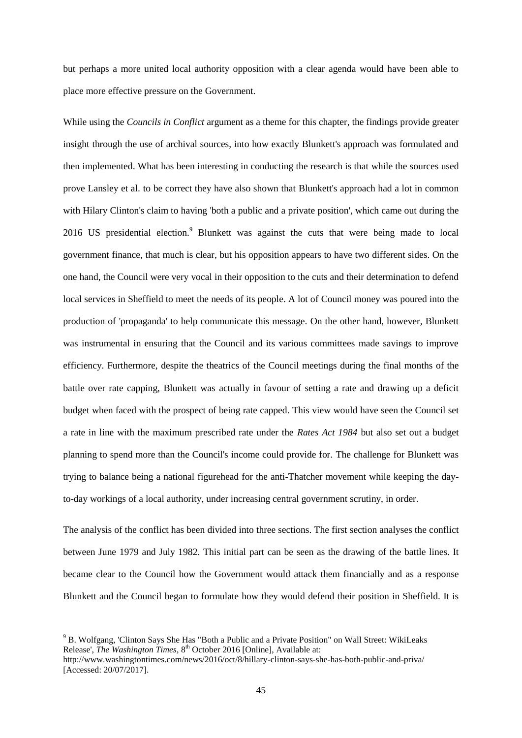but perhaps a more united local authority opposition with a clear agenda would have been able to place more effective pressure on the Government.

While using the *Councils in Conflict* argument as a theme for this chapter, the findings provide greater insight through the use of archival sources, into how exactly Blunkett's approach was formulated and then implemented. What has been interesting in conducting the research is that while the sources used prove Lansley et al. to be correct they have also shown that Blunkett's approach had a lot in common with Hilary Clinton's claim to having 'both a public and a private position', which came out during the 2016 US presidential election.<sup>9</sup> Blunkett was against the cuts that were being made to local government finance, that much is clear, but his opposition appears to have two different sides. On the one hand, the Council were very vocal in their opposition to the cuts and their determination to defend local services in Sheffield to meet the needs of its people. A lot of Council money was poured into the production of 'propaganda' to help communicate this message. On the other hand, however, Blunkett was instrumental in ensuring that the Council and its various committees made savings to improve efficiency. Furthermore, despite the theatrics of the Council meetings during the final months of the battle over rate capping, Blunkett was actually in favour of setting a rate and drawing up a deficit budget when faced with the prospect of being rate capped. This view would have seen the Council set a rate in line with the maximum prescribed rate under the *Rates Act 1984* but also set out a budget planning to spend more than the Council's income could provide for. The challenge for Blunkett was trying to balance being a national figurehead for the anti-Thatcher movement while keeping the dayto-day workings of a local authority, under increasing central government scrutiny, in order.

The analysis of the conflict has been divided into three sections. The first section analyses the conflict between June 1979 and July 1982. This initial part can be seen as the drawing of the battle lines. It became clear to the Council how the Government would attack them financially and as a response Blunkett and the Council began to formulate how they would defend their position in Sheffield. It is

<sup>9</sup> B. Wolfgang, 'Clinton Says She Has "Both a Public and a Private Position" on Wall Street: WikiLeaks Release', *The Washington Times*, 8<sup>th</sup> October 2016 [Online], Available at:

http://www.washingtontimes.com/news/2016/oct/8/hillary-clinton-says-she-has-both-public-and-priva/ [Accessed: 20/07/2017].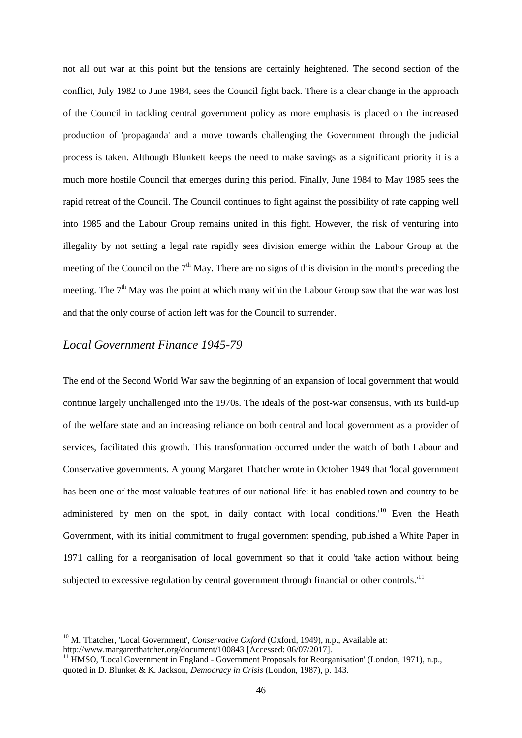not all out war at this point but the tensions are certainly heightened. The second section of the conflict, July 1982 to June 1984, sees the Council fight back. There is a clear change in the approach of the Council in tackling central government policy as more emphasis is placed on the increased production of 'propaganda' and a move towards challenging the Government through the judicial process is taken. Although Blunkett keeps the need to make savings as a significant priority it is a much more hostile Council that emerges during this period. Finally, June 1984 to May 1985 sees the rapid retreat of the Council. The Council continues to fight against the possibility of rate capping well into 1985 and the Labour Group remains united in this fight. However, the risk of venturing into illegality by not setting a legal rate rapidly sees division emerge within the Labour Group at the meeting of the Council on the  $7<sup>th</sup>$  May. There are no signs of this division in the months preceding the meeting. The  $7<sup>th</sup>$  May was the point at which many within the Labour Group saw that the war was lost and that the only course of action left was for the Council to surrender.

### *Local Government Finance 1945-79*

1

The end of the Second World War saw the beginning of an expansion of local government that would continue largely unchallenged into the 1970s. The ideals of the post-war consensus, with its build-up of the welfare state and an increasing reliance on both central and local government as a provider of services, facilitated this growth. This transformation occurred under the watch of both Labour and Conservative governments. A young Margaret Thatcher wrote in October 1949 that 'local government has been one of the most valuable features of our national life: it has enabled town and country to be administered by men on the spot, in daily contact with local conditions.<sup>'10</sup> Even the Heath Government, with its initial commitment to frugal government spending, published a White Paper in 1971 calling for a reorganisation of local government so that it could 'take action without being subjected to excessive regulation by central government through financial or other controls.<sup>11</sup>

<sup>&</sup>lt;sup>10</sup> M. Thatcher, 'Local Government', *Conservative Oxford* (Oxford, 1949), n.p., Available at: http://www.margaretthatcher.org/document/100843 [Accessed: 06/07/2017].

 $11$  HMSO, 'Local Government in England - Government Proposals for Reorganisation' (London, 1971), n.p., quoted in D. Blunket & K. Jackson, *Democracy in Crisis* (London, 1987), p. 143.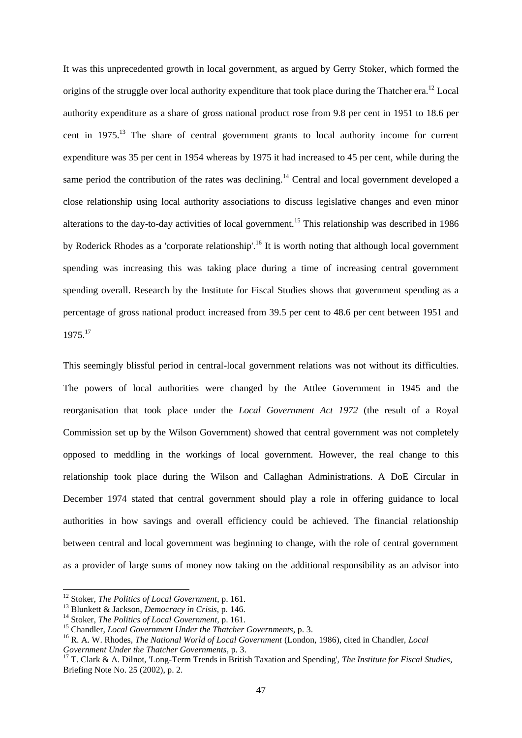It was this unprecedented growth in local government, as argued by Gerry Stoker, which formed the origins of the struggle over local authority expenditure that took place during the Thatcher era.<sup>12</sup> Local authority expenditure as a share of gross national product rose from 9.8 per cent in 1951 to 18.6 per cent in 1975.<sup>13</sup> The share of central government grants to local authority income for current expenditure was 35 per cent in 1954 whereas by 1975 it had increased to 45 per cent, while during the same period the contribution of the rates was declining.<sup>14</sup> Central and local government developed a close relationship using local authority associations to discuss legislative changes and even minor alterations to the day-to-day activities of local government.<sup>15</sup> This relationship was described in 1986 by Roderick Rhodes as a 'corporate relationship'.<sup>16</sup> It is worth noting that although local government spending was increasing this was taking place during a time of increasing central government spending overall. Research by the Institute for Fiscal Studies shows that government spending as a percentage of gross national product increased from 39.5 per cent to 48.6 per cent between 1951 and 1975.<sup>17</sup>

This seemingly blissful period in central-local government relations was not without its difficulties. The powers of local authorities were changed by the Attlee Government in 1945 and the reorganisation that took place under the *Local Government Act 1972* (the result of a Royal Commission set up by the Wilson Government) showed that central government was not completely opposed to meddling in the workings of local government. However, the real change to this relationship took place during the Wilson and Callaghan Administrations. A DoE Circular in December 1974 stated that central government should play a role in offering guidance to local authorities in how savings and overall efficiency could be achieved. The financial relationship between central and local government was beginning to change, with the role of central government as a provider of large sums of money now taking on the additional responsibility as an advisor into

<sup>12</sup> Stoker, *The Politics of Local Government*, p. 161.

<sup>13</sup> Blunkett & Jackson, *Democracy in Crisis*, p. 146.

<sup>14</sup> Stoker, *The Politics of Local Government*, p. 161.

<sup>15</sup> Chandler, *Local Government Under the Thatcher Governments*, p. 3.

<sup>16</sup> R. A. W. Rhodes, *The National World of Local Government* (London, 1986), cited in Chandler, *Local Government Under the Thatcher Governments*, p. 3.

<sup>17</sup> T. Clark & A. Dilnot, 'Long-Term Trends in British Taxation and Spending', *The Institute for Fiscal Studies*, Briefing Note No. 25 (2002), p. 2.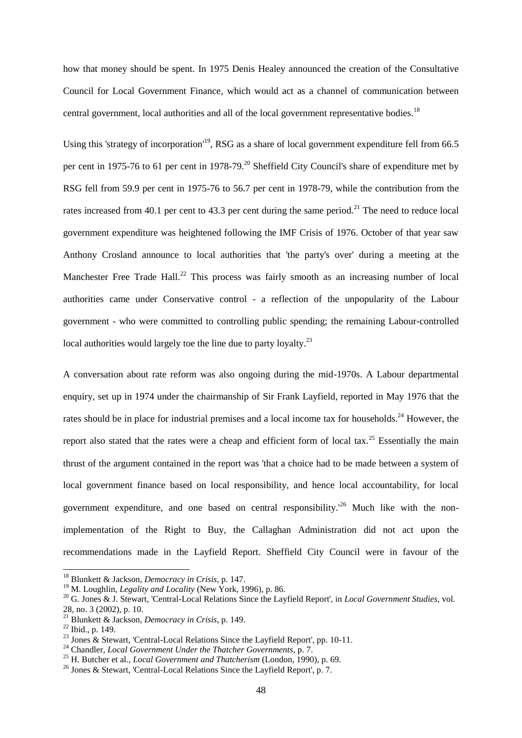how that money should be spent. In 1975 Denis Healey announced the creation of the Consultative Council for Local Government Finance, which would act as a channel of communication between central government, local authorities and all of the local government representative bodies.<sup>18</sup>

Using this 'strategy of incorporation'<sup>19</sup>, RSG as a share of local government expenditure fell from 66.5 per cent in 1975-76 to 61 per cent in 1978-79.<sup>20</sup> Sheffield City Council's share of expenditure met by RSG fell from 59.9 per cent in 1975-76 to 56.7 per cent in 1978-79, while the contribution from the rates increased from 40.1 per cent to 43.3 per cent during the same period.<sup>21</sup> The need to reduce local government expenditure was heightened following the IMF Crisis of 1976. October of that year saw Anthony Crosland announce to local authorities that 'the party's over' during a meeting at the Manchester Free Trade Hall.<sup>22</sup> This process was fairly smooth as an increasing number of local authorities came under Conservative control - a reflection of the unpopularity of the Labour government - who were committed to controlling public spending; the remaining Labour-controlled local authorities would largely toe the line due to party loyalty.<sup>23</sup>

A conversation about rate reform was also ongoing during the mid-1970s. A Labour departmental enquiry, set up in 1974 under the chairmanship of Sir Frank Layfield, reported in May 1976 that the rates should be in place for industrial premises and a local income tax for households.<sup>24</sup> However, the report also stated that the rates were a cheap and efficient form of local tax.<sup>25</sup> Essentially the main thrust of the argument contained in the report was 'that a choice had to be made between a system of local government finance based on local responsibility, and hence local accountability, for local government expenditure, and one based on central responsibility.<sup> $26$ </sup> Much like with the nonimplementation of the Right to Buy, the Callaghan Administration did not act upon the recommendations made in the Layfield Report. Sheffield City Council were in favour of the

<sup>18</sup> Blunkett & Jackson, *Democracy in Crisis*, p. 147.

<sup>19</sup> M. Loughlin, *Legality and Locality* (New York, 1996), p. 86.

<sup>20</sup> G. Jones & J. Stewart, 'Central-Local Relations Since the Layfield Report', in *Local Government Studies*, vol. 28, no. 3 (2002), p. 10.

<sup>21</sup> Blunkett & Jackson, *Democracy in Crisis*, p. 149.

<sup>22</sup> Ibid., p. 149.

<sup>&</sup>lt;sup>23</sup> Jones & Stewart, 'Central-Local Relations Since the Layfield Report', pp. 10-11.

<sup>24</sup> Chandler, *Local Government Under the Thatcher Governments*, p. 7.

<sup>25</sup> H. Butcher et al., *Local Government and Thatcherism* (London, 1990), p. 69.

<sup>&</sup>lt;sup>26</sup> Jones & Stewart, 'Central-Local Relations Since the Layfield Report', p. 7.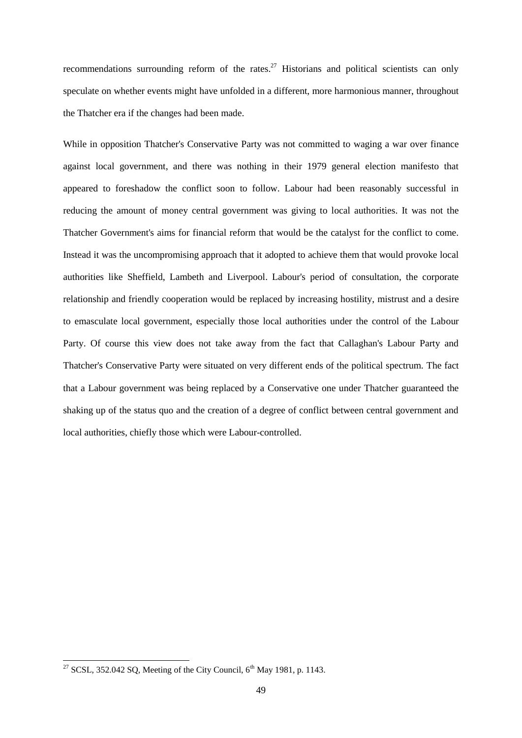recommendations surrounding reform of the rates.<sup>27</sup> Historians and political scientists can only speculate on whether events might have unfolded in a different, more harmonious manner, throughout the Thatcher era if the changes had been made.

While in opposition Thatcher's Conservative Party was not committed to waging a war over finance against local government, and there was nothing in their 1979 general election manifesto that appeared to foreshadow the conflict soon to follow. Labour had been reasonably successful in reducing the amount of money central government was giving to local authorities. It was not the Thatcher Government's aims for financial reform that would be the catalyst for the conflict to come. Instead it was the uncompromising approach that it adopted to achieve them that would provoke local authorities like Sheffield, Lambeth and Liverpool. Labour's period of consultation, the corporate relationship and friendly cooperation would be replaced by increasing hostility, mistrust and a desire to emasculate local government, especially those local authorities under the control of the Labour Party. Of course this view does not take away from the fact that Callaghan's Labour Party and Thatcher's Conservative Party were situated on very different ends of the political spectrum. The fact that a Labour government was being replaced by a Conservative one under Thatcher guaranteed the shaking up of the status quo and the creation of a degree of conflict between central government and local authorities, chiefly those which were Labour-controlled.

<sup>&</sup>lt;sup>27</sup> SCSL, 352.042 SQ, Meeting of the City Council,  $6<sup>th</sup>$  May 1981, p. 1143.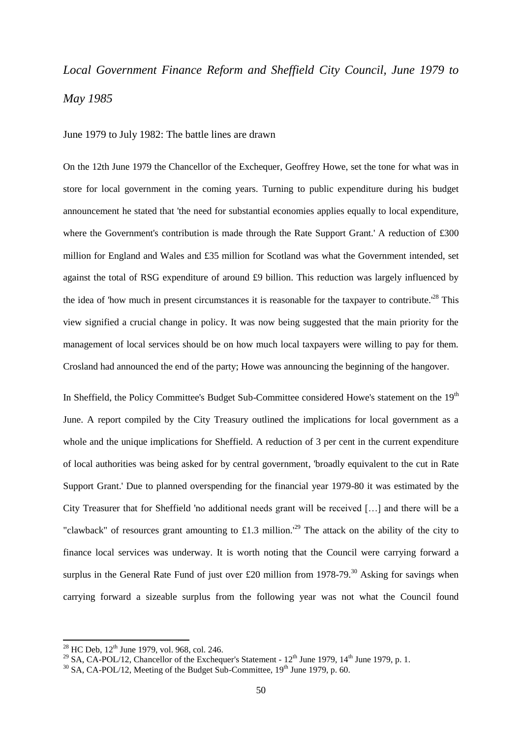## *Local Government Finance Reform and Sheffield City Council, June 1979 to May 1985*

June 1979 to July 1982: The battle lines are drawn

On the 12th June 1979 the Chancellor of the Exchequer, Geoffrey Howe, set the tone for what was in store for local government in the coming years. Turning to public expenditure during his budget announcement he stated that 'the need for substantial economies applies equally to local expenditure, where the Government's contribution is made through the Rate Support Grant.' A reduction of £300 million for England and Wales and £35 million for Scotland was what the Government intended, set against the total of RSG expenditure of around £9 billion. This reduction was largely influenced by the idea of 'how much in present circumstances it is reasonable for the taxpayer to contribute.'<sup>28</sup> This view signified a crucial change in policy. It was now being suggested that the main priority for the management of local services should be on how much local taxpayers were willing to pay for them. Crosland had announced the end of the party; Howe was announcing the beginning of the hangover.

In Sheffield, the Policy Committee's Budget Sub-Committee considered Howe's statement on the 19<sup>th</sup> June. A report compiled by the City Treasury outlined the implications for local government as a whole and the unique implications for Sheffield. A reduction of 3 per cent in the current expenditure of local authorities was being asked for by central government, 'broadly equivalent to the cut in Rate Support Grant.' Due to planned overspending for the financial year 1979-80 it was estimated by the City Treasurer that for Sheffield 'no additional needs grant will be received […] and there will be a "clawback" of resources grant amounting to £1.3 million.<sup>129</sup> The attack on the ability of the city to finance local services was underway. It is worth noting that the Council were carrying forward a surplus in the General Rate Fund of just over £20 million from 1978-79.<sup>30</sup> Asking for savings when carrying forward a sizeable surplus from the following year was not what the Council found

<sup>&</sup>lt;sup>28</sup> HC Deb,  $12^{th}$  June 1979, vol. 968, col. 246.

<sup>&</sup>lt;sup>29</sup> SA, CA-POL/12, Chancellor of the Exchequer's Statement -  $12^{th}$  June 1979, 14<sup>th</sup> June 1979, p. 1.

 $30$  SA, CA-POL/12, Meeting of the Budget Sub-Committee,  $19<sup>th</sup>$  June 1979, p. 60.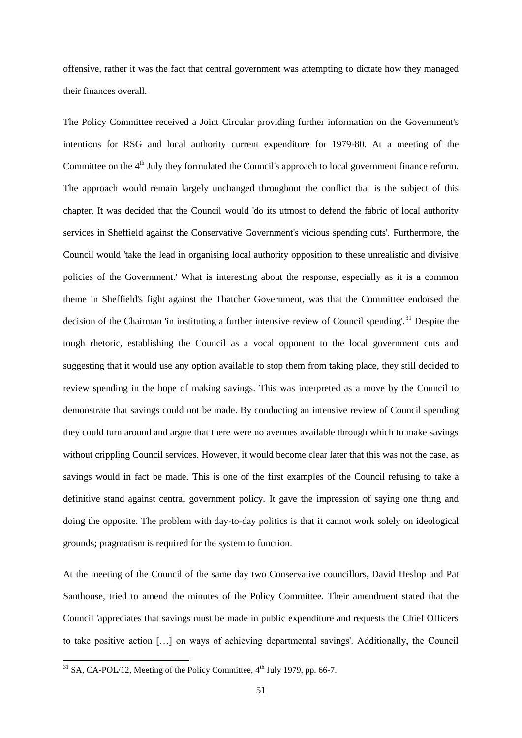offensive, rather it was the fact that central government was attempting to dictate how they managed their finances overall.

The Policy Committee received a Joint Circular providing further information on the Government's intentions for RSG and local authority current expenditure for 1979-80. At a meeting of the Committee on the 4<sup>th</sup> July they formulated the Council's approach to local government finance reform. The approach would remain largely unchanged throughout the conflict that is the subject of this chapter. It was decided that the Council would 'do its utmost to defend the fabric of local authority services in Sheffield against the Conservative Government's vicious spending cuts'. Furthermore, the Council would 'take the lead in organising local authority opposition to these unrealistic and divisive policies of the Government.' What is interesting about the response, especially as it is a common theme in Sheffield's fight against the Thatcher Government, was that the Committee endorsed the decision of the Chairman 'in instituting a further intensive review of Council spending'.<sup>31</sup> Despite the tough rhetoric, establishing the Council as a vocal opponent to the local government cuts and suggesting that it would use any option available to stop them from taking place, they still decided to review spending in the hope of making savings. This was interpreted as a move by the Council to demonstrate that savings could not be made. By conducting an intensive review of Council spending they could turn around and argue that there were no avenues available through which to make savings without crippling Council services. However, it would become clear later that this was not the case, as savings would in fact be made. This is one of the first examples of the Council refusing to take a definitive stand against central government policy. It gave the impression of saying one thing and doing the opposite. The problem with day-to-day politics is that it cannot work solely on ideological grounds; pragmatism is required for the system to function.

At the meeting of the Council of the same day two Conservative councillors, David Heslop and Pat Santhouse, tried to amend the minutes of the Policy Committee. Their amendment stated that the Council 'appreciates that savings must be made in public expenditure and requests the Chief Officers to take positive action […] on ways of achieving departmental savings'. Additionally, the Council

 $31$  SA, CA-POL/12, Meeting of the Policy Committee,  $4<sup>th</sup>$  July 1979, pp. 66-7.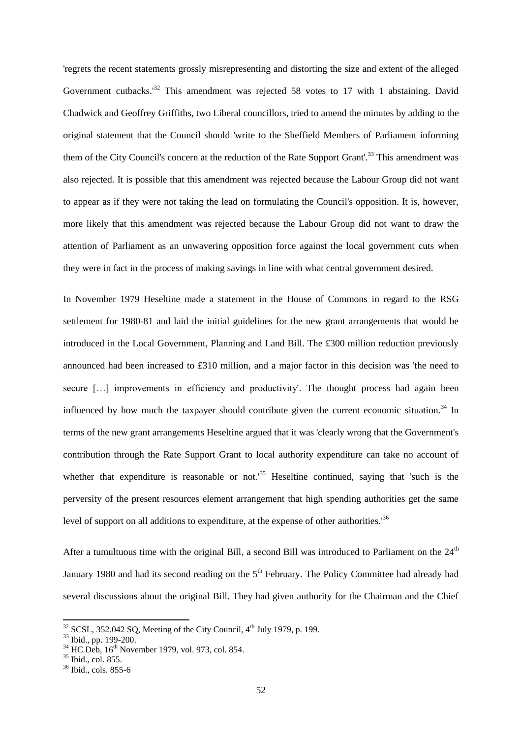'regrets the recent statements grossly misrepresenting and distorting the size and extent of the alleged Government cutbacks.<sup>32</sup> This amendment was rejected 58 votes to 17 with 1 abstaining. David Chadwick and Geoffrey Griffiths, two Liberal councillors, tried to amend the minutes by adding to the original statement that the Council should 'write to the Sheffield Members of Parliament informing them of the City Council's concern at the reduction of the Rate Support Grant'.<sup>33</sup> This amendment was also rejected. It is possible that this amendment was rejected because the Labour Group did not want to appear as if they were not taking the lead on formulating the Council's opposition. It is, however, more likely that this amendment was rejected because the Labour Group did not want to draw the attention of Parliament as an unwavering opposition force against the local government cuts when they were in fact in the process of making savings in line with what central government desired.

In November 1979 Heseltine made a statement in the House of Commons in regard to the RSG settlement for 1980-81 and laid the initial guidelines for the new grant arrangements that would be introduced in the Local Government, Planning and Land Bill. The £300 million reduction previously announced had been increased to £310 million, and a major factor in this decision was 'the need to secure [...] improvements in efficiency and productivity'. The thought process had again been influenced by how much the taxpayer should contribute given the current economic situation.<sup>34</sup> In terms of the new grant arrangements Heseltine argued that it was 'clearly wrong that the Government's contribution through the Rate Support Grant to local authority expenditure can take no account of whether that expenditure is reasonable or not.<sup>35</sup> Heseltine continued, saying that 'such is the perversity of the present resources element arrangement that high spending authorities get the same level of support on all additions to expenditure, at the expense of other authorities.<sup>36</sup>

After a tumultuous time with the original Bill, a second Bill was introduced to Parliament on the  $24<sup>th</sup>$ January 1980 and had its second reading on the 5<sup>th</sup> February. The Policy Committee had already had several discussions about the original Bill. They had given authority for the Chairman and the Chief

 $32$  SCSL, 352.042 SQ, Meeting of the City Council,  $4<sup>th</sup>$  July 1979, p. 199.

<sup>33</sup> Ibid., pp. 199-200.

 $34$  HC Deb,  $16^{th}$  November 1979, vol. 973, col. 854.

<sup>&</sup>lt;sup>35</sup> Ibid., col. 855.

 $36$  Ibid., cols. 855-6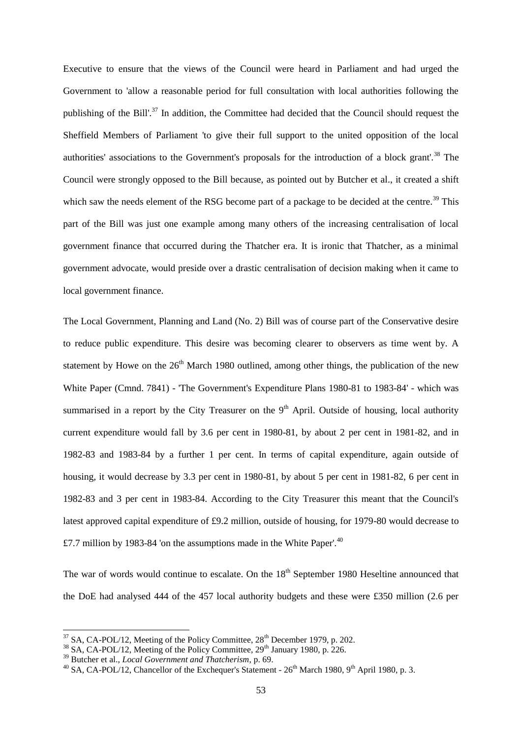Executive to ensure that the views of the Council were heard in Parliament and had urged the Government to 'allow a reasonable period for full consultation with local authorities following the publishing of the Bill'.<sup>37</sup> In addition, the Committee had decided that the Council should request the Sheffield Members of Parliament 'to give their full support to the united opposition of the local authorities' associations to the Government's proposals for the introduction of a block grant'.<sup>38</sup> The Council were strongly opposed to the Bill because, as pointed out by Butcher et al., it created a shift which saw the needs element of the RSG become part of a package to be decided at the centre.<sup>39</sup> This part of the Bill was just one example among many others of the increasing centralisation of local government finance that occurred during the Thatcher era. It is ironic that Thatcher, as a minimal government advocate, would preside over a drastic centralisation of decision making when it came to local government finance.

The Local Government, Planning and Land (No. 2) Bill was of course part of the Conservative desire to reduce public expenditure. This desire was becoming clearer to observers as time went by. A statement by Howe on the  $26<sup>th</sup>$  March 1980 outlined, among other things, the publication of the new White Paper (Cmnd. 7841) - 'The Government's Expenditure Plans 1980-81 to 1983-84' - which was summarised in a report by the City Treasurer on the  $9<sup>th</sup>$  April. Outside of housing, local authority current expenditure would fall by 3.6 per cent in 1980-81, by about 2 per cent in 1981-82, and in 1982-83 and 1983-84 by a further 1 per cent. In terms of capital expenditure, again outside of housing, it would decrease by 3.3 per cent in 1980-81, by about 5 per cent in 1981-82, 6 per cent in 1982-83 and 3 per cent in 1983-84. According to the City Treasurer this meant that the Council's latest approved capital expenditure of £9.2 million, outside of housing, for 1979-80 would decrease to £7.7 million by 1983-84 'on the assumptions made in the White Paper'.<sup>40</sup>

The war of words would continue to escalate. On the  $18<sup>th</sup>$  September 1980 Heseltine announced that the DoE had analysed 444 of the 457 local authority budgets and these were £350 million (2.6 per

 $37$  SA, CA-POL/12, Meeting of the Policy Committee,  $28<sup>th</sup>$  December 1979, p. 202.

 $38$  SA, CA-POL/12, Meeting of the Policy Committee,  $29<sup>th</sup>$  January 1980, p. 226.

<sup>39</sup> Butcher et al., *Local Government and Thatcherism*, p. 69.

<sup>&</sup>lt;sup>40</sup> SA, CA-POL/12, Chancellor of the Exchequer's Statement -  $26<sup>th</sup>$  March 1980, 9<sup>th</sup> April 1980, p. 3.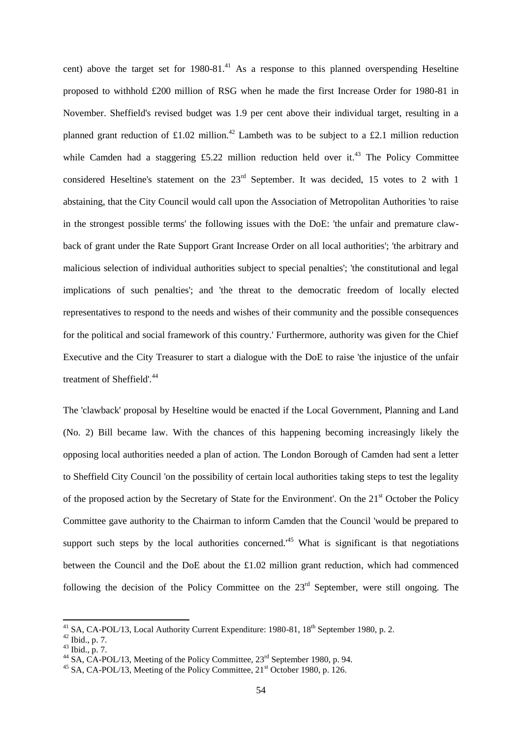cent) above the target set for  $1980-81<sup>41</sup>$  As a response to this planned overspending Heseltine proposed to withhold £200 million of RSG when he made the first Increase Order for 1980-81 in November. Sheffield's revised budget was 1.9 per cent above their individual target, resulting in a planned grant reduction of £1.02 million.<sup>42</sup> Lambeth was to be subject to a £2.1 million reduction while Camden had a staggering  $£5.22$  million reduction held over it.<sup>43</sup> The Policy Committee considered Heseltine's statement on the  $23<sup>rd</sup>$  September. It was decided, 15 votes to 2 with 1 abstaining, that the City Council would call upon the Association of Metropolitan Authorities 'to raise in the strongest possible terms' the following issues with the DoE: 'the unfair and premature clawback of grant under the Rate Support Grant Increase Order on all local authorities'; 'the arbitrary and malicious selection of individual authorities subject to special penalties'; 'the constitutional and legal implications of such penalties'; and 'the threat to the democratic freedom of locally elected representatives to respond to the needs and wishes of their community and the possible consequences for the political and social framework of this country.' Furthermore, authority was given for the Chief Executive and the City Treasurer to start a dialogue with the DoE to raise 'the injustice of the unfair treatment of Sheffield'.<sup>44</sup>

The 'clawback' proposal by Heseltine would be enacted if the Local Government, Planning and Land (No. 2) Bill became law. With the chances of this happening becoming increasingly likely the opposing local authorities needed a plan of action. The London Borough of Camden had sent a letter to Sheffield City Council 'on the possibility of certain local authorities taking steps to test the legality of the proposed action by the Secretary of State for the Environment'. On the 21<sup>st</sup> October the Policy Committee gave authority to the Chairman to inform Camden that the Council 'would be prepared to support such steps by the local authorities concerned.<sup> $45$ </sup> What is significant is that negotiations between the Council and the DoE about the £1.02 million grant reduction, which had commenced following the decision of the Policy Committee on the  $23<sup>rd</sup>$  September, were still ongoing. The

<sup>&</sup>lt;sup>41</sup> SA, CA-POL/13, Local Authority Current Expenditure: 1980-81, 18<sup>th</sup> September 1980, p. 2.

 $^{42}$  Ibid., p. 7.

 $43$  Ibid., p. 7.

<sup>&</sup>lt;sup>44</sup> SA, CA-POL/13, Meeting of the Policy Committee,  $23<sup>rd</sup>$  September 1980, p. 94.

<sup>&</sup>lt;sup>45</sup> SA, CA-POL/13, Meeting of the Policy Committee,  $21<sup>st</sup>$  October 1980, p. 126.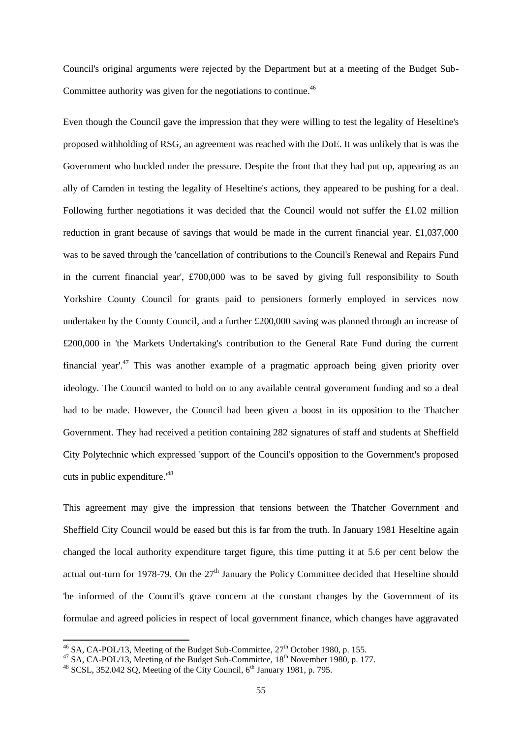Council's original arguments were rejected by the Department but at a meeting of the Budget Sub-Committee authority was given for the negotiations to continue.<sup>46</sup>

Even though the Council gave the impression that they were willing to test the legality of Heseltine's proposed withholding of RSG, an agreement was reached with the DoE. It was unlikely that is was the Government who buckled under the pressure. Despite the front that they had put up, appearing as an ally of Camden in testing the legality of Heseltine's actions, they appeared to be pushing for a deal. Following further negotiations it was decided that the Council would not suffer the £1.02 million reduction in grant because of savings that would be made in the current financial year. £1,037,000 was to be saved through the 'cancellation of contributions to the Council's Renewal and Repairs Fund in the current financial year', £700,000 was to be saved by giving full responsibility to South Yorkshire County Council for grants paid to pensioners formerly employed in services now undertaken by the County Council, and a further £200,000 saving was planned through an increase of £200,000 in 'the Markets Undertaking's contribution to the General Rate Fund during the current financial year'.<sup>47</sup> This was another example of a pragmatic approach being given priority over ideology. The Council wanted to hold on to any available central government funding and so a deal had to be made. However, the Council had been given a boost in its opposition to the Thatcher Government. They had received a petition containing 282 signatures of staff and students at Sheffield City Polytechnic which expressed 'support of the Council's opposition to the Government's proposed cuts in public expenditure.'<sup>48</sup>

This agreement may give the impression that tensions between the Thatcher Government and Sheffield City Council would be eased but this is far from the truth. In January 1981 Heseltine again changed the local authority expenditure target figure, this time putting it at 5.6 per cent below the actual out-turn for 1978-79. On the  $27<sup>th</sup>$  January the Policy Committee decided that Heseltine should 'be informed of the Council's grave concern at the constant changes by the Government of its formulae and agreed policies in respect of local government finance, which changes have aggravated

 $^{46}$  SA, CA-POL/13, Meeting of the Budget Sub-Committee,  $27<sup>th</sup>$  October 1980, p. 155.

 $^{47}$  SA, CA-POL/13, Meeting of the Budget Sub-Committee,  $18^{th}$  November 1980, p. 177.

 $48$  SCSL, 352.042 SQ, Meeting of the City Council,  $6<sup>th</sup>$  January 1981, p. 795.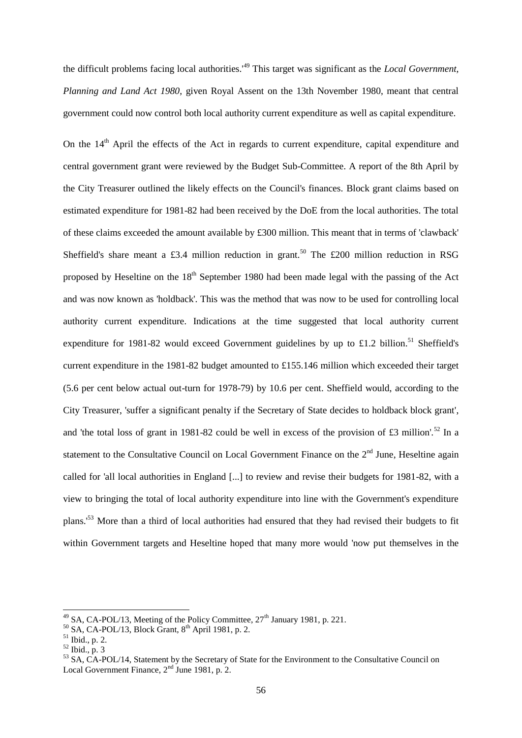the difficult problems facing local authorities.'<sup>49</sup> This target was significant as the *Local Government, Planning and Land Act 1980*, given Royal Assent on the 13th November 1980, meant that central government could now control both local authority current expenditure as well as capital expenditure.

On the  $14<sup>th</sup>$  April the effects of the Act in regards to current expenditure, capital expenditure and central government grant were reviewed by the Budget Sub-Committee. A report of the 8th April by the City Treasurer outlined the likely effects on the Council's finances. Block grant claims based on estimated expenditure for 1981-82 had been received by the DoE from the local authorities. The total of these claims exceeded the amount available by £300 million. This meant that in terms of 'clawback' Sheffield's share meant a £3.4 million reduction in grant.<sup>50</sup> The £200 million reduction in RSG proposed by Heseltine on the 18<sup>th</sup> September 1980 had been made legal with the passing of the Act and was now known as 'holdback'. This was the method that was now to be used for controlling local authority current expenditure. Indications at the time suggested that local authority current expenditure for 1981-82 would exceed Government guidelines by up to £1.2 billion.<sup>51</sup> Sheffield's current expenditure in the 1981-82 budget amounted to £155.146 million which exceeded their target (5.6 per cent below actual out-turn for 1978-79) by 10.6 per cent. Sheffield would, according to the City Treasurer, 'suffer a significant penalty if the Secretary of State decides to holdback block grant', and 'the total loss of grant in 1981-82 could be well in excess of the provision of £3 million'.<sup>52</sup> In a statement to the Consultative Council on Local Government Finance on the  $2<sup>nd</sup>$  June, Heseltine again called for 'all local authorities in England [...] to review and revise their budgets for 1981-82, with a view to bringing the total of local authority expenditure into line with the Government's expenditure plans.'<sup>53</sup> More than a third of local authorities had ensured that they had revised their budgets to fit within Government targets and Heseltine hoped that many more would 'now put themselves in the

<sup>&</sup>lt;sup>49</sup> SA, CA-POL/13, Meeting of the Policy Committee,  $27<sup>th</sup>$  January 1981, p. 221.

 $50$  SA, CA-POL/13, Block Grant,  $8<sup>th</sup>$  April 1981, p. 2.

<sup>51</sup> Ibid., p. 2.

 $52$  Ibid., p. 3

 $^{53}$  SA,  $\overrightarrow{CA}$ -POL/14, Statement by the Secretary of State for the Environment to the Consultative Council on Local Government Finance, 2<sup>nd</sup> June 1981, p. 2.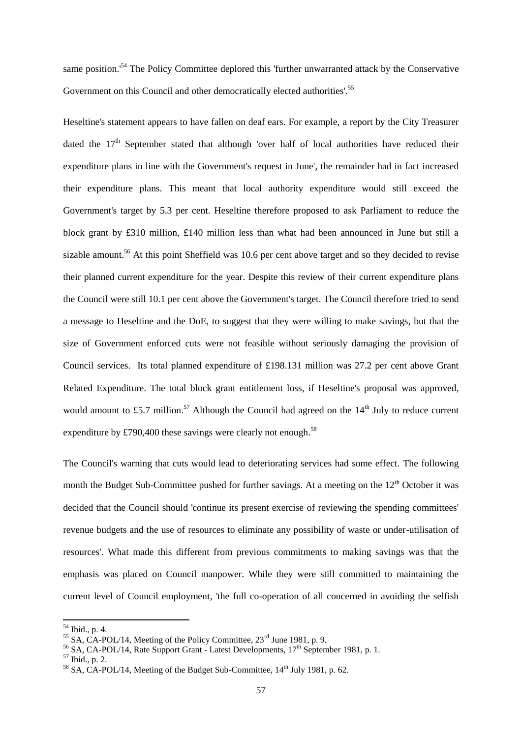same position.<sup>54</sup> The Policy Committee deplored this 'further unwarranted attack by the Conservative Government on this Council and other democratically elected authorities'.<sup>55</sup>

Heseltine's statement appears to have fallen on deaf ears. For example, a report by the City Treasurer dated the  $17<sup>th</sup>$  September stated that although 'over half of local authorities have reduced their expenditure plans in line with the Government's request in June', the remainder had in fact increased their expenditure plans. This meant that local authority expenditure would still exceed the Government's target by 5.3 per cent. Heseltine therefore proposed to ask Parliament to reduce the block grant by £310 million, £140 million less than what had been announced in June but still a sizable amount.<sup>56</sup> At this point Sheffield was 10.6 per cent above target and so they decided to revise their planned current expenditure for the year. Despite this review of their current expenditure plans the Council were still 10.1 per cent above the Government's target. The Council therefore tried to send a message to Heseltine and the DoE, to suggest that they were willing to make savings, but that the size of Government enforced cuts were not feasible without seriously damaging the provision of Council services. Its total planned expenditure of £198.131 million was 27.2 per cent above Grant Related Expenditure. The total block grant entitlement loss, if Heseltine's proposal was approved, would amount to £5.7 million.<sup>57</sup> Although the Council had agreed on the  $14<sup>th</sup>$  July to reduce current expenditure by £790,400 these savings were clearly not enough.<sup>58</sup>

The Council's warning that cuts would lead to deteriorating services had some effect. The following month the Budget Sub-Committee pushed for further savings. At a meeting on the  $12<sup>th</sup>$  October it was decided that the Council should 'continue its present exercise of reviewing the spending committees' revenue budgets and the use of resources to eliminate any possibility of waste or under-utilisation of resources'. What made this different from previous commitments to making savings was that the emphasis was placed on Council manpower. While they were still committed to maintaining the current level of Council employment, 'the full co-operation of all concerned in avoiding the selfish

<sup>54</sup> Ibid., p. 4.

<sup>&</sup>lt;sup>55</sup> SA, CA-POL/14, Meeting of the Policy Committee,  $23<sup>rd</sup>$  June 1981, p. 9.

 $56$  SA, CA-POL/14, Rate Support Grant - Latest Developments,  $17<sup>th</sup>$  September 1981, p. 1.

 $57$  Ibid., p. 2.

<sup>&</sup>lt;sup>58</sup> SA, CA-POL/14, Meeting of the Budget Sub-Committee,  $14<sup>th</sup>$  July 1981, p. 62.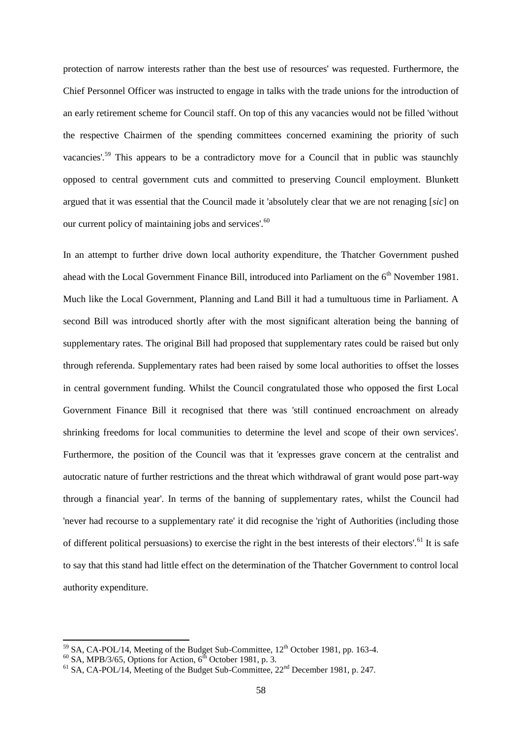protection of narrow interests rather than the best use of resources' was requested. Furthermore, the Chief Personnel Officer was instructed to engage in talks with the trade unions for the introduction of an early retirement scheme for Council staff. On top of this any vacancies would not be filled 'without the respective Chairmen of the spending committees concerned examining the priority of such vacancies'.<sup>59</sup> This appears to be a contradictory move for a Council that in public was staunchly opposed to central government cuts and committed to preserving Council employment. Blunkett argued that it was essential that the Council made it 'absolutely clear that we are not renaging [*sic*] on our current policy of maintaining jobs and services'.<sup>60</sup>

In an attempt to further drive down local authority expenditure, the Thatcher Government pushed ahead with the Local Government Finance Bill, introduced into Parliament on the  $6<sup>th</sup>$  November 1981. Much like the Local Government, Planning and Land Bill it had a tumultuous time in Parliament. A second Bill was introduced shortly after with the most significant alteration being the banning of supplementary rates. The original Bill had proposed that supplementary rates could be raised but only through referenda. Supplementary rates had been raised by some local authorities to offset the losses in central government funding. Whilst the Council congratulated those who opposed the first Local Government Finance Bill it recognised that there was 'still continued encroachment on already shrinking freedoms for local communities to determine the level and scope of their own services'. Furthermore, the position of the Council was that it 'expresses grave concern at the centralist and autocratic nature of further restrictions and the threat which withdrawal of grant would pose part-way through a financial year'. In terms of the banning of supplementary rates, whilst the Council had 'never had recourse to a supplementary rate' it did recognise the 'right of Authorities (including those of different political persuasions) to exercise the right in the best interests of their electors'.<sup>61</sup> It is safe to say that this stand had little effect on the determination of the Thatcher Government to control local authority expenditure.

 $^{59}$  SA, CA-POL/14, Meeting of the Budget Sub-Committee,  $12^{th}$  October 1981, pp. 163-4.

 $^{60}$  SA, MPB/3/65, Options for Action,  $6^{\text{th}}$  October 1981, p. 3.

 $61$  SA, CA-POL/14, Meeting of the Budget Sub-Committee,  $22<sup>nd</sup>$  December 1981, p. 247.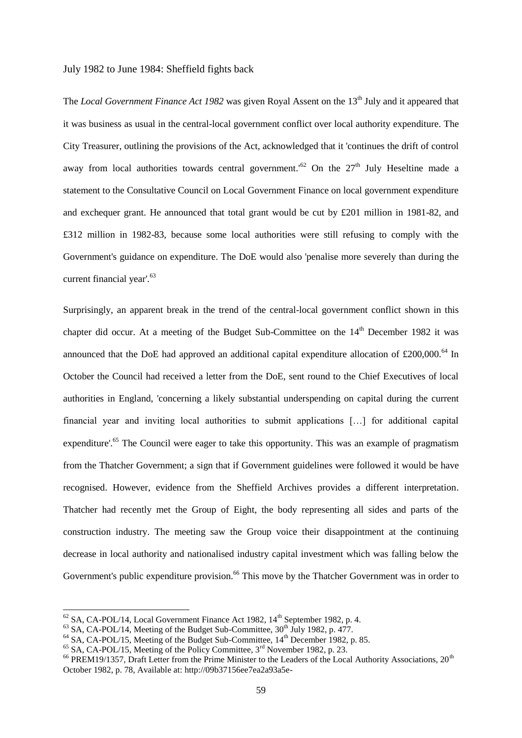#### July 1982 to June 1984: Sheffield fights back

The *Local Government Finance Act 1982* was given Royal Assent on the 13<sup>th</sup> July and it appeared that it was business as usual in the central-local government conflict over local authority expenditure. The City Treasurer, outlining the provisions of the Act, acknowledged that it 'continues the drift of control away from local authorities towards central government.<sup>'62</sup> On the  $27<sup>th</sup>$  July Heseltine made a statement to the Consultative Council on Local Government Finance on local government expenditure and exchequer grant. He announced that total grant would be cut by £201 million in 1981-82, and £312 million in 1982-83, because some local authorities were still refusing to comply with the Government's guidance on expenditure. The DoE would also 'penalise more severely than during the current financial year'.<sup>63</sup>

Surprisingly, an apparent break in the trend of the central-local government conflict shown in this chapter did occur. At a meeting of the Budget Sub-Committee on the  $14<sup>th</sup>$  December 1982 it was announced that the DoE had approved an additional capital expenditure allocation of  $\text{\pounds}200,000$ .<sup>64</sup> In October the Council had received a letter from the DoE, sent round to the Chief Executives of local authorities in England, 'concerning a likely substantial underspending on capital during the current financial year and inviting local authorities to submit applications […] for additional capital expenditure'.<sup>65</sup> The Council were eager to take this opportunity. This was an example of pragmatism from the Thatcher Government; a sign that if Government guidelines were followed it would be have recognised. However, evidence from the Sheffield Archives provides a different interpretation. Thatcher had recently met the Group of Eight, the body representing all sides and parts of the construction industry. The meeting saw the Group voice their disappointment at the continuing decrease in local authority and nationalised industry capital investment which was falling below the Government's public expenditure provision.<sup>66</sup> This move by the Thatcher Government was in order to

 $62$  SA, CA-POL/14, Local Government Finance Act 1982,  $14<sup>th</sup>$  September 1982, p. 4.

 $^{63}$  SA, CA-POL/14, Meeting of the Budget Sub-Committee,  $30^{th}$  July 1982, p. 477.

 $^{64}$  SA, CA-POL/15, Meeting of the Budget Sub-Committee,  $14^{th}$  December 1982, p. 85.

 $65$  SA, CA-POL/15, Meeting of the Policy Committee,  $3<sup>rd</sup>$  November 1982, p. 23.

<sup>&</sup>lt;sup>66</sup> PREM19/1357, Draft Letter from the Prime Minister to the Leaders of the Local Authority Associations, 20<sup>th</sup> October 1982, p. 78, Available at: http://09b37156ee7ea2a93a5e-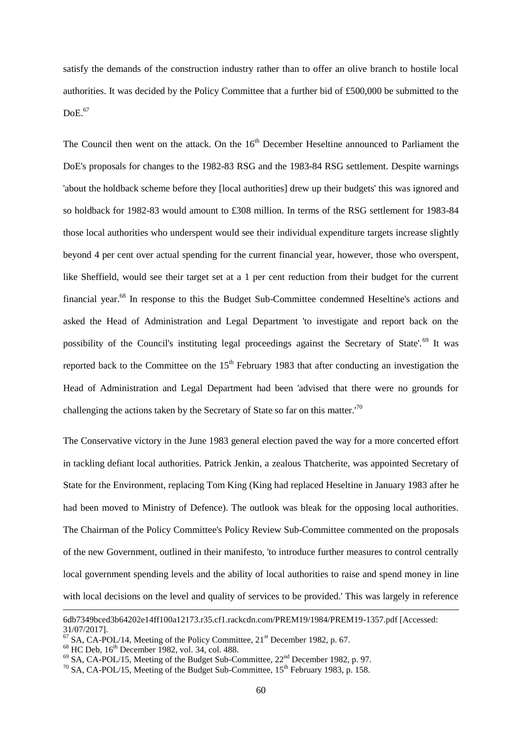satisfy the demands of the construction industry rather than to offer an olive branch to hostile local authorities. It was decided by the Policy Committee that a further bid of £500,000 be submitted to the  $DoE<sup>67</sup>$ 

The Council then went on the attack. On the  $16<sup>th</sup>$  December Heseltine announced to Parliament the DoE's proposals for changes to the 1982-83 RSG and the 1983-84 RSG settlement. Despite warnings 'about the holdback scheme before they [local authorities] drew up their budgets' this was ignored and so holdback for 1982-83 would amount to £308 million. In terms of the RSG settlement for 1983-84 those local authorities who underspent would see their individual expenditure targets increase slightly beyond 4 per cent over actual spending for the current financial year, however, those who overspent, like Sheffield, would see their target set at a 1 per cent reduction from their budget for the current financial year.<sup>68</sup> In response to this the Budget Sub-Committee condemned Heseltine's actions and asked the Head of Administration and Legal Department 'to investigate and report back on the possibility of the Council's instituting legal proceedings against the Secretary of State'.<sup>69</sup> It was reported back to the Committee on the  $15<sup>th</sup>$  February 1983 that after conducting an investigation the Head of Administration and Legal Department had been 'advised that there were no grounds for challenging the actions taken by the Secretary of State so far on this matter.'<sup>70</sup>

The Conservative victory in the June 1983 general election paved the way for a more concerted effort in tackling defiant local authorities. Patrick Jenkin, a zealous Thatcherite, was appointed Secretary of State for the Environment, replacing Tom King (King had replaced Heseltine in January 1983 after he had been moved to Ministry of Defence). The outlook was bleak for the opposing local authorities. The Chairman of the Policy Committee's Policy Review Sub-Committee commented on the proposals of the new Government, outlined in their manifesto, 'to introduce further measures to control centrally local government spending levels and the ability of local authorities to raise and spend money in line with local decisions on the level and quality of services to be provided.' This was largely in reference

<sup>6</sup>db7349bced3b64202e14ff100a12173.r35.cf1.rackcdn.com/PREM19/1984/PREM19-1357.pdf [Accessed: 31/07/2017].

 $^{67}$  SA, CA-POL/14, Meeting of the Policy Committee, 21<sup>st</sup> December 1982, p. 67.

 $68$  HC Deb,  $16<sup>th</sup>$  December 1982, vol. 34, col. 488.

 $^{69}$  SA, CA-POL/15, Meeting of the Budget Sub-Committee,  $22<sup>nd</sup>$  December 1982, p. 97.

 $^{70}$  SA, CA-POL/15, Meeting of the Budget Sub-Committee,  $15^{th}$  February 1983, p. 158.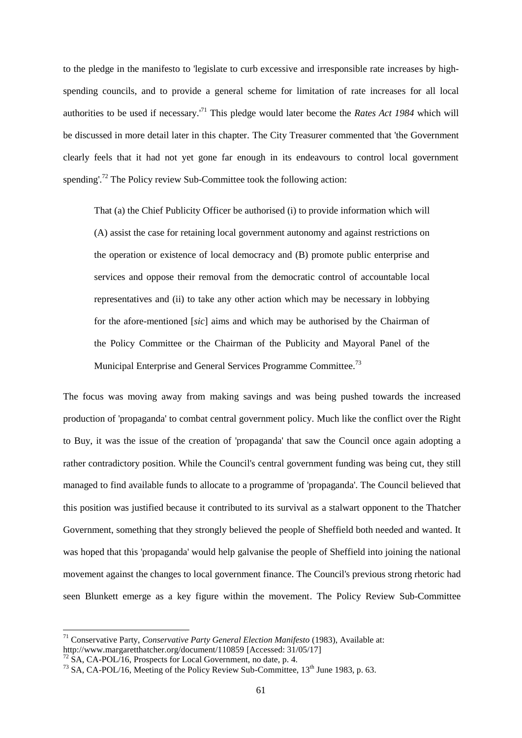to the pledge in the manifesto to 'legislate to curb excessive and irresponsible rate increases by highspending councils, and to provide a general scheme for limitation of rate increases for all local authorities to be used if necessary.'<sup>71</sup> This pledge would later become the *Rates Act 1984* which will be discussed in more detail later in this chapter. The City Treasurer commented that 'the Government clearly feels that it had not yet gone far enough in its endeavours to control local government spending'.<sup>72</sup> The Policy review Sub-Committee took the following action:

That (a) the Chief Publicity Officer be authorised (i) to provide information which will (A) assist the case for retaining local government autonomy and against restrictions on the operation or existence of local democracy and (B) promote public enterprise and services and oppose their removal from the democratic control of accountable local representatives and (ii) to take any other action which may be necessary in lobbying for the afore-mentioned [*sic*] aims and which may be authorised by the Chairman of the Policy Committee or the Chairman of the Publicity and Mayoral Panel of the Municipal Enterprise and General Services Programme Committee.<sup>73</sup>

The focus was moving away from making savings and was being pushed towards the increased production of 'propaganda' to combat central government policy. Much like the conflict over the Right to Buy, it was the issue of the creation of 'propaganda' that saw the Council once again adopting a rather contradictory position. While the Council's central government funding was being cut, they still managed to find available funds to allocate to a programme of 'propaganda'. The Council believed that this position was justified because it contributed to its survival as a stalwart opponent to the Thatcher Government, something that they strongly believed the people of Sheffield both needed and wanted. It was hoped that this 'propaganda' would help galvanise the people of Sheffield into joining the national movement against the changes to local government finance. The Council's previous strong rhetoric had seen Blunkett emerge as a key figure within the movement. The Policy Review Sub-Committee

<sup>71</sup> Conservative Party, *Conservative Party General Election Manifesto* (1983), Available at: http://www.margaretthatcher.org/document/110859 [Accessed: 31/05/17]

 $\frac{72}{2}$  SA, CA-POL/16, Prospects for Local Government, no date, p. 4.

 $^{73}$  SA, CA-POL/16, Meeting of the Policy Review Sub-Committee,  $13<sup>th</sup>$  June 1983, p. 63.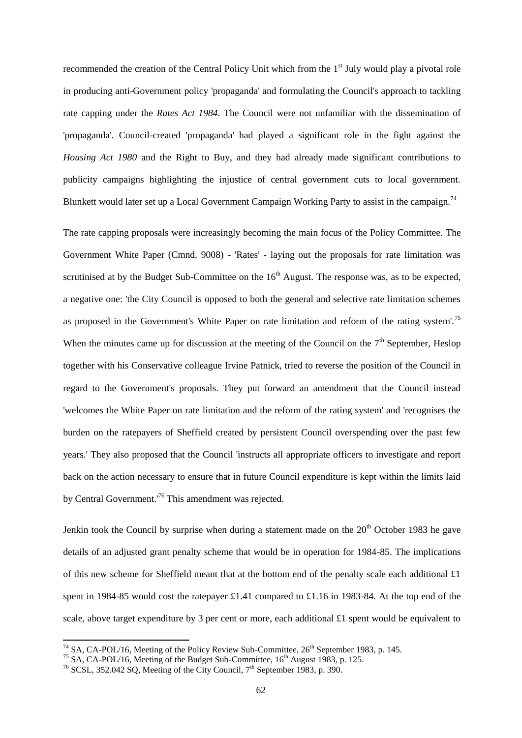recommended the creation of the Central Policy Unit which from the 1<sup>st</sup> July would play a pivotal role in producing anti-Government policy 'propaganda' and formulating the Council's approach to tackling rate capping under the *Rates Act 1984*. The Council were not unfamiliar with the dissemination of 'propaganda'. Council-created 'propaganda' had played a significant role in the fight against the *Housing Act 1980* and the Right to Buy, and they had already made significant contributions to publicity campaigns highlighting the injustice of central government cuts to local government. Blunkett would later set up a Local Government Campaign Working Party to assist in the campaign.<sup>74</sup>

The rate capping proposals were increasingly becoming the main focus of the Policy Committee. The Government White Paper (Cmnd. 9008) - 'Rates' - laying out the proposals for rate limitation was scrutinised at by the Budget Sub-Committee on the  $16<sup>th</sup>$  August. The response was, as to be expected, a negative one: 'the City Council is opposed to both the general and selective rate limitation schemes as proposed in the Government's White Paper on rate limitation and reform of the rating system'.<sup>75</sup> When the minutes came up for discussion at the meeting of the Council on the  $7<sup>th</sup>$  September, Heslop together with his Conservative colleague Irvine Patnick, tried to reverse the position of the Council in regard to the Government's proposals. They put forward an amendment that the Council instead 'welcomes the White Paper on rate limitation and the reform of the rating system' and 'recognises the burden on the ratepayers of Sheffield created by persistent Council overspending over the past few years.' They also proposed that the Council 'instructs all appropriate officers to investigate and report back on the action necessary to ensure that in future Council expenditure is kept within the limits laid by Central Government.'<sup>76</sup> This amendment was rejected.

Jenkin took the Council by surprise when during a statement made on the  $20<sup>th</sup>$  October 1983 he gave details of an adjusted grant penalty scheme that would be in operation for 1984-85. The implications of this new scheme for Sheffield meant that at the bottom end of the penalty scale each additional £1 spent in 1984-85 would cost the ratepayer £1.41 compared to £1.16 in 1983-84. At the top end of the scale, above target expenditure by 3 per cent or more, each additional £1 spent would be equivalent to

 $^{74}$  SA, CA-POL/16, Meeting of the Policy Review Sub-Committee, 26<sup>th</sup> September 1983, p. 145.

<sup>&</sup>lt;sup>75</sup> SA, CA-POL/16, Meeting of the Budget Sub-Committee,  $16<sup>th</sup>$  August 1983, p. 125.

 $^{76}$  SCSL, 352.042 SQ, Meeting of the City Council,  $7^{th}$  September 1983, p. 390.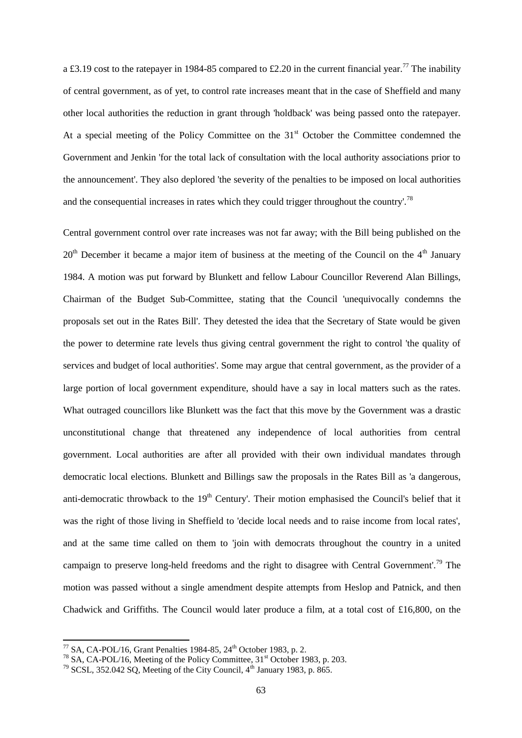a £3.19 cost to the ratepayer in 1984-85 compared to £2.20 in the current financial year.<sup>77</sup> The inability of central government, as of yet, to control rate increases meant that in the case of Sheffield and many other local authorities the reduction in grant through 'holdback' was being passed onto the ratepayer. At a special meeting of the Policy Committee on the  $31<sup>st</sup>$  October the Committee condemned the Government and Jenkin 'for the total lack of consultation with the local authority associations prior to the announcement'. They also deplored 'the severity of the penalties to be imposed on local authorities and the consequential increases in rates which they could trigger throughout the country'.<sup>78</sup>

Central government control over rate increases was not far away; with the Bill being published on the  $20<sup>th</sup>$  December it became a major item of business at the meeting of the Council on the 4<sup>th</sup> January 1984. A motion was put forward by Blunkett and fellow Labour Councillor Reverend Alan Billings, Chairman of the Budget Sub-Committee, stating that the Council 'unequivocally condemns the proposals set out in the Rates Bill'. They detested the idea that the Secretary of State would be given the power to determine rate levels thus giving central government the right to control 'the quality of services and budget of local authorities'. Some may argue that central government, as the provider of a large portion of local government expenditure, should have a say in local matters such as the rates. What outraged councillors like Blunkett was the fact that this move by the Government was a drastic unconstitutional change that threatened any independence of local authorities from central government. Local authorities are after all provided with their own individual mandates through democratic local elections. Blunkett and Billings saw the proposals in the Rates Bill as 'a dangerous, anti-democratic throwback to the  $19<sup>th</sup>$  Century'. Their motion emphasised the Council's belief that it was the right of those living in Sheffield to 'decide local needs and to raise income from local rates', and at the same time called on them to 'join with democrats throughout the country in a united campaign to preserve long-held freedoms and the right to disagree with Central Government'.<sup>79</sup> The motion was passed without a single amendment despite attempts from Heslop and Patnick, and then Chadwick and Griffiths. The Council would later produce a film, at a total cost of £16,800, on the

 $^{77}$  SA, CA-POL/16, Grant Penalties 1984-85, 24<sup>th</sup> October 1983, p. 2.

 $^{78}$  SA, CA-POL/16, Meeting of the Policy Committee, 31<sup>st</sup> October 1983, p. 203.

 $79$  SCSL, 352.042 SQ, Meeting of the City Council,  $4<sup>th</sup>$  January 1983, p. 865.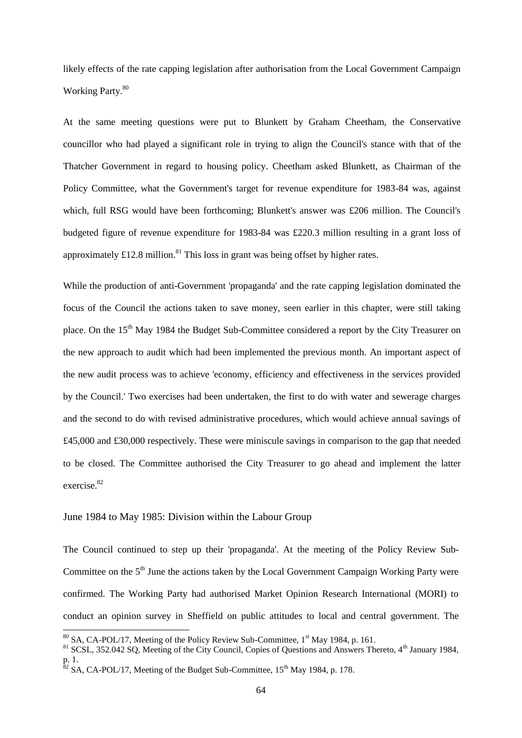likely effects of the rate capping legislation after authorisation from the Local Government Campaign Working Party.<sup>80</sup>

At the same meeting questions were put to Blunkett by Graham Cheetham, the Conservative councillor who had played a significant role in trying to align the Council's stance with that of the Thatcher Government in regard to housing policy. Cheetham asked Blunkett, as Chairman of the Policy Committee, what the Government's target for revenue expenditure for 1983-84 was, against which, full RSG would have been forthcoming; Blunkett's answer was £206 million. The Council's budgeted figure of revenue expenditure for 1983-84 was £220.3 million resulting in a grant loss of approximately  $\pounds$ 12.8 million.<sup>81</sup> This loss in grant was being offset by higher rates.

While the production of anti-Government 'propaganda' and the rate capping legislation dominated the focus of the Council the actions taken to save money, seen earlier in this chapter, were still taking place. On the 15<sup>th</sup> May 1984 the Budget Sub-Committee considered a report by the City Treasurer on the new approach to audit which had been implemented the previous month. An important aspect of the new audit process was to achieve 'economy, efficiency and effectiveness in the services provided by the Council.' Two exercises had been undertaken, the first to do with water and sewerage charges and the second to do with revised administrative procedures, which would achieve annual savings of £45,000 and £30,000 respectively. These were miniscule savings in comparison to the gap that needed to be closed. The Committee authorised the City Treasurer to go ahead and implement the latter exercise.<sup>82</sup>

#### June 1984 to May 1985: Division within the Labour Group

1

The Council continued to step up their 'propaganda'. At the meeting of the Policy Review Sub-Committee on the  $5<sup>th</sup>$  June the actions taken by the Local Government Campaign Working Party were confirmed. The Working Party had authorised Market Opinion Research International (MORI) to conduct an opinion survey in Sheffield on public attitudes to local and central government. The

 $80$  SA, CA-POL/17, Meeting of the Policy Review Sub-Committee,  $1<sup>st</sup>$  May 1984, p. 161.

<sup>81</sup> SCSL, 352.042 SQ, Meeting of the City Council, Copies of Questions and Answers Thereto, 4<sup>th</sup> January 1984, p. 1.

 $82$  SA, CA-POL/17, Meeting of the Budget Sub-Committee, 15<sup>th</sup> May 1984, p. 178.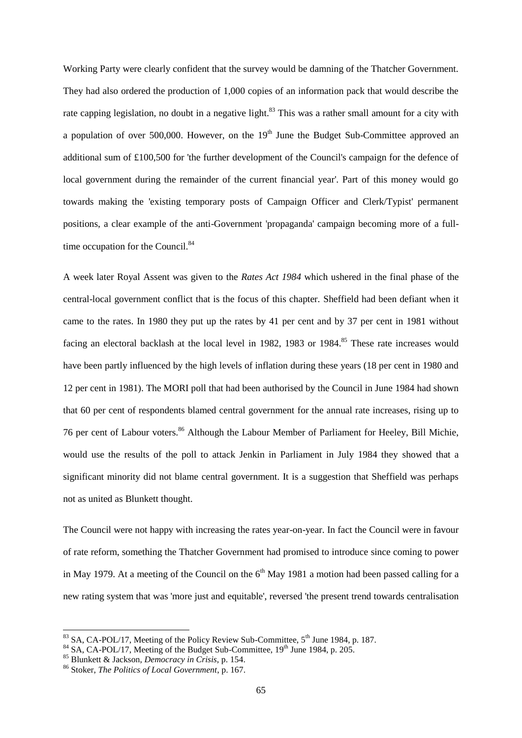Working Party were clearly confident that the survey would be damning of the Thatcher Government. They had also ordered the production of 1,000 copies of an information pack that would describe the rate capping legislation, no doubt in a negative light.<sup>83</sup> This was a rather small amount for a city with a population of over 500,000. However, on the  $19<sup>th</sup>$  June the Budget Sub-Committee approved an additional sum of £100,500 for 'the further development of the Council's campaign for the defence of local government during the remainder of the current financial year'. Part of this money would go towards making the 'existing temporary posts of Campaign Officer and Clerk/Typist' permanent positions, a clear example of the anti-Government 'propaganda' campaign becoming more of a fulltime occupation for the Council.<sup>84</sup>

A week later Royal Assent was given to the *Rates Act 1984* which ushered in the final phase of the central-local government conflict that is the focus of this chapter. Sheffield had been defiant when it came to the rates. In 1980 they put up the rates by 41 per cent and by 37 per cent in 1981 without facing an electoral backlash at the local level in 1982, 1983 or 1984.<sup>85</sup> These rate increases would have been partly influenced by the high levels of inflation during these years (18 per cent in 1980 and 12 per cent in 1981). The MORI poll that had been authorised by the Council in June 1984 had shown that 60 per cent of respondents blamed central government for the annual rate increases, rising up to 76 per cent of Labour voters.<sup>86</sup> Although the Labour Member of Parliament for Heeley, Bill Michie, would use the results of the poll to attack Jenkin in Parliament in July 1984 they showed that a significant minority did not blame central government. It is a suggestion that Sheffield was perhaps not as united as Blunkett thought.

The Council were not happy with increasing the rates year-on-year. In fact the Council were in favour of rate reform, something the Thatcher Government had promised to introduce since coming to power in May 1979. At a meeting of the Council on the  $6<sup>th</sup>$  May 1981 a motion had been passed calling for a new rating system that was 'more just and equitable', reversed 'the present trend towards centralisation

 $83$  SA, CA-POL/17, Meeting of the Policy Review Sub-Committee,  $5<sup>th</sup>$  June 1984, p. 187.

 $84$  SA, CA-POL/17, Meeting of the Budget Sub-Committee,  $19<sup>th</sup>$  June 1984, p. 205.

<sup>85</sup> Blunkett & Jackson, *Democracy in Crisis*, p. 154.

<sup>86</sup> Stoker, *The Politics of Local Government*, p. 167.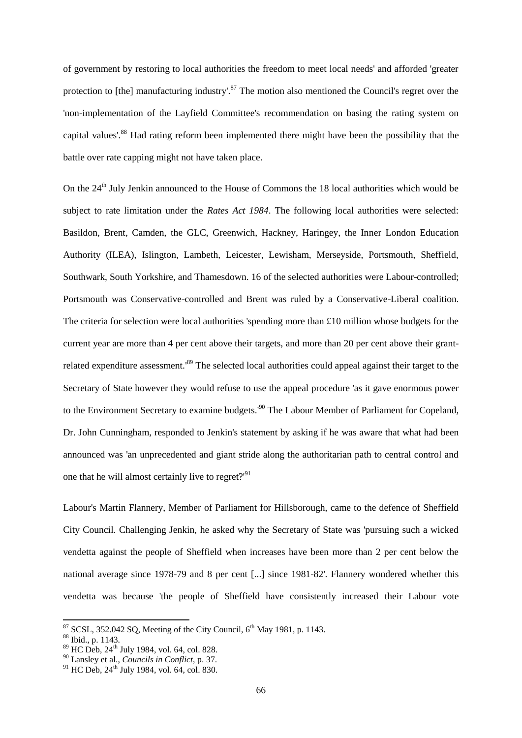of government by restoring to local authorities the freedom to meet local needs' and afforded 'greater protection to [the] manufacturing industry'.<sup>87</sup> The motion also mentioned the Council's regret over the 'non-implementation of the Layfield Committee's recommendation on basing the rating system on capital values'.<sup>88</sup> Had rating reform been implemented there might have been the possibility that the battle over rate capping might not have taken place.

On the 24<sup>th</sup> July Jenkin announced to the House of Commons the 18 local authorities which would be subject to rate limitation under the *Rates Act 1984*. The following local authorities were selected: Basildon, Brent, Camden, the GLC, Greenwich, Hackney, Haringey, the Inner London Education Authority (ILEA), Islington, Lambeth, Leicester, Lewisham, Merseyside, Portsmouth, Sheffield, Southwark, South Yorkshire, and Thamesdown. 16 of the selected authorities were Labour-controlled; Portsmouth was Conservative-controlled and Brent was ruled by a Conservative-Liberal coalition. The criteria for selection were local authorities 'spending more than  $\pounds 10$  million whose budgets for the current year are more than 4 per cent above their targets, and more than 20 per cent above their grantrelated expenditure assessment.<sup>89</sup> The selected local authorities could appeal against their target to the Secretary of State however they would refuse to use the appeal procedure 'as it gave enormous power to the Environment Secretary to examine budgets.<sup>'90</sup> The Labour Member of Parliament for Copeland, Dr. John Cunningham, responded to Jenkin's statement by asking if he was aware that what had been announced was 'an unprecedented and giant stride along the authoritarian path to central control and one that he will almost certainly live to regret?<sup>'91</sup>

Labour's Martin Flannery, Member of Parliament for Hillsborough, came to the defence of Sheffield City Council. Challenging Jenkin, he asked why the Secretary of State was 'pursuing such a wicked vendetta against the people of Sheffield when increases have been more than 2 per cent below the national average since 1978-79 and 8 per cent [...] since 1981-82'. Flannery wondered whether this vendetta was because 'the people of Sheffield have consistently increased their Labour vote

 $87$  SCSL, 352.042 SQ, Meeting of the City Council,  $6<sup>th</sup>$  May 1981, p. 1143.

<sup>88</sup> Ibid., p. 1143.

<sup>&</sup>lt;sup>89</sup> HC Deb, 24<sup>th</sup> July 1984, vol. 64, col. 828.

<sup>90</sup> Lansley et al., *Councils in Conflict*, p. 37.

<sup>91</sup> HC Deb,  $24^{th}$  July 1984, vol. 64, col. 830.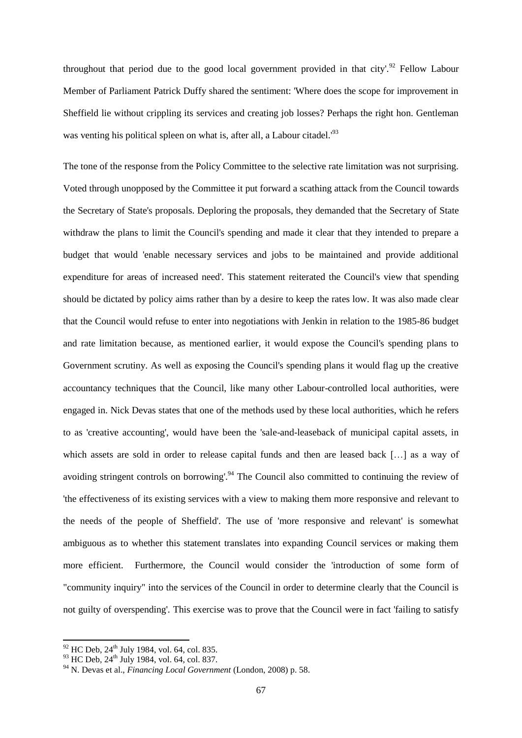throughout that period due to the good local government provided in that city'.<sup>92</sup> Fellow Labour Member of Parliament Patrick Duffy shared the sentiment: 'Where does the scope for improvement in Sheffield lie without crippling its services and creating job losses? Perhaps the right hon. Gentleman was venting his political spleen on what is, after all, a Labour citadel.<sup>'93</sup>

The tone of the response from the Policy Committee to the selective rate limitation was not surprising. Voted through unopposed by the Committee it put forward a scathing attack from the Council towards the Secretary of State's proposals. Deploring the proposals, they demanded that the Secretary of State withdraw the plans to limit the Council's spending and made it clear that they intended to prepare a budget that would 'enable necessary services and jobs to be maintained and provide additional expenditure for areas of increased need'. This statement reiterated the Council's view that spending should be dictated by policy aims rather than by a desire to keep the rates low. It was also made clear that the Council would refuse to enter into negotiations with Jenkin in relation to the 1985-86 budget and rate limitation because, as mentioned earlier, it would expose the Council's spending plans to Government scrutiny. As well as exposing the Council's spending plans it would flag up the creative accountancy techniques that the Council, like many other Labour-controlled local authorities, were engaged in. Nick Devas states that one of the methods used by these local authorities, which he refers to as 'creative accounting', would have been the 'sale-and-leaseback of municipal capital assets, in which assets are sold in order to release capital funds and then are leased back […] as a way of avoiding stringent controls on borrowing'.<sup>94</sup> The Council also committed to continuing the review of 'the effectiveness of its existing services with a view to making them more responsive and relevant to the needs of the people of Sheffield'. The use of 'more responsive and relevant' is somewhat ambiguous as to whether this statement translates into expanding Council services or making them more efficient. Furthermore, the Council would consider the 'introduction of some form of "community inquiry" into the services of the Council in order to determine clearly that the Council is not guilty of overspending'. This exercise was to prove that the Council were in fact 'failing to satisfy

 $92$  HC Deb,  $24<sup>th</sup>$  July 1984, vol. 64, col. 835.

<sup>93</sup> HC Deb, 24<sup>th</sup> July 1984, vol. 64, col. 837.

<sup>94</sup> N. Devas et al., *Financing Local Government* (London, 2008) p. 58.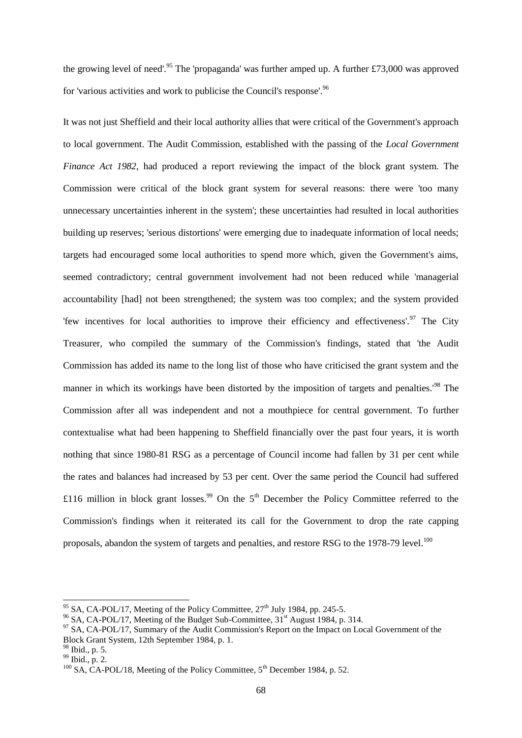the growing level of need'.<sup>95</sup> The 'propaganda' was further amped up. A further £73,000 was approved for 'various activities and work to publicise the Council's response'.<sup>96</sup>

It was not just Sheffield and their local authority allies that were critical of the Government's approach to local government. The Audit Commission, established with the passing of the *Local Government Finance Act 1982*, had produced a report reviewing the impact of the block grant system. The Commission were critical of the block grant system for several reasons: there were 'too many unnecessary uncertainties inherent in the system'; these uncertainties had resulted in local authorities building up reserves; 'serious distortions' were emerging due to inadequate information of local needs; targets had encouraged some local authorities to spend more which, given the Government's aims, seemed contradictory; central government involvement had not been reduced while 'managerial accountability [had] not been strengthened; the system was too complex; and the system provided 'few incentives for local authorities to improve their efficiency and effectiveness'.<sup>97</sup> The City Treasurer, who compiled the summary of the Commission's findings, stated that 'the Audit Commission has added its name to the long list of those who have criticised the grant system and the manner in which its workings have been distorted by the imposition of targets and penalties.<sup>198</sup> The Commission after all was independent and not a mouthpiece for central government. To further contextualise what had been happening to Sheffield financially over the past four years, it is worth nothing that since 1980-81 RSG as a percentage of Council income had fallen by 31 per cent while the rates and balances had increased by 53 per cent. Over the same period the Council had suffered £116 million in block grant losses.<sup>99</sup> On the 5<sup>th</sup> December the Policy Committee referred to the Commission's findings when it reiterated its call for the Government to drop the rate capping proposals, abandon the system of targets and penalties, and restore RSG to the 1978-79 level.<sup>100</sup>

<sup>&</sup>lt;sup>95</sup> SA, CA-POL/17, Meeting of the Policy Committee,  $27<sup>th</sup>$  July 1984, pp. 245-5.

<sup>&</sup>lt;sup>96</sup> SA, CA-POL/17, Meeting of the Budget Sub-Committee,  $31<sup>st</sup>$  August 1984, p. 314.

 $97$  SA, CA-POL/17, Summary of the Audit Commission's Report on the Impact on Local Government of the Block Grant System, 12th September 1984, p. 1.

<sup>98</sup> Ibid., p. 5.

 $^{99}$  Ibid., p. 2.

 $100$  SA, CA-POL/18, Meeting of the Policy Committee,  $5<sup>th</sup>$  December 1984, p. 52.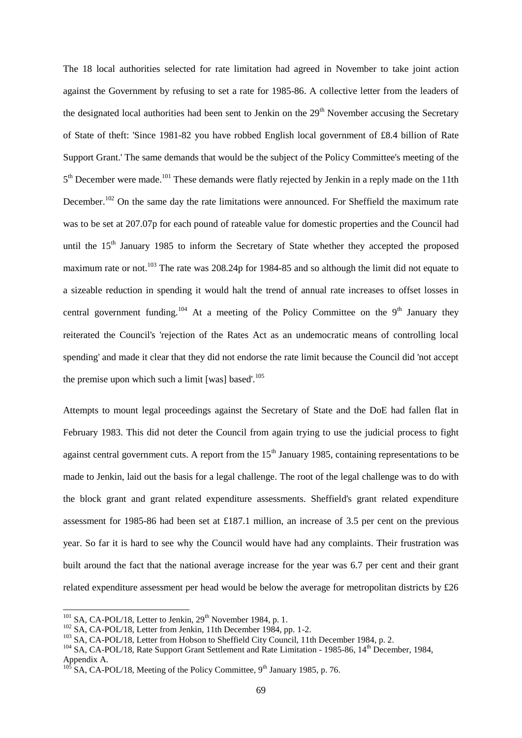The 18 local authorities selected for rate limitation had agreed in November to take joint action against the Government by refusing to set a rate for 1985-86. A collective letter from the leaders of the designated local authorities had been sent to Jenkin on the 29<sup>th</sup> November accusing the Secretary of State of theft: 'Since 1981-82 you have robbed English local government of £8.4 billion of Rate Support Grant.' The same demands that would be the subject of the Policy Committee's meeting of the 5<sup>th</sup> December were made.<sup>101</sup> These demands were flatly rejected by Jenkin in a reply made on the 11th December.<sup>102</sup> On the same day the rate limitations were announced. For Sheffield the maximum rate was to be set at 207.07p for each pound of rateable value for domestic properties and the Council had until the  $15<sup>th</sup>$  January 1985 to inform the Secretary of State whether they accepted the proposed maximum rate or not.<sup>103</sup> The rate was 208.24p for 1984-85 and so although the limit did not equate to a sizeable reduction in spending it would halt the trend of annual rate increases to offset losses in central government funding.<sup>104</sup> At a meeting of the Policy Committee on the 9<sup>th</sup> January they reiterated the Council's 'rejection of the Rates Act as an undemocratic means of controlling local spending' and made it clear that they did not endorse the rate limit because the Council did 'not accept the premise upon which such a limit [was] based'. $105$ 

Attempts to mount legal proceedings against the Secretary of State and the DoE had fallen flat in February 1983. This did not deter the Council from again trying to use the judicial process to fight against central government cuts. A report from the  $15<sup>th</sup>$  January 1985, containing representations to be made to Jenkin, laid out the basis for a legal challenge. The root of the legal challenge was to do with the block grant and grant related expenditure assessments. Sheffield's grant related expenditure assessment for 1985-86 had been set at £187.1 million, an increase of 3.5 per cent on the previous year. So far it is hard to see why the Council would have had any complaints. Their frustration was built around the fact that the national average increase for the year was 6.7 per cent and their grant related expenditure assessment per head would be below the average for metropolitan districts by £26

 $101$  SA, CA-POL/18, Letter to Jenkin,  $29<sup>th</sup>$  November 1984, p. 1.

 $102$  SA, CA-POL/18, Letter from Jenkin, 11th December 1984, pp. 1-2.

<sup>103</sup> SA, CA-POL/18, Letter from Hobson to Sheffield City Council, 11th December 1984, p. 2.

<sup>&</sup>lt;sup>104</sup> SA, CA-POL/18, Rate Support Grant Settlement and Rate Limitation - 1985-86, 14<sup>th</sup> December, 1984, Appendix A.

 $105^{11}$  SA, CA-POL/18, Meeting of the Policy Committee, 9<sup>th</sup> January 1985, p. 76.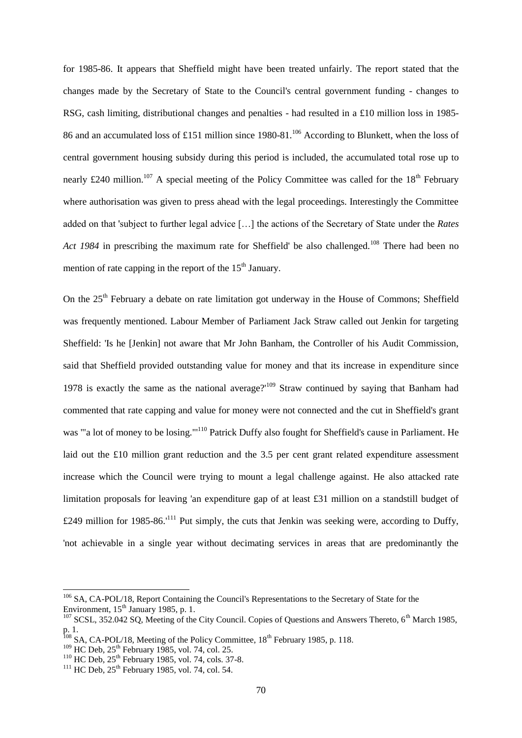for 1985-86. It appears that Sheffield might have been treated unfairly. The report stated that the changes made by the Secretary of State to the Council's central government funding - changes to RSG, cash limiting, distributional changes and penalties - had resulted in a £10 million loss in 1985- 86 and an accumulated loss of £151 million since 1980-81.<sup>106</sup> According to Blunkett, when the loss of central government housing subsidy during this period is included, the accumulated total rose up to nearly £240 million.<sup>107</sup> A special meeting of the Policy Committee was called for the 18<sup>th</sup> February where authorisation was given to press ahead with the legal proceedings. Interestingly the Committee added on that 'subject to further legal advice […] the actions of the Secretary of State under the *Rates Act 1984* in prescribing the maximum rate for Sheffield' be also challenged.<sup>108</sup> There had been no mention of rate capping in the report of the  $15<sup>th</sup>$  January.

On the 25<sup>th</sup> February a debate on rate limitation got underway in the House of Commons; Sheffield was frequently mentioned. Labour Member of Parliament Jack Straw called out Jenkin for targeting Sheffield: 'Is he [Jenkin] not aware that Mr John Banham, the Controller of his Audit Commission, said that Sheffield provided outstanding value for money and that its increase in expenditure since 1978 is exactly the same as the national average?'<sup>109</sup> Straw continued by saying that Banham had commented that rate capping and value for money were not connected and the cut in Sheffield's grant was '"a lot of money to be losing."'<sup>110</sup> Patrick Duffy also fought for Sheffield's cause in Parliament. He laid out the £10 million grant reduction and the 3.5 per cent grant related expenditure assessment increase which the Council were trying to mount a legal challenge against. He also attacked rate limitation proposals for leaving 'an expenditure gap of at least £31 million on a standstill budget of £249 million for 1985-86.'<sup>111</sup> Put simply, the cuts that Jenkin was seeking were, according to Duffy, 'not achievable in a single year without decimating services in areas that are predominantly the

<sup>&</sup>lt;sup>106</sup> SA, CA-POL/18, Report Containing the Council's Representations to the Secretary of State for the Environment,  $15<sup>th</sup>$  January 1985, p. 1.

 $107$  SCSL, 352.042 SO, Meeting of the City Council. Copies of Questions and Answers Thereto, 6<sup>th</sup> March 1985, p. 1.

 $108$  SA, CA-POL/18, Meeting of the Policy Committee,  $18<sup>th</sup>$  February 1985, p. 118.

 $109$  HC Deb,  $25$ <sup>th</sup> February 1985, vol. 74, col. 25.

 $110$  HC Deb,  $25$ <sup>th</sup> February 1985, vol. 74, cols. 37-8.

 $111$  HC Deb,  $25$ <sup>th</sup> February 1985, vol. 74, col. 54.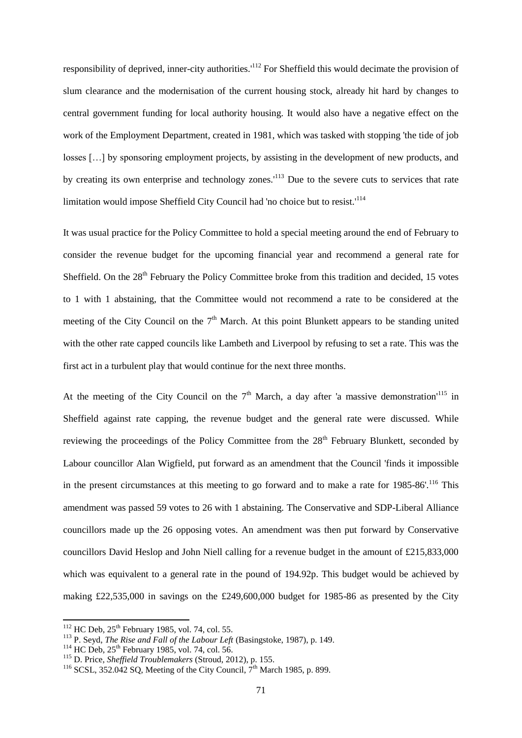responsibility of deprived, inner-city authorities.<sup>'112</sup> For Sheffield this would decimate the provision of slum clearance and the modernisation of the current housing stock, already hit hard by changes to central government funding for local authority housing. It would also have a negative effect on the work of the Employment Department, created in 1981, which was tasked with stopping 'the tide of job losses […] by sponsoring employment projects, by assisting in the development of new products, and by creating its own enterprise and technology zones.'<sup>113</sup> Due to the severe cuts to services that rate limitation would impose Sheffield City Council had 'no choice but to resist.'<sup>114</sup>

It was usual practice for the Policy Committee to hold a special meeting around the end of February to consider the revenue budget for the upcoming financial year and recommend a general rate for Sheffield. On the 28<sup>th</sup> February the Policy Committee broke from this tradition and decided, 15 votes to 1 with 1 abstaining, that the Committee would not recommend a rate to be considered at the meeting of the City Council on the  $7<sup>th</sup>$  March. At this point Blunkett appears to be standing united with the other rate capped councils like Lambeth and Liverpool by refusing to set a rate. This was the first act in a turbulent play that would continue for the next three months.

At the meeting of the City Council on the  $7<sup>th</sup>$  March, a day after 'a massive demonstration'<sup>115</sup> in Sheffield against rate capping, the revenue budget and the general rate were discussed. While reviewing the proceedings of the Policy Committee from the 28<sup>th</sup> February Blunkett, seconded by Labour councillor Alan Wigfield, put forward as an amendment that the Council 'finds it impossible in the present circumstances at this meeting to go forward and to make a rate for  $1985-86'$ .<sup>116</sup> This amendment was passed 59 votes to 26 with 1 abstaining. The Conservative and SDP-Liberal Alliance councillors made up the 26 opposing votes. An amendment was then put forward by Conservative councillors David Heslop and John Niell calling for a revenue budget in the amount of £215,833,000 which was equivalent to a general rate in the pound of 194.92p. This budget would be achieved by making £22,535,000 in savings on the £249,600,000 budget for 1985-86 as presented by the City

 $112$  HC Deb,  $25<sup>th</sup>$  February 1985, vol. 74, col. 55.

<sup>113</sup> P. Seyd, *The Rise and Fall of the Labour Left* (Basingstoke, 1987), p. 149.

<sup>&</sup>lt;sup>114</sup> HC Deb,  $25<sup>th</sup>$  February 1985, vol. 74, col. 56.

<sup>115</sup> D. Price, *Sheffield Troublemakers* (Stroud, 2012), p. 155.

<sup>&</sup>lt;sup>116</sup> SCSL, 352.042 SQ, Meeting of the City Council,  $7<sup>th</sup>$  March 1985, p. 899.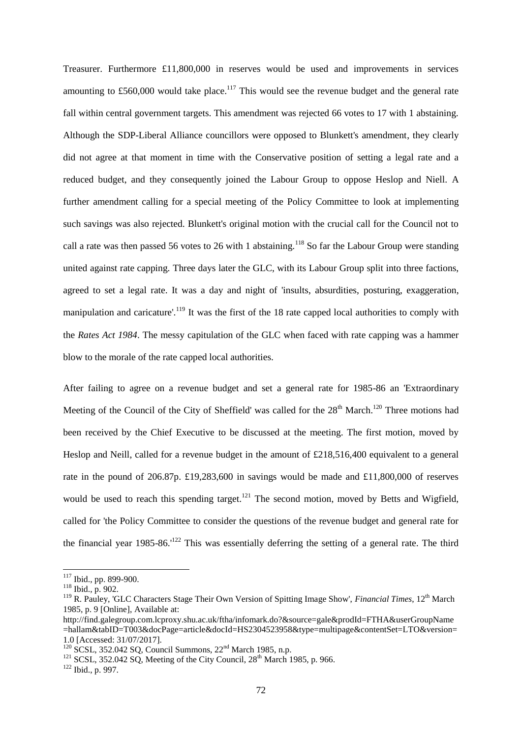Treasurer. Furthermore £11,800,000 in reserves would be used and improvements in services amounting to  $£560,000$  would take place.<sup>117</sup> This would see the revenue budget and the general rate fall within central government targets. This amendment was rejected 66 votes to 17 with 1 abstaining. Although the SDP-Liberal Alliance councillors were opposed to Blunkett's amendment, they clearly did not agree at that moment in time with the Conservative position of setting a legal rate and a reduced budget, and they consequently joined the Labour Group to oppose Heslop and Niell. A further amendment calling for a special meeting of the Policy Committee to look at implementing such savings was also rejected. Blunkett's original motion with the crucial call for the Council not to call a rate was then passed 56 votes to 26 with 1 abstaining.<sup>118</sup> So far the Labour Group were standing united against rate capping. Three days later the GLC, with its Labour Group split into three factions, agreed to set a legal rate. It was a day and night of 'insults, absurdities, posturing, exaggeration, manipulation and caricature'.<sup>119</sup> It was the first of the 18 rate capped local authorities to comply with the *Rates Act 1984*. The messy capitulation of the GLC when faced with rate capping was a hammer blow to the morale of the rate capped local authorities.

After failing to agree on a revenue budget and set a general rate for 1985-86 an 'Extraordinary Meeting of the Council of the City of Sheffield' was called for the  $28<sup>th</sup>$  March.<sup>120</sup> Three motions had been received by the Chief Executive to be discussed at the meeting. The first motion, moved by Heslop and Neill, called for a revenue budget in the amount of £218,516,400 equivalent to a general rate in the pound of 206.87p. £19,283,600 in savings would be made and £11,800,000 of reserves would be used to reach this spending target.<sup>121</sup> The second motion, moved by Betts and Wigfield, called for 'the Policy Committee to consider the questions of the revenue budget and general rate for the financial year 1985-86.<sup> $122$ </sup> This was essentially deferring the setting of a general rate. The third

 $117$  Ibid., pp. 899-900.

<sup>118</sup> Ibid., p. 902.

<sup>&</sup>lt;sup>119</sup> R. Pauley, 'GLC Characters Stage Their Own Version of Spitting Image Show', *Financial Times*, 12<sup>th</sup> March 1985, p. 9 [Online], Available at:

http://find.galegroup.com.lcproxy.shu.ac.uk/ftha/infomark.do?&source=gale&prodId=FTHA&userGroupName =hallam&tabID=T003&docPage=article&docId=HS2304523958&type=multipage&contentSet=LTO&version= 1.0 [Accessed: 31/07/2017].

 $120$  SCSL, 352.042 SO, Council Summons,  $22<sup>nd</sup>$  March 1985, n.p.

<sup>&</sup>lt;sup>121</sup> SCSL, 352.042 SQ, Meeting of the City Council,  $28<sup>th</sup>$  March 1985, p. 966.

 $122$  Ibid., p. 997.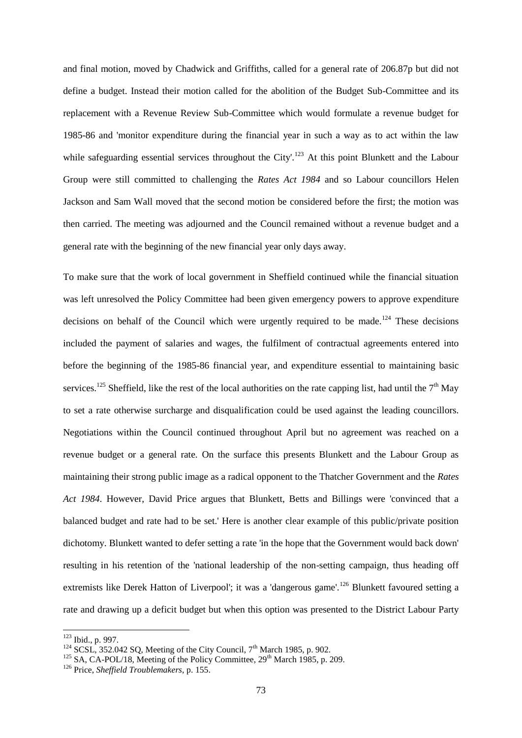and final motion, moved by Chadwick and Griffiths, called for a general rate of 206.87p but did not define a budget. Instead their motion called for the abolition of the Budget Sub-Committee and its replacement with a Revenue Review Sub-Committee which would formulate a revenue budget for 1985-86 and 'monitor expenditure during the financial year in such a way as to act within the law while safeguarding essential services throughout the City'.<sup>123</sup> At this point Blunkett and the Labour Group were still committed to challenging the *Rates Act 1984* and so Labour councillors Helen Jackson and Sam Wall moved that the second motion be considered before the first; the motion was then carried. The meeting was adjourned and the Council remained without a revenue budget and a general rate with the beginning of the new financial year only days away.

To make sure that the work of local government in Sheffield continued while the financial situation was left unresolved the Policy Committee had been given emergency powers to approve expenditure decisions on behalf of the Council which were urgently required to be made.<sup>124</sup> These decisions included the payment of salaries and wages, the fulfilment of contractual agreements entered into before the beginning of the 1985-86 financial year, and expenditure essential to maintaining basic services.<sup>125</sup> Sheffield, like the rest of the local authorities on the rate capping list, had until the  $7<sup>th</sup>$  May to set a rate otherwise surcharge and disqualification could be used against the leading councillors. Negotiations within the Council continued throughout April but no agreement was reached on a revenue budget or a general rate. On the surface this presents Blunkett and the Labour Group as maintaining their strong public image as a radical opponent to the Thatcher Government and the *Rates Act 1984*. However, David Price argues that Blunkett, Betts and Billings were 'convinced that a balanced budget and rate had to be set.' Here is another clear example of this public/private position dichotomy. Blunkett wanted to defer setting a rate 'in the hope that the Government would back down' resulting in his retention of the 'national leadership of the non-setting campaign, thus heading off extremists like Derek Hatton of Liverpool'; it was a 'dangerous game'.<sup>126</sup> Blunkett favoured setting a rate and drawing up a deficit budget but when this option was presented to the District Labour Party

 $123$  Ibid., p. 997.

 $124$  SCSL, 352.042 SQ, Meeting of the City Council,  $7<sup>th</sup>$  March 1985, p. 902.

 $125$  SA, CA-POL/18, Meeting of the Policy Committee,  $29<sup>th</sup>$  March 1985, p. 209.

<sup>126</sup> Price, *Sheffield Troublemakers*, p. 155.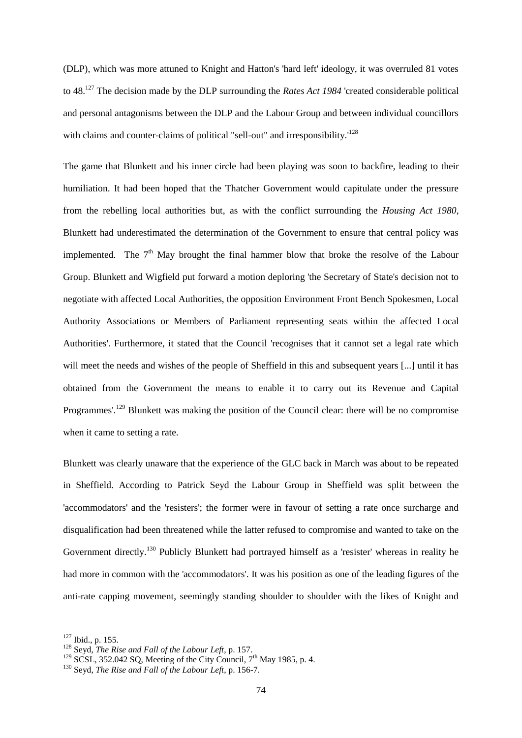(DLP), which was more attuned to Knight and Hatton's 'hard left' ideology, it was overruled 81 votes to 48.<sup>127</sup> The decision made by the DLP surrounding the *Rates Act 1984* 'created considerable political and personal antagonisms between the DLP and the Labour Group and between individual councillors with claims and counter-claims of political "sell-out" and irresponsibility.<sup>'128</sup>

The game that Blunkett and his inner circle had been playing was soon to backfire, leading to their humiliation. It had been hoped that the Thatcher Government would capitulate under the pressure from the rebelling local authorities but, as with the conflict surrounding the *Housing Act 1980*, Blunkett had underestimated the determination of the Government to ensure that central policy was implemented. The  $7<sup>th</sup>$  May brought the final hammer blow that broke the resolve of the Labour Group. Blunkett and Wigfield put forward a motion deploring 'the Secretary of State's decision not to negotiate with affected Local Authorities, the opposition Environment Front Bench Spokesmen, Local Authority Associations or Members of Parliament representing seats within the affected Local Authorities'. Furthermore, it stated that the Council 'recognises that it cannot set a legal rate which will meet the needs and wishes of the people of Sheffield in this and subsequent years [...] until it has obtained from the Government the means to enable it to carry out its Revenue and Capital Programmes'.<sup>129</sup> Blunkett was making the position of the Council clear: there will be no compromise when it came to setting a rate.

Blunkett was clearly unaware that the experience of the GLC back in March was about to be repeated in Sheffield. According to Patrick Seyd the Labour Group in Sheffield was split between the 'accommodators' and the 'resisters'; the former were in favour of setting a rate once surcharge and disqualification had been threatened while the latter refused to compromise and wanted to take on the Government directly.<sup>130</sup> Publicly Blunkett had portrayed himself as a 'resister' whereas in reality he had more in common with the 'accommodators'. It was his position as one of the leading figures of the anti-rate capping movement, seemingly standing shoulder to shoulder with the likes of Knight and

 $127$  Ibid., p. 155.

<sup>128</sup> Seyd, *The Rise and Fall of the Labour Left*, p. 157.

 $129$  SCSL, 352.042 SQ, Meeting of the City Council, 7<sup>th</sup> May 1985, p. 4.

<sup>130</sup> Seyd, *The Rise and Fall of the Labour Left*, p. 156-7.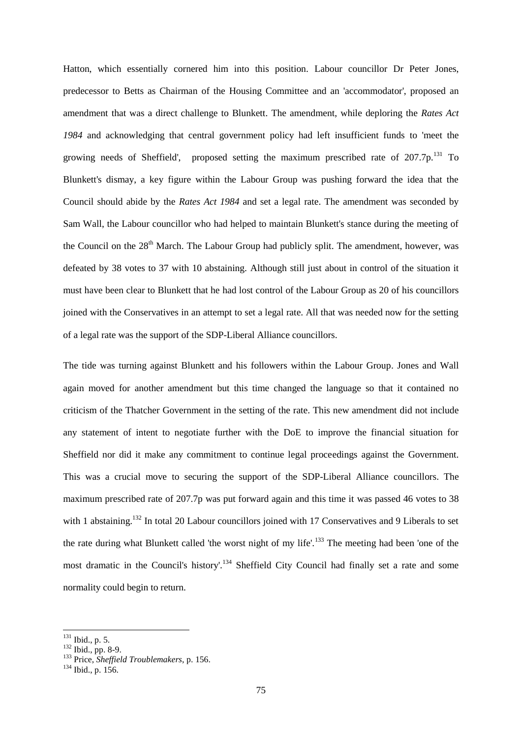Hatton, which essentially cornered him into this position. Labour councillor Dr Peter Jones, predecessor to Betts as Chairman of the Housing Committee and an 'accommodator', proposed an amendment that was a direct challenge to Blunkett. The amendment, while deploring the *Rates Act 1984* and acknowledging that central government policy had left insufficient funds to 'meet the growing needs of Sheffield', proposed setting the maximum prescribed rate of  $207.7p^{131}$  To Blunkett's dismay, a key figure within the Labour Group was pushing forward the idea that the Council should abide by the *Rates Act 1984* and set a legal rate. The amendment was seconded by Sam Wall, the Labour councillor who had helped to maintain Blunkett's stance during the meeting of the Council on the  $28<sup>th</sup>$  March. The Labour Group had publicly split. The amendment, however, was defeated by 38 votes to 37 with 10 abstaining. Although still just about in control of the situation it must have been clear to Blunkett that he had lost control of the Labour Group as 20 of his councillors joined with the Conservatives in an attempt to set a legal rate. All that was needed now for the setting of a legal rate was the support of the SDP-Liberal Alliance councillors.

The tide was turning against Blunkett and his followers within the Labour Group. Jones and Wall again moved for another amendment but this time changed the language so that it contained no criticism of the Thatcher Government in the setting of the rate. This new amendment did not include any statement of intent to negotiate further with the DoE to improve the financial situation for Sheffield nor did it make any commitment to continue legal proceedings against the Government. This was a crucial move to securing the support of the SDP-Liberal Alliance councillors. The maximum prescribed rate of 207.7p was put forward again and this time it was passed 46 votes to 38 with 1 abstaining.<sup>132</sup> In total 20 Labour councillors joined with 17 Conservatives and 9 Liberals to set the rate during what Blunkett called 'the worst night of my life'.<sup>133</sup> The meeting had been 'one of the most dramatic in the Council's history'.<sup>134</sup> Sheffield City Council had finally set a rate and some normality could begin to return.

 $131$  Ibid., p. 5.

 $132$  Ibid., pp. 8-9.

<sup>133</sup> Price, *Sheffield Troublemakers*, p. 156.

<sup>134</sup> Ibid., p. 156.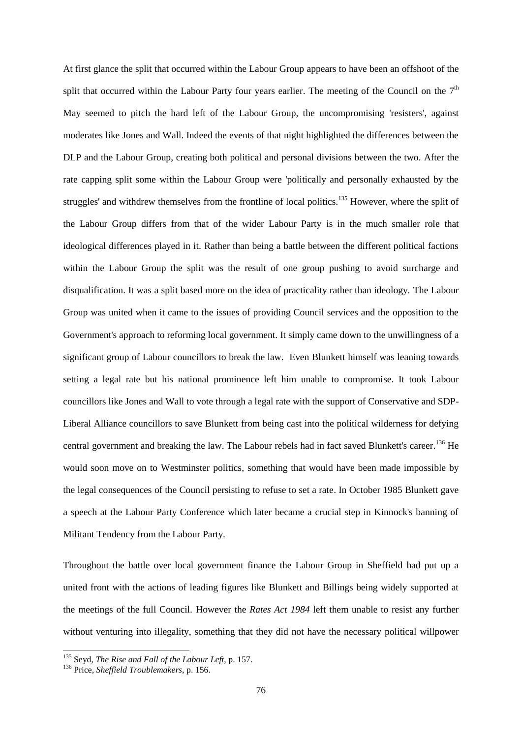At first glance the split that occurred within the Labour Group appears to have been an offshoot of the split that occurred within the Labour Party four years earlier. The meeting of the Council on the  $7<sup>th</sup>$ May seemed to pitch the hard left of the Labour Group, the uncompromising 'resisters', against moderates like Jones and Wall. Indeed the events of that night highlighted the differences between the DLP and the Labour Group, creating both political and personal divisions between the two. After the rate capping split some within the Labour Group were 'politically and personally exhausted by the struggles' and withdrew themselves from the frontline of local politics.<sup>135</sup> However, where the split of the Labour Group differs from that of the wider Labour Party is in the much smaller role that ideological differences played in it. Rather than being a battle between the different political factions within the Labour Group the split was the result of one group pushing to avoid surcharge and disqualification. It was a split based more on the idea of practicality rather than ideology. The Labour Group was united when it came to the issues of providing Council services and the opposition to the Government's approach to reforming local government. It simply came down to the unwillingness of a significant group of Labour councillors to break the law. Even Blunkett himself was leaning towards setting a legal rate but his national prominence left him unable to compromise. It took Labour councillors like Jones and Wall to vote through a legal rate with the support of Conservative and SDP-Liberal Alliance councillors to save Blunkett from being cast into the political wilderness for defying central government and breaking the law. The Labour rebels had in fact saved Blunkett's career.<sup>136</sup> He would soon move on to Westminster politics, something that would have been made impossible by the legal consequences of the Council persisting to refuse to set a rate. In October 1985 Blunkett gave a speech at the Labour Party Conference which later became a crucial step in Kinnock's banning of Militant Tendency from the Labour Party.

Throughout the battle over local government finance the Labour Group in Sheffield had put up a united front with the actions of leading figures like Blunkett and Billings being widely supported at the meetings of the full Council. However the *Rates Act 1984* left them unable to resist any further without venturing into illegality, something that they did not have the necessary political willpower

<sup>135</sup> Seyd, *The Rise and Fall of the Labour Left*, p. 157.

<sup>136</sup> Price, *Sheffield Troublemakers*, p. 156.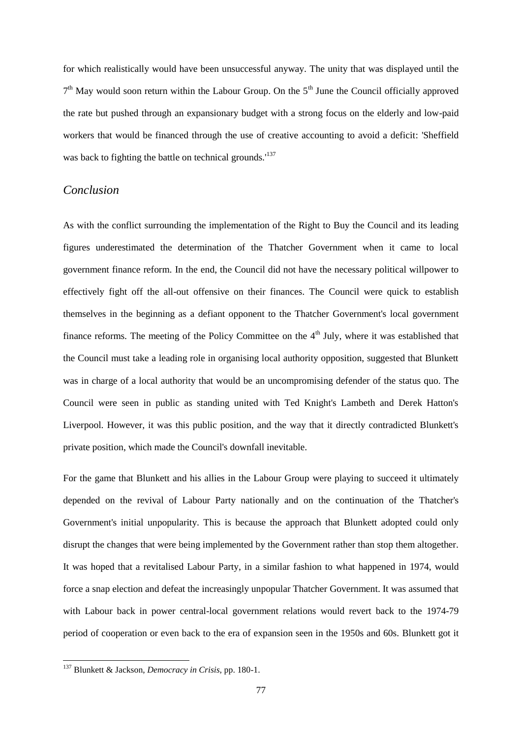for which realistically would have been unsuccessful anyway. The unity that was displayed until the 7<sup>th</sup> May would soon return within the Labour Group. On the 5<sup>th</sup> June the Council officially approved the rate but pushed through an expansionary budget with a strong focus on the elderly and low-paid workers that would be financed through the use of creative accounting to avoid a deficit: 'Sheffield was back to fighting the battle on technical grounds.<sup>137</sup>

### *Conclusion*

As with the conflict surrounding the implementation of the Right to Buy the Council and its leading figures underestimated the determination of the Thatcher Government when it came to local government finance reform. In the end, the Council did not have the necessary political willpower to effectively fight off the all-out offensive on their finances. The Council were quick to establish themselves in the beginning as a defiant opponent to the Thatcher Government's local government finance reforms. The meeting of the Policy Committee on the  $4<sup>th</sup>$  July, where it was established that the Council must take a leading role in organising local authority opposition, suggested that Blunkett was in charge of a local authority that would be an uncompromising defender of the status quo. The Council were seen in public as standing united with Ted Knight's Lambeth and Derek Hatton's Liverpool. However, it was this public position, and the way that it directly contradicted Blunkett's private position, which made the Council's downfall inevitable.

For the game that Blunkett and his allies in the Labour Group were playing to succeed it ultimately depended on the revival of Labour Party nationally and on the continuation of the Thatcher's Government's initial unpopularity. This is because the approach that Blunkett adopted could only disrupt the changes that were being implemented by the Government rather than stop them altogether. It was hoped that a revitalised Labour Party, in a similar fashion to what happened in 1974, would force a snap election and defeat the increasingly unpopular Thatcher Government. It was assumed that with Labour back in power central-local government relations would revert back to the 1974-79 period of cooperation or even back to the era of expansion seen in the 1950s and 60s. Blunkett got it

<sup>137</sup> Blunkett & Jackson, *Democracy in Crisis*, pp. 180-1.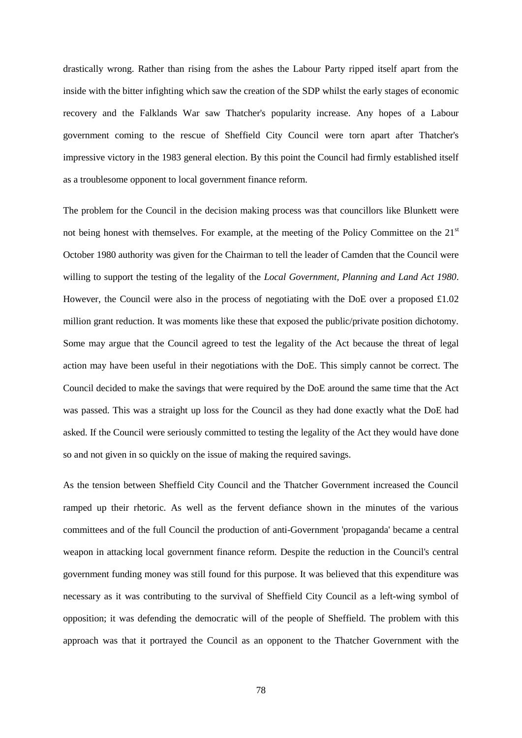drastically wrong. Rather than rising from the ashes the Labour Party ripped itself apart from the inside with the bitter infighting which saw the creation of the SDP whilst the early stages of economic recovery and the Falklands War saw Thatcher's popularity increase. Any hopes of a Labour government coming to the rescue of Sheffield City Council were torn apart after Thatcher's impressive victory in the 1983 general election. By this point the Council had firmly established itself as a troublesome opponent to local government finance reform.

The problem for the Council in the decision making process was that councillors like Blunkett were not being honest with themselves. For example, at the meeting of the Policy Committee on the 21<sup>st</sup> October 1980 authority was given for the Chairman to tell the leader of Camden that the Council were willing to support the testing of the legality of the *Local Government, Planning and Land Act 1980*. However, the Council were also in the process of negotiating with the DoE over a proposed  $\pounds1.02$ million grant reduction. It was moments like these that exposed the public/private position dichotomy. Some may argue that the Council agreed to test the legality of the Act because the threat of legal action may have been useful in their negotiations with the DoE. This simply cannot be correct. The Council decided to make the savings that were required by the DoE around the same time that the Act was passed. This was a straight up loss for the Council as they had done exactly what the DoE had asked. If the Council were seriously committed to testing the legality of the Act they would have done so and not given in so quickly on the issue of making the required savings.

As the tension between Sheffield City Council and the Thatcher Government increased the Council ramped up their rhetoric. As well as the fervent defiance shown in the minutes of the various committees and of the full Council the production of anti-Government 'propaganda' became a central weapon in attacking local government finance reform. Despite the reduction in the Council's central government funding money was still found for this purpose. It was believed that this expenditure was necessary as it was contributing to the survival of Sheffield City Council as a left-wing symbol of opposition; it was defending the democratic will of the people of Sheffield. The problem with this approach was that it portrayed the Council as an opponent to the Thatcher Government with the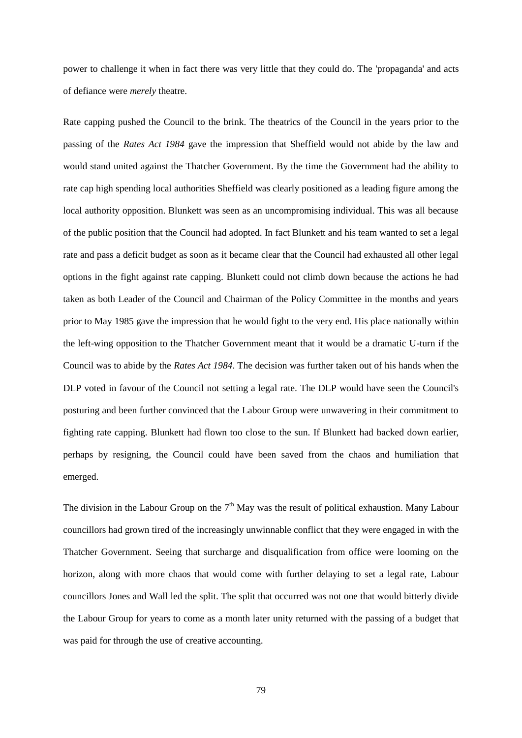power to challenge it when in fact there was very little that they could do. The 'propaganda' and acts of defiance were *merely* theatre.

Rate capping pushed the Council to the brink. The theatrics of the Council in the years prior to the passing of the *Rates Act 1984* gave the impression that Sheffield would not abide by the law and would stand united against the Thatcher Government. By the time the Government had the ability to rate cap high spending local authorities Sheffield was clearly positioned as a leading figure among the local authority opposition. Blunkett was seen as an uncompromising individual. This was all because of the public position that the Council had adopted. In fact Blunkett and his team wanted to set a legal rate and pass a deficit budget as soon as it became clear that the Council had exhausted all other legal options in the fight against rate capping. Blunkett could not climb down because the actions he had taken as both Leader of the Council and Chairman of the Policy Committee in the months and years prior to May 1985 gave the impression that he would fight to the very end. His place nationally within the left-wing opposition to the Thatcher Government meant that it would be a dramatic U-turn if the Council was to abide by the *Rates Act 1984*. The decision was further taken out of his hands when the DLP voted in favour of the Council not setting a legal rate. The DLP would have seen the Council's posturing and been further convinced that the Labour Group were unwavering in their commitment to fighting rate capping. Blunkett had flown too close to the sun. If Blunkett had backed down earlier, perhaps by resigning, the Council could have been saved from the chaos and humiliation that emerged.

The division in the Labour Group on the  $7<sup>th</sup>$  May was the result of political exhaustion. Many Labour councillors had grown tired of the increasingly unwinnable conflict that they were engaged in with the Thatcher Government. Seeing that surcharge and disqualification from office were looming on the horizon, along with more chaos that would come with further delaying to set a legal rate, Labour councillors Jones and Wall led the split. The split that occurred was not one that would bitterly divide the Labour Group for years to come as a month later unity returned with the passing of a budget that was paid for through the use of creative accounting.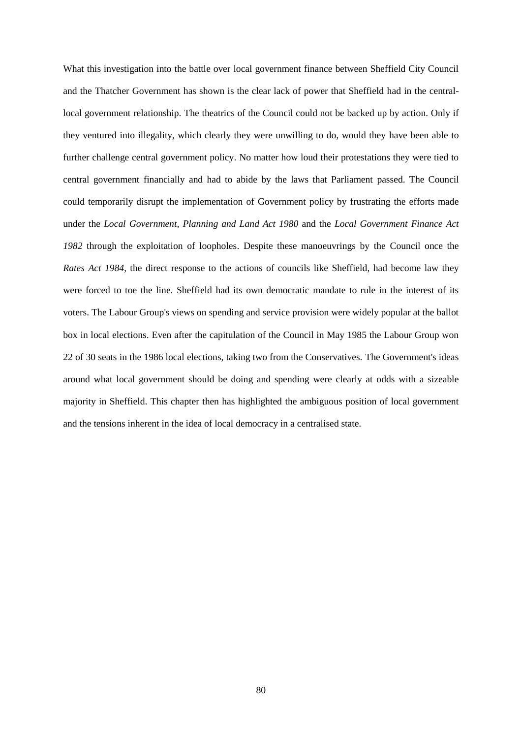What this investigation into the battle over local government finance between Sheffield City Council and the Thatcher Government has shown is the clear lack of power that Sheffield had in the centrallocal government relationship. The theatrics of the Council could not be backed up by action. Only if they ventured into illegality, which clearly they were unwilling to do, would they have been able to further challenge central government policy. No matter how loud their protestations they were tied to central government financially and had to abide by the laws that Parliament passed. The Council could temporarily disrupt the implementation of Government policy by frustrating the efforts made under the *Local Government, Planning and Land Act 1980* and the *Local Government Finance Act 1982* through the exploitation of loopholes. Despite these manoeuvrings by the Council once the *Rates Act 1984*, the direct response to the actions of councils like Sheffield, had become law they were forced to toe the line. Sheffield had its own democratic mandate to rule in the interest of its voters. The Labour Group's views on spending and service provision were widely popular at the ballot box in local elections. Even after the capitulation of the Council in May 1985 the Labour Group won 22 of 30 seats in the 1986 local elections, taking two from the Conservatives. The Government's ideas around what local government should be doing and spending were clearly at odds with a sizeable majority in Sheffield. This chapter then has highlighted the ambiguous position of local government and the tensions inherent in the idea of local democracy in a centralised state.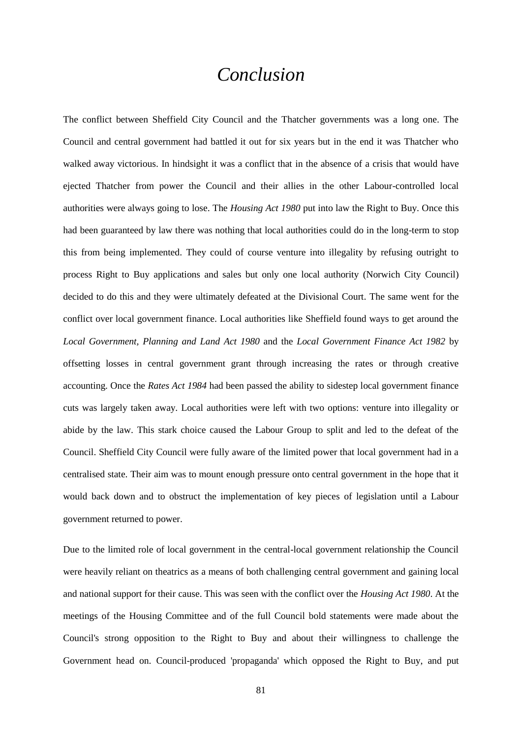## *Conclusion*

The conflict between Sheffield City Council and the Thatcher governments was a long one. The Council and central government had battled it out for six years but in the end it was Thatcher who walked away victorious. In hindsight it was a conflict that in the absence of a crisis that would have ejected Thatcher from power the Council and their allies in the other Labour-controlled local authorities were always going to lose. The *Housing Act 1980* put into law the Right to Buy. Once this had been guaranteed by law there was nothing that local authorities could do in the long-term to stop this from being implemented. They could of course venture into illegality by refusing outright to process Right to Buy applications and sales but only one local authority (Norwich City Council) decided to do this and they were ultimately defeated at the Divisional Court. The same went for the conflict over local government finance. Local authorities like Sheffield found ways to get around the *Local Government, Planning and Land Act 1980* and the *Local Government Finance Act 1982* by offsetting losses in central government grant through increasing the rates or through creative accounting. Once the *Rates Act 1984* had been passed the ability to sidestep local government finance cuts was largely taken away. Local authorities were left with two options: venture into illegality or abide by the law. This stark choice caused the Labour Group to split and led to the defeat of the Council. Sheffield City Council were fully aware of the limited power that local government had in a centralised state. Their aim was to mount enough pressure onto central government in the hope that it would back down and to obstruct the implementation of key pieces of legislation until a Labour government returned to power.

Due to the limited role of local government in the central-local government relationship the Council were heavily reliant on theatrics as a means of both challenging central government and gaining local and national support for their cause. This was seen with the conflict over the *Housing Act 1980*. At the meetings of the Housing Committee and of the full Council bold statements were made about the Council's strong opposition to the Right to Buy and about their willingness to challenge the Government head on. Council-produced 'propaganda' which opposed the Right to Buy, and put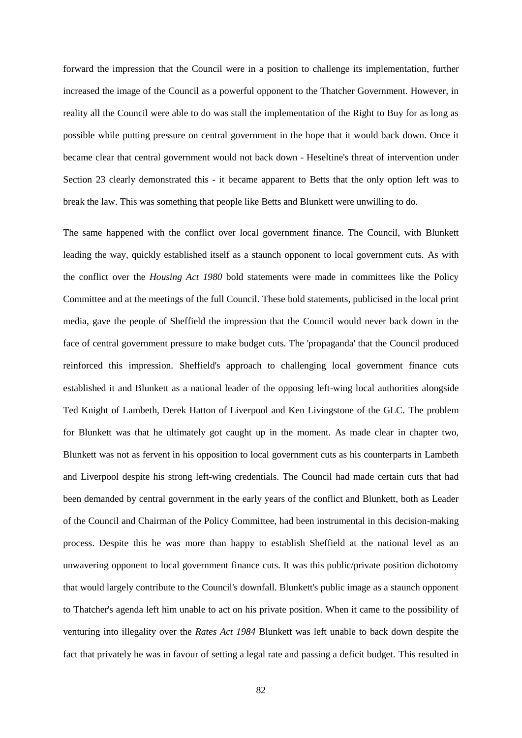forward the impression that the Council were in a position to challenge its implementation, further increased the image of the Council as a powerful opponent to the Thatcher Government. However, in reality all the Council were able to do was stall the implementation of the Right to Buy for as long as possible while putting pressure on central government in the hope that it would back down. Once it became clear that central government would not back down - Heseltine's threat of intervention under Section 23 clearly demonstrated this - it became apparent to Betts that the only option left was to break the law. This was something that people like Betts and Blunkett were unwilling to do.

The same happened with the conflict over local government finance. The Council, with Blunkett leading the way, quickly established itself as a staunch opponent to local government cuts. As with the conflict over the *Housing Act 1980* bold statements were made in committees like the Policy Committee and at the meetings of the full Council. These bold statements, publicised in the local print media, gave the people of Sheffield the impression that the Council would never back down in the face of central government pressure to make budget cuts. The 'propaganda' that the Council produced reinforced this impression. Sheffield's approach to challenging local government finance cuts established it and Blunkett as a national leader of the opposing left-wing local authorities alongside Ted Knight of Lambeth, Derek Hatton of Liverpool and Ken Livingstone of the GLC. The problem for Blunkett was that he ultimately got caught up in the moment. As made clear in chapter two, Blunkett was not as fervent in his opposition to local government cuts as his counterparts in Lambeth and Liverpool despite his strong left-wing credentials. The Council had made certain cuts that had been demanded by central government in the early years of the conflict and Blunkett, both as Leader of the Council and Chairman of the Policy Committee, had been instrumental in this decision-making process. Despite this he was more than happy to establish Sheffield at the national level as an unwavering opponent to local government finance cuts. It was this public/private position dichotomy that would largely contribute to the Council's downfall. Blunkett's public image as a staunch opponent to Thatcher's agenda left him unable to act on his private position. When it came to the possibility of venturing into illegality over the *Rates Act 1984* Blunkett was left unable to back down despite the fact that privately he was in favour of setting a legal rate and passing a deficit budget. This resulted in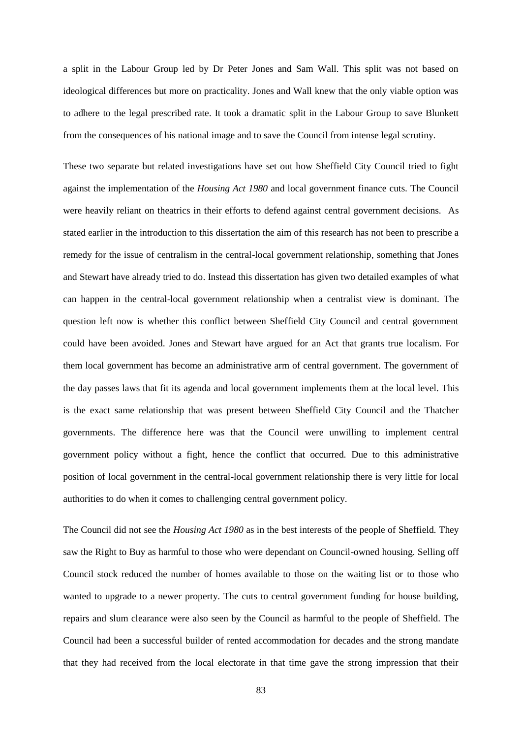a split in the Labour Group led by Dr Peter Jones and Sam Wall. This split was not based on ideological differences but more on practicality. Jones and Wall knew that the only viable option was to adhere to the legal prescribed rate. It took a dramatic split in the Labour Group to save Blunkett from the consequences of his national image and to save the Council from intense legal scrutiny.

These two separate but related investigations have set out how Sheffield City Council tried to fight against the implementation of the *Housing Act 1980* and local government finance cuts. The Council were heavily reliant on theatrics in their efforts to defend against central government decisions. As stated earlier in the introduction to this dissertation the aim of this research has not been to prescribe a remedy for the issue of centralism in the central-local government relationship, something that Jones and Stewart have already tried to do. Instead this dissertation has given two detailed examples of what can happen in the central-local government relationship when a centralist view is dominant. The question left now is whether this conflict between Sheffield City Council and central government could have been avoided. Jones and Stewart have argued for an Act that grants true localism. For them local government has become an administrative arm of central government. The government of the day passes laws that fit its agenda and local government implements them at the local level. This is the exact same relationship that was present between Sheffield City Council and the Thatcher governments. The difference here was that the Council were unwilling to implement central government policy without a fight, hence the conflict that occurred. Due to this administrative position of local government in the central-local government relationship there is very little for local authorities to do when it comes to challenging central government policy.

The Council did not see the *Housing Act 1980* as in the best interests of the people of Sheffield. They saw the Right to Buy as harmful to those who were dependant on Council-owned housing. Selling off Council stock reduced the number of homes available to those on the waiting list or to those who wanted to upgrade to a newer property. The cuts to central government funding for house building, repairs and slum clearance were also seen by the Council as harmful to the people of Sheffield. The Council had been a successful builder of rented accommodation for decades and the strong mandate that they had received from the local electorate in that time gave the strong impression that their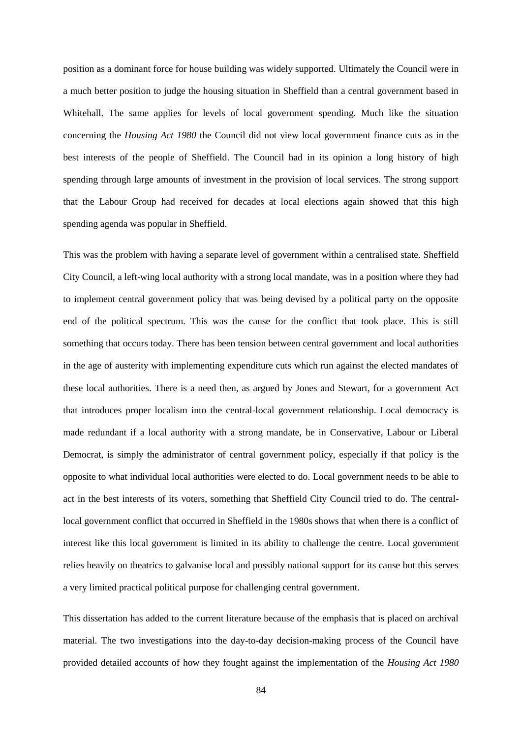position as a dominant force for house building was widely supported. Ultimately the Council were in a much better position to judge the housing situation in Sheffield than a central government based in Whitehall. The same applies for levels of local government spending. Much like the situation concerning the *Housing Act 1980* the Council did not view local government finance cuts as in the best interests of the people of Sheffield. The Council had in its opinion a long history of high spending through large amounts of investment in the provision of local services. The strong support that the Labour Group had received for decades at local elections again showed that this high spending agenda was popular in Sheffield.

This was the problem with having a separate level of government within a centralised state. Sheffield City Council, a left-wing local authority with a strong local mandate, was in a position where they had to implement central government policy that was being devised by a political party on the opposite end of the political spectrum. This was the cause for the conflict that took place. This is still something that occurs today. There has been tension between central government and local authorities in the age of austerity with implementing expenditure cuts which run against the elected mandates of these local authorities. There is a need then, as argued by Jones and Stewart, for a government Act that introduces proper localism into the central-local government relationship. Local democracy is made redundant if a local authority with a strong mandate, be in Conservative, Labour or Liberal Democrat, is simply the administrator of central government policy, especially if that policy is the opposite to what individual local authorities were elected to do. Local government needs to be able to act in the best interests of its voters, something that Sheffield City Council tried to do. The centrallocal government conflict that occurred in Sheffield in the 1980s shows that when there is a conflict of interest like this local government is limited in its ability to challenge the centre. Local government relies heavily on theatrics to galvanise local and possibly national support for its cause but this serves a very limited practical political purpose for challenging central government.

This dissertation has added to the current literature because of the emphasis that is placed on archival material. The two investigations into the day-to-day decision-making process of the Council have provided detailed accounts of how they fought against the implementation of the *Housing Act 1980*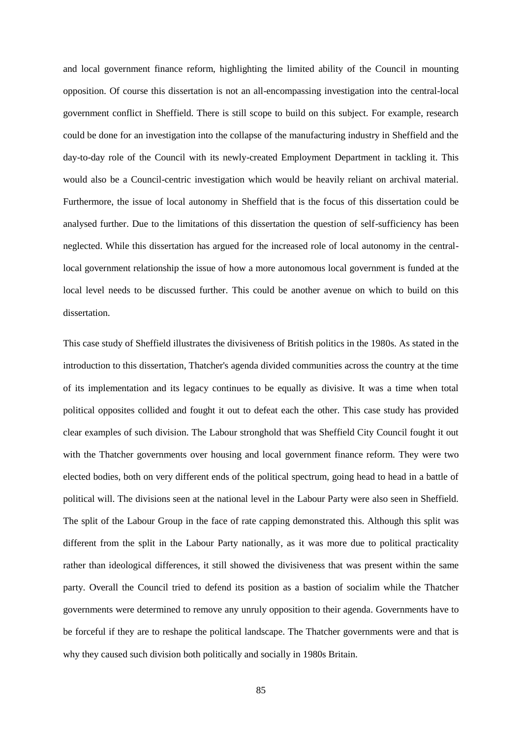and local government finance reform, highlighting the limited ability of the Council in mounting opposition. Of course this dissertation is not an all-encompassing investigation into the central-local government conflict in Sheffield. There is still scope to build on this subject. For example, research could be done for an investigation into the collapse of the manufacturing industry in Sheffield and the day-to-day role of the Council with its newly-created Employment Department in tackling it. This would also be a Council-centric investigation which would be heavily reliant on archival material. Furthermore, the issue of local autonomy in Sheffield that is the focus of this dissertation could be analysed further. Due to the limitations of this dissertation the question of self-sufficiency has been neglected. While this dissertation has argued for the increased role of local autonomy in the centrallocal government relationship the issue of how a more autonomous local government is funded at the local level needs to be discussed further. This could be another avenue on which to build on this dissertation.

This case study of Sheffield illustrates the divisiveness of British politics in the 1980s. As stated in the introduction to this dissertation, Thatcher's agenda divided communities across the country at the time of its implementation and its legacy continues to be equally as divisive. It was a time when total political opposites collided and fought it out to defeat each the other. This case study has provided clear examples of such division. The Labour stronghold that was Sheffield City Council fought it out with the Thatcher governments over housing and local government finance reform. They were two elected bodies, both on very different ends of the political spectrum, going head to head in a battle of political will. The divisions seen at the national level in the Labour Party were also seen in Sheffield. The split of the Labour Group in the face of rate capping demonstrated this. Although this split was different from the split in the Labour Party nationally, as it was more due to political practicality rather than ideological differences, it still showed the divisiveness that was present within the same party. Overall the Council tried to defend its position as a bastion of socialim while the Thatcher governments were determined to remove any unruly opposition to their agenda. Governments have to be forceful if they are to reshape the political landscape. The Thatcher governments were and that is why they caused such division both politically and socially in 1980s Britain.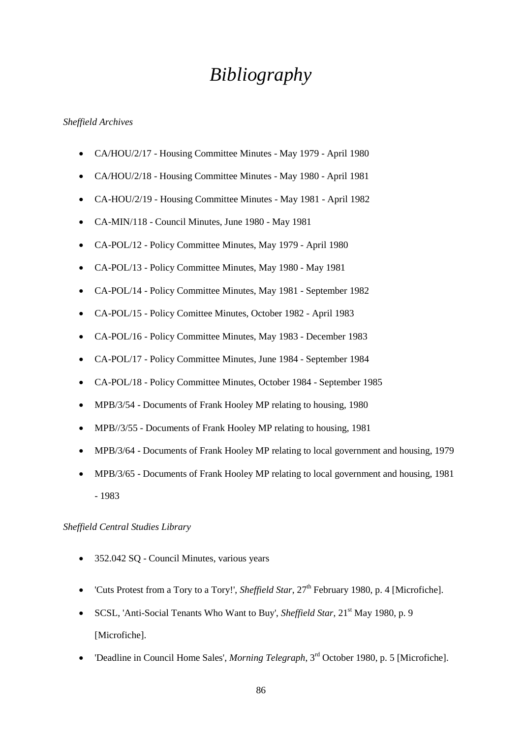# *Bibliography*

#### *Sheffield Archives*

- CA/HOU/2/17 Housing Committee Minutes May 1979 April 1980
- CA/HOU/2/18 Housing Committee Minutes May 1980 April 1981
- CA-HOU/2/19 Housing Committee Minutes May 1981 April 1982
- CA-MIN/118 Council Minutes, June 1980 May 1981
- CA-POL/12 Policy Committee Minutes, May 1979 April 1980
- CA-POL/13 Policy Committee Minutes, May 1980 May 1981
- CA-POL/14 Policy Committee Minutes, May 1981 September 1982
- CA-POL/15 Policy Comittee Minutes, October 1982 April 1983
- CA-POL/16 Policy Committee Minutes, May 1983 December 1983
- CA-POL/17 Policy Committee Minutes, June 1984 September 1984
- CA-POL/18 Policy Committee Minutes, October 1984 September 1985
- MPB/3/54 Documents of Frank Hooley MP relating to housing, 1980
- MPB//3/55 Documents of Frank Hooley MP relating to housing, 1981
- MPB/3/64 Documents of Frank Hooley MP relating to local government and housing, 1979
- MPB/3/65 Documents of Frank Hooley MP relating to local government and housing, 1981 - 1983

#### *Sheffield Central Studies Library*

- 352.042 SQ Council Minutes, various years
- 'Cuts Protest from a Tory to a Tory!', *Sheffield Star*, 27<sup>th</sup> February 1980, p. 4 [Microfiche].
- SCSL, 'Anti-Social Tenants Who Want to Buy', *Sheffield Star*, 21<sup>st</sup> May 1980, p. 9 [Microfiche].
- 'Deadline in Council Home Sales', *Morning Telegraph*, 3rd October 1980, p. 5 [Microfiche].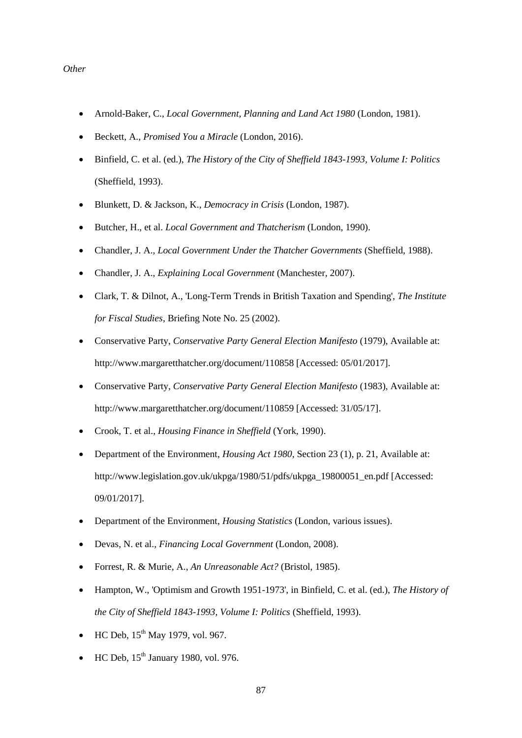#### *Other*

- Arnold-Baker, C., *Local Government, Planning and Land Act 1980* (London, 1981).
- Beckett, A., *Promised You a Miracle* (London, 2016).
- Binfield, C. et al. (ed.), *The History of the City of Sheffield 1843-1993, Volume I: Politics*  (Sheffield, 1993).
- Blunkett, D. & Jackson, K., *Democracy in Crisis* (London, 1987).
- Butcher, H., et al. *Local Government and Thatcherism* (London, 1990).
- Chandler, J. A., *Local Government Under the Thatcher Governments* (Sheffield, 1988).
- Chandler, J. A., *Explaining Local Government* (Manchester, 2007).
- Clark, T. & Dilnot, A., 'Long-Term Trends in British Taxation and Spending', *The Institute for Fiscal Studies*, Briefing Note No. 25 (2002).
- Conservative Party, *Conservative Party General Election Manifesto* (1979), Available at: http://www.margaretthatcher.org/document/110858 [Accessed: 05/01/2017].
- Conservative Party, *Conservative Party General Election Manifesto* (1983), Available at: http://www.margaretthatcher.org/document/110859 [Accessed: 31/05/17].
- Crook, T. et al., *Housing Finance in Sheffield* (York, 1990).
- Department of the Environment, *Housing Act 1980*, Section 23 (1), p. 21, Available at: http://www.legislation.gov.uk/ukpga/1980/51/pdfs/ukpga\_19800051\_en.pdf [Accessed: 09/01/2017].
- Department of the Environment, *Housing Statistics* (London, various issues).
- Devas, N. et al., *Financing Local Government* (London, 2008).
- Forrest, R. & Murie, A., *An Unreasonable Act?* (Bristol, 1985).
- Hampton, W., 'Optimism and Growth 1951-1973', in Binfield, C. et al. (ed.), *The History of the City of Sheffield 1843-1993, Volume I: Politics* (Sheffield, 1993).
- HC Deb,  $15^{th}$  May 1979, vol. 967.
- HC Deb,  $15<sup>th</sup>$  January 1980, vol. 976.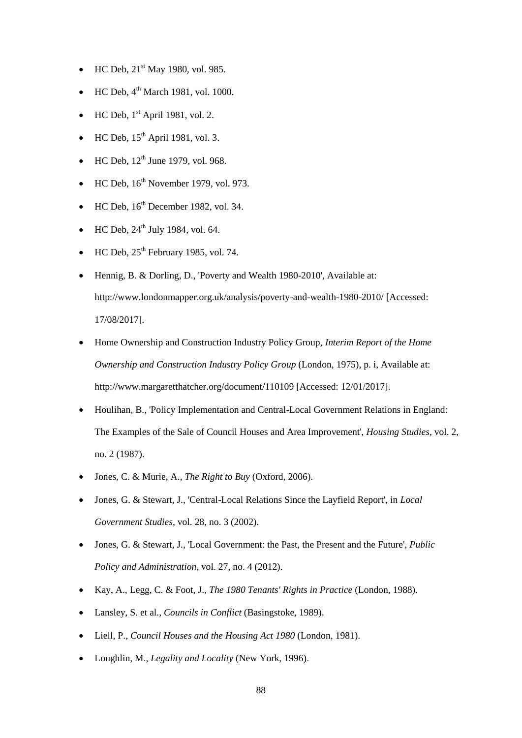- HC Deb,  $21^{st}$  May 1980, vol. 985.
- HC Deb, 4<sup>th</sup> March 1981, vol. 1000.
- HC Deb,  $1<sup>st</sup>$  April 1981, vol. 2.
- $\bullet$  HC Deb,  $15^{th}$  April 1981, vol. 3.
- HC Deb,  $12^{th}$  June 1979, vol. 968.
- $\bullet$  HC Deb,  $16^{th}$  November 1979, vol. 973.
- $\bullet$  HC Deb,  $16^{th}$  December 1982, vol. 34.
- $HC$  Deb,  $24<sup>th</sup>$  July 1984, vol. 64.
- $\bullet$  HC Deb,  $25<sup>th</sup>$  February 1985, vol. 74.
- Hennig, B. & Dorling, D., 'Poverty and Wealth 1980-2010', Available at: http://www.londonmapper.org.uk/analysis/poverty-and-wealth-1980-2010/ [Accessed: 17/08/2017].
- Home Ownership and Construction Industry Policy Group, *Interim Report of the Home Ownership and Construction Industry Policy Group* (London, 1975), p. i, Available at: http://www.margaretthatcher.org/document/110109 [Accessed: 12/01/2017].
- Houlihan, B., 'Policy Implementation and Central-Local Government Relations in England: The Examples of the Sale of Council Houses and Area Improvement', *Housing Studies*, vol. 2, no. 2 (1987).
- Jones, C. & Murie, A., *The Right to Buy* (Oxford, 2006).
- Jones, G. & Stewart, J., 'Central-Local Relations Since the Layfield Report', in *Local Government Studies*, vol. 28, no. 3 (2002).
- Jones, G. & Stewart, J., 'Local Government: the Past, the Present and the Future', *Public Policy and Administration*, vol. 27, no. 4 (2012).
- Kay, A., Legg, C. & Foot, J., *The 1980 Tenants' Rights in Practice* (London, 1988).
- Lansley, S. et al., *Councils in Conflict* (Basingstoke, 1989).
- Liell, P., *Council Houses and the Housing Act 1980* (London, 1981).
- Loughlin, M., *Legality and Locality* (New York, 1996).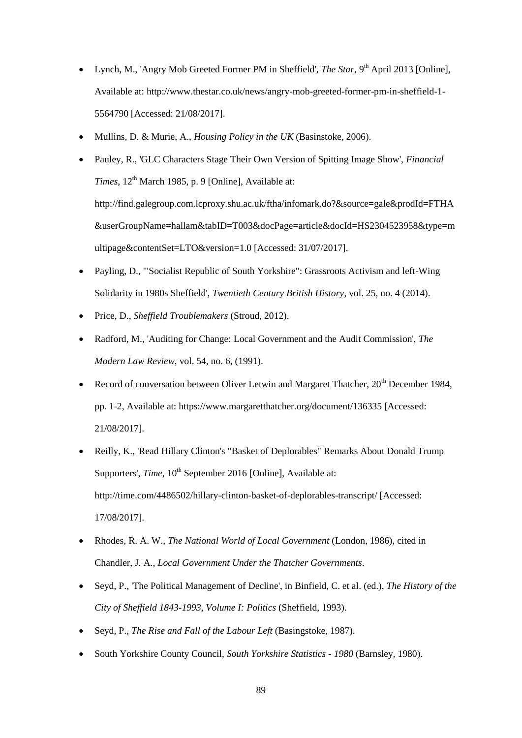- Lynch, M., 'Angry Mob Greeted Former PM in Sheffield', *The Star*, 9<sup>th</sup> April 2013 [Online], Available at: http://www.thestar.co.uk/news/angry-mob-greeted-former-pm-in-sheffield-1- 5564790 [Accessed: 21/08/2017].
- Mullins, D. & Murie, A., *Housing Policy in the UK* (Basinstoke, 2006).
- Pauley, R., 'GLC Characters Stage Their Own Version of Spitting Image Show', *Financial Times*,  $12^{th}$  March 1985, p. 9 [Online], Available at: http://find.galegroup.com.lcproxy.shu.ac.uk/ftha/infomark.do?&source=gale&prodId=FTHA &userGroupName=hallam&tabID=T003&docPage=article&docId=HS2304523958&type=m ultipage&contentSet=LTO&version=1.0 [Accessed: 31/07/2017].
- Payling, D., '"Socialist Republic of South Yorkshire": Grassroots Activism and left-Wing Solidarity in 1980s Sheffield', *Twentieth Century British History*, vol. 25, no. 4 (2014).
- Price, D., *Sheffield Troublemakers* (Stroud, 2012).
- Radford, M., 'Auditing for Change: Local Government and the Audit Commission', *The Modern Law Review*, vol. 54, no. 6, (1991).
- Record of conversation between Oliver Letwin and Margaret Thatcher,  $20<sup>th</sup>$  December 1984, pp. 1-2, Available at: https://www.margaretthatcher.org/document/136335 [Accessed: 21/08/2017].
- Reilly, K., 'Read Hillary Clinton's "Basket of Deplorables" Remarks About Donald Trump Supporters', *Time*, 10<sup>th</sup> September 2016 [Online], Available at: http://time.com/4486502/hillary-clinton-basket-of-deplorables-transcript/ [Accessed: 17/08/2017].
- Rhodes, R. A. W., *The National World of Local Government* (London, 1986), cited in Chandler, J. A., *Local Government Under the Thatcher Governments*.
- Seyd, P., 'The Political Management of Decline', in Binfield, C. et al. (ed.), *The History of the City of Sheffield 1843-1993, Volume I: Politics* (Sheffield, 1993).
- Seyd, P., *The Rise and Fall of the Labour Left* (Basingstoke, 1987).
- South Yorkshire County Council, *South Yorkshire Statistics - 1980* (Barnsley, 1980).